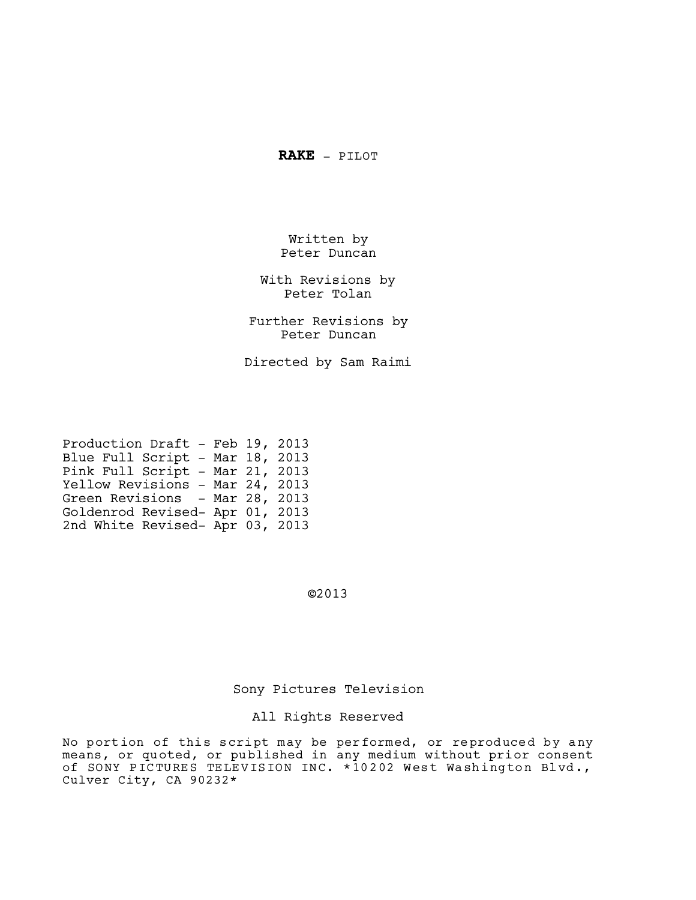**RAKE** - PILOT

Written by Peter Duncan

With Revisions by Peter Tolan

Further Revisions by Peter Duncan

Directed by Sam Raimi

| Production Draft - Feb 19, 2013 |  |
|---------------------------------|--|
| Blue Full Script - Mar 18, 2013 |  |
| Pink Full Script - Mar 21, 2013 |  |
| Yellow Revisions - Mar 24, 2013 |  |
| Green Revisions - Mar 28, 2013  |  |
| Goldenrod Revised- Apr 01, 2013 |  |
| 2nd White Revised- Apr 03, 2013 |  |

©2013

# Sony Pictures Television

# All Rights Reserved

No portion of this script may be performed, or reproduced by any means, or quoted, or published in any medium without prior consent of SONY PICTURES TELEVISION INC. \*10202 West Washington Blvd., Culver City, CA 90232\*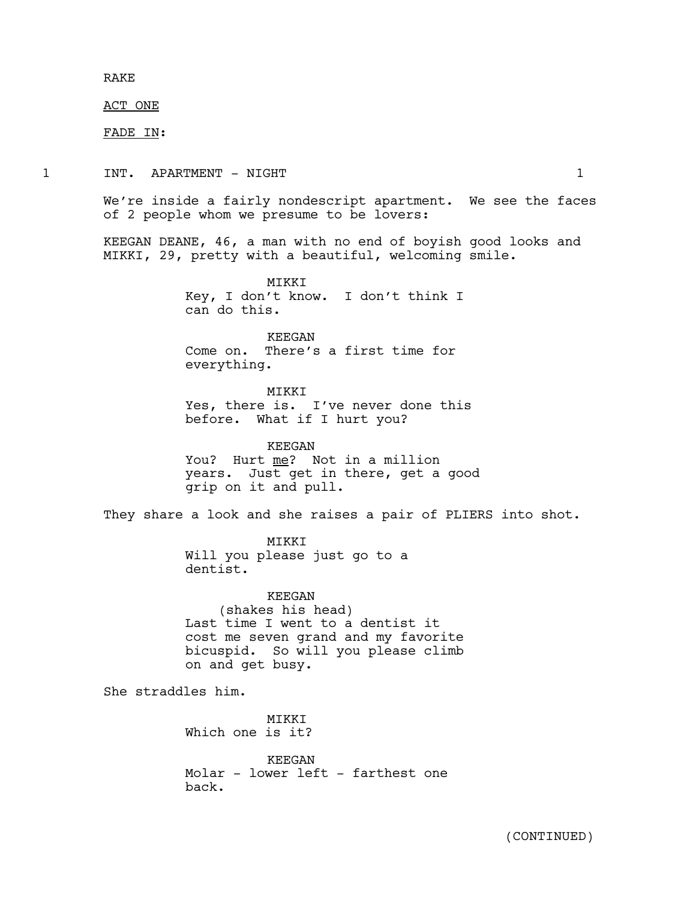RAKE

ACT ONE

FADE IN:

1 INT. APARTMENT – NIGHT 1

We're inside a fairly nondescript apartment. We see the faces of 2 people whom we presume to be lovers:

KEEGAN DEANE, 46, a man with no end of boyish good looks and MIKKI, 29, pretty with a beautiful, welcoming smile.

> MIKKI Key, I don't know. I don't think I can do this.

KEEGAN Come on. There's a first time for everything.

MIKKI Yes, there is. I've never done this before. What if I hurt you?

KEEGAN You? Hurt me? Not in a million years. Just get in there, get a good grip on it and pull.

They share a look and she raises a pair of PLIERS into shot.

MIKKI Will you please just go to a dentist.

KEEGAN (shakes his head) Last time I went to a dentist it cost me seven grand and my favorite bicuspid. So will you please climb on and get busy.

She straddles him.

MIKKI Which one is it?

KEEGAN Molar - lower left - farthest one back.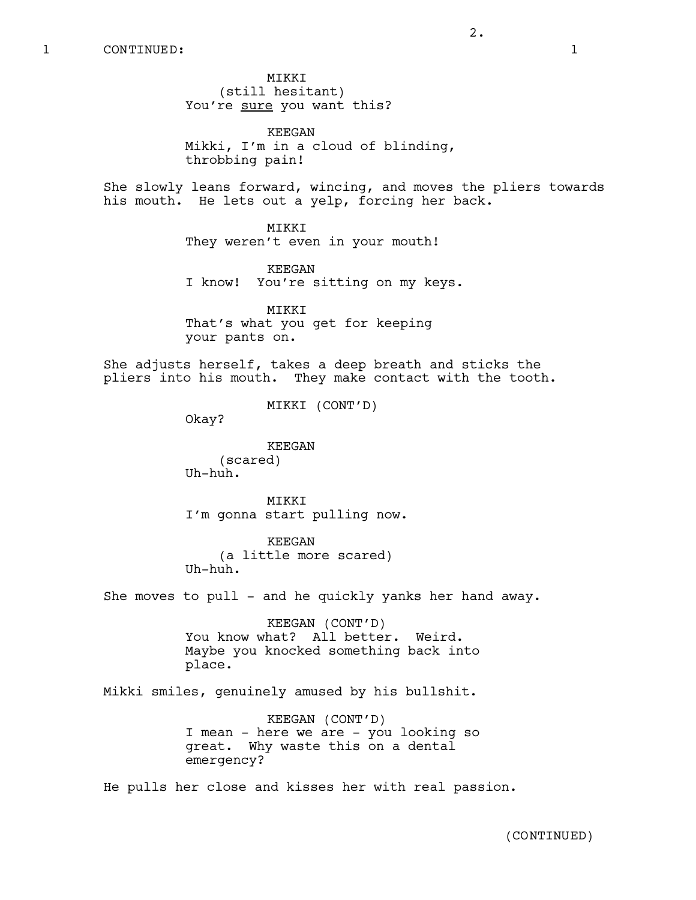MIKKI (still hesitant) You're sure you want this?

KEEGAN Mikki, I'm in a cloud of blinding, throbbing pain!

2.

She slowly leans forward, wincing, and moves the pliers towards his mouth. He lets out a yelp, forcing her back.

> MIKKI They weren't even in your mouth!

KEEGAN I know! You're sitting on my keys.

MIKKI That's what you get for keeping your pants on.

She adjusts herself, takes a deep breath and sticks the pliers into his mouth. They make contact with the tooth.

MIKKI (CONT'D)

Okay?

KEEGAN (scared) Uh-huh.

MIKKI I'm gonna start pulling now.

KEEGAN (a little more scared) Uh-huh.

She moves to pull - and he quickly yanks her hand away.

KEEGAN (CONT'D) You know what? All better. Weird. Maybe you knocked something back into place.

Mikki smiles, genuinely amused by his bullshit.

KEEGAN (CONT'D) I mean - here we are - you looking so great. Why waste this on a dental emergency?

He pulls her close and kisses her with real passion.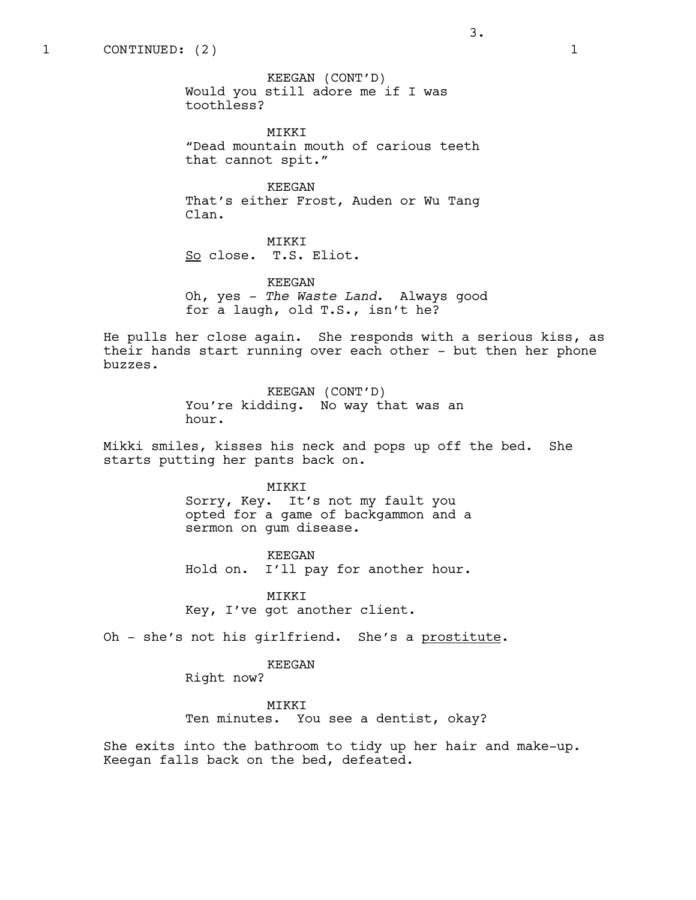KEEGAN (CONT'D) Would you still adore me if I was toothless?

MIKKI "Dead mountain mouth of carious teeth that cannot spit."

KEEGAN That's either Frost, Auden or Wu Tang Clan.

MIKKI So close. T.S. Eliot.

KEEGAN Oh, yes - *The Waste Land*. Always good for a laugh, old T.S., isn't he?

He pulls her close again. She responds with a serious kiss, as their hands start running over each other - but then her phone buzzes.

> KEEGAN (CONT'D) You're kidding. No way that was an hour.

Mikki smiles, kisses his neck and pops up off the bed. She starts putting her pants back on.

#### MIKKI

Sorry, Key. It's not my fault you opted for a game of backgammon and a sermon on gum disease.

KEEGAN Hold on. I'll pay for another hour.

MIKKI Key, I've got another client.

Oh - she's not his girlfriend. She's a prostitute.

# KEEGAN

Right now?

MIKKI Ten minutes. You see a dentist, okay?

She exits into the bathroom to tidy up her hair and make-up. Keegan falls back on the bed, defeated.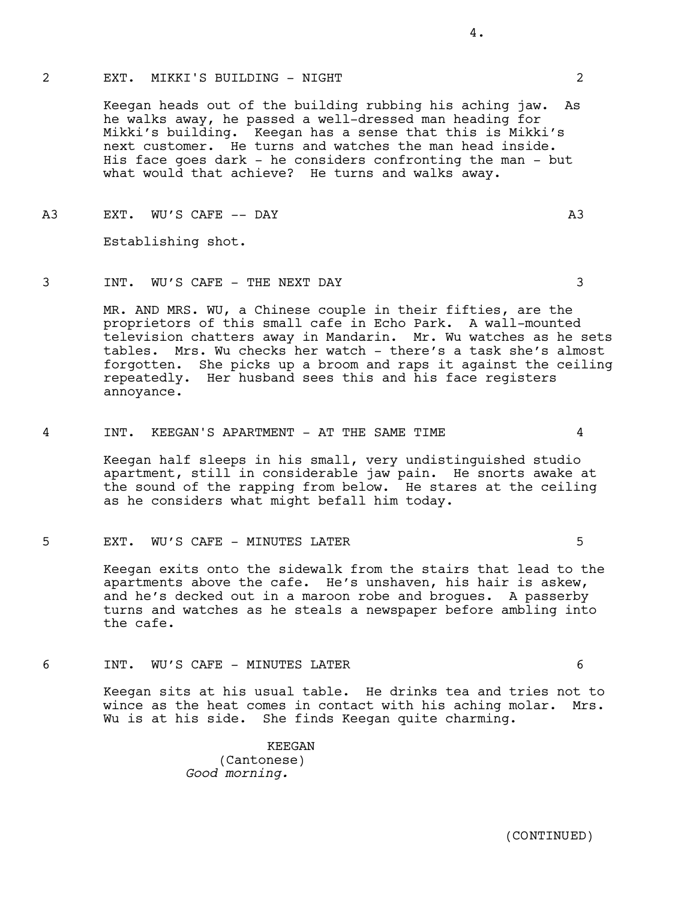#### 2 EXT. MIKKI'S BUILDING - NIGHT 2

Keegan heads out of the building rubbing his aching jaw. As he walks away, he passed a well-dressed man heading for Mikki's building. Keegan has a sense that this is Mikki's next customer. He turns and watches the man head inside. His face goes dark - he considers confronting the man - but what would that achieve? He turns and walks away.

A3 EXT. WU'S CAFE -- DAY A3

Establishing shot.

3 INT. WU'S CAFE - THE NEXT DAY 3

MR. AND MRS. WU, a Chinese couple in their fifties, are the proprietors of this small cafe in Echo Park. A wall-mounted television chatters away in Mandarin. Mr. Wu watches as he sets tables. Mrs. Wu checks her watch - there's a task she's almost forgotten. She picks up a broom and raps it against the ceiling repeatedly. Her husband sees this and his face registers annoyance.

4 INT. KEEGAN'S APARTMENT - AT THE SAME TIME 4

Keegan half sleeps in his small, very undistinguished studio apartment, still in considerable jaw pain. He snorts awake at the sound of the rapping from below. He stares at the ceiling as he considers what might befall him today.

5 EXT. WU'S CAFE - MINUTES LATER 5

Keegan exits onto the sidewalk from the stairs that lead to the apartments above the cafe. He's unshaven, his hair is askew, and he's decked out in a maroon robe and brogues. A passerby turns and watches as he steals a newspaper before ambling into the cafe.

6 INT. WU'S CAFE - MINUTES LATER 6

Keegan sits at his usual table. He drinks tea and tries not to wince as the heat comes in contact with his aching molar. Mrs. Wu is at his side. She finds Keegan quite charming.

> KEEGAN (Cantonese) *Good morning.*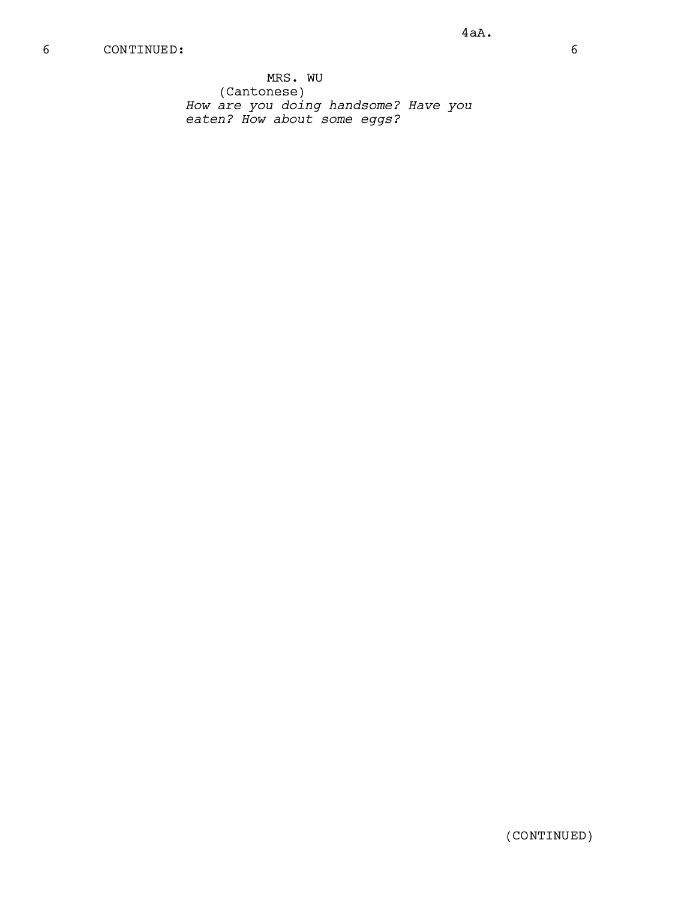MRS. WU (Cantonese) *How are you doing handsome? Have you eaten? How about some eggs?*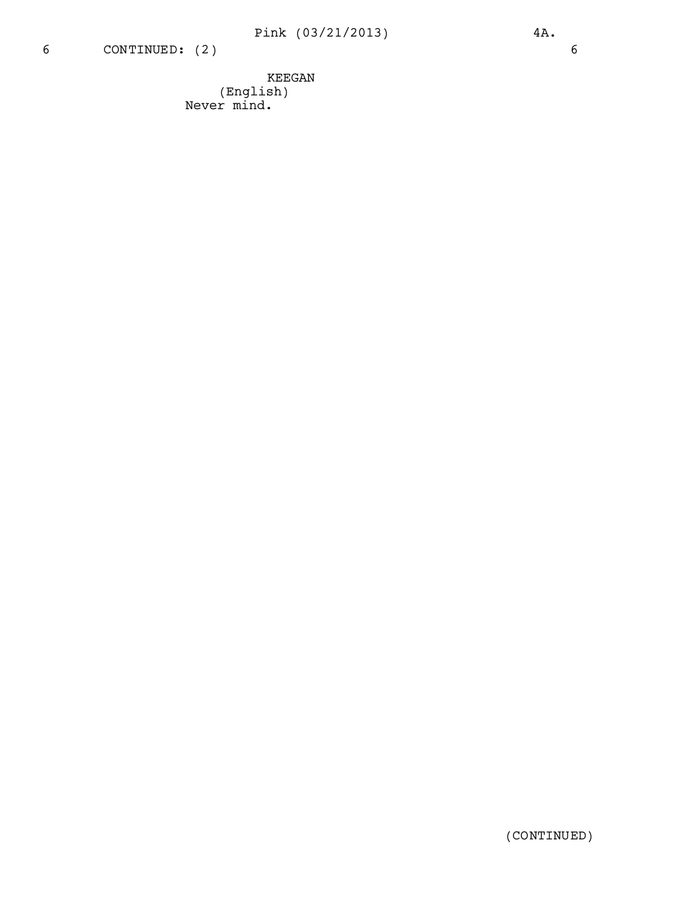KEEGAN (English) Never mind.

(CONTINUED)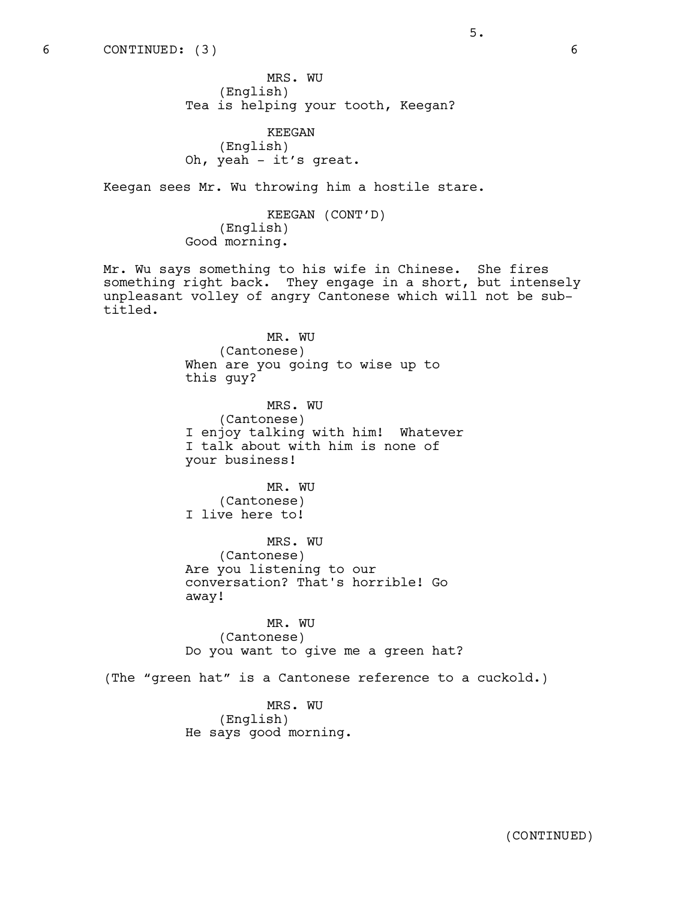MRS. WU (English) Tea is helping your tooth, Keegan?

KEEGAN (English) Oh, yeah - it's great.

Keegan sees Mr. Wu throwing him a hostile stare.

KEEGAN (CONT'D) (English) Good morning.

Mr. Wu says something to his wife in Chinese. She fires something right back. They engage in a short, but intensely unpleasant volley of angry Cantonese which will not be subtitled.

> MR. WU (Cantonese) When are you going to wise up to this guy? MRS. WU (Cantonese) I enjoy talking with him! Whatever

I talk about with him is none of your business!

MR. WU (Cantonese) I live here to!

MRS. WU (Cantonese) Are you listening to our conversation? That's horrible! Go away!

MR. WU (Cantonese) Do you want to give me a green hat?

(The "green hat" is a Cantonese reference to a cuckold.)

MRS. WU (English) He says good morning.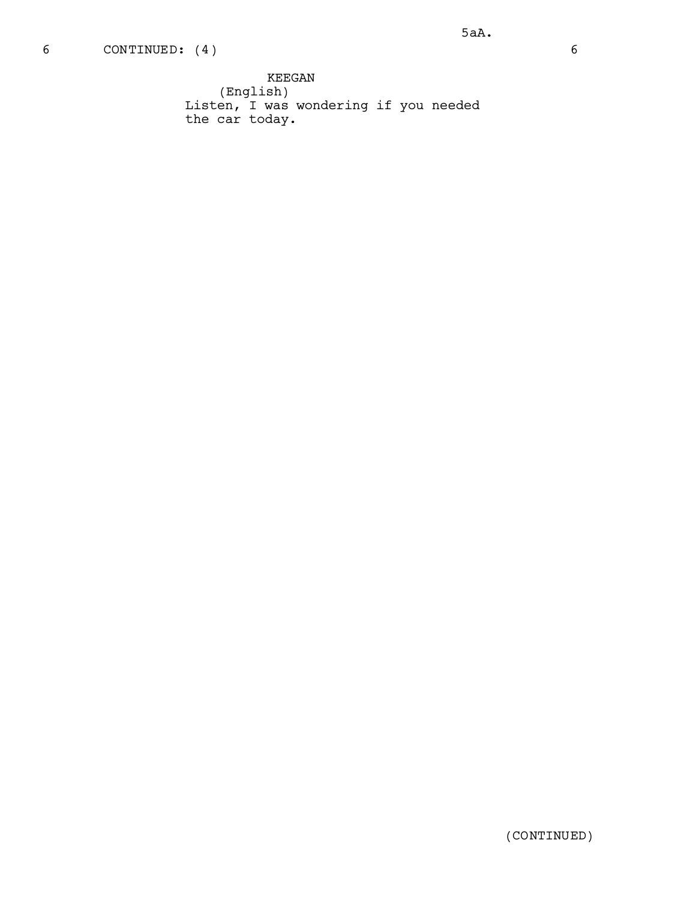KEEGAN (English) Listen, I was wondering if you needed the car today.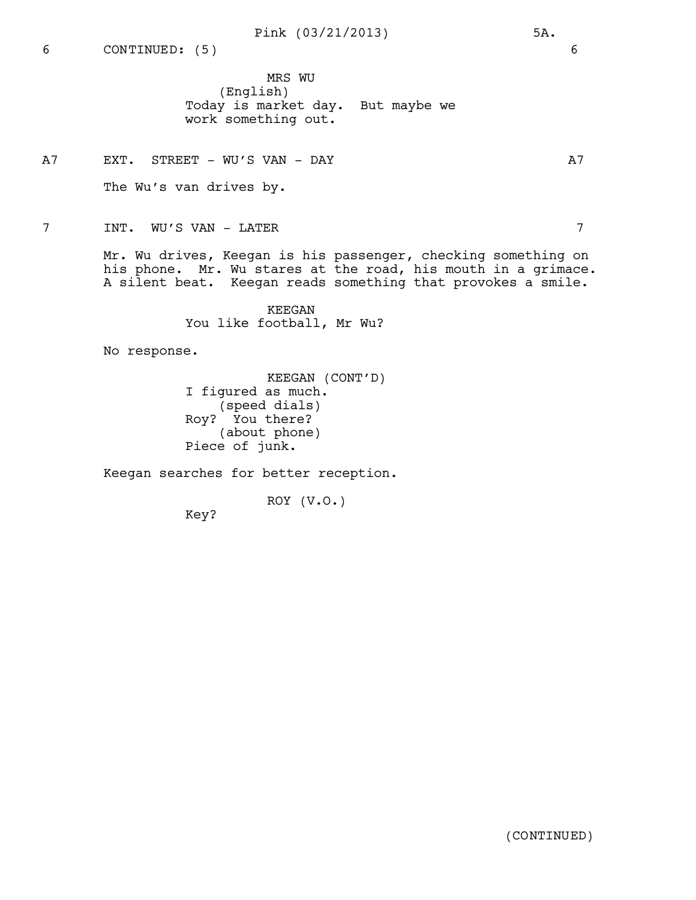Pink (03/21/2013) 5A.

MRS WU

(English) Today is market day. But maybe we work something out.

A7 EXT. STREET – WU'S VAN – DAY 1988 A7

The Wu's van drives by.

7 INT. WU'S VAN - LATER 7

Mr. Wu drives, Keegan is his passenger, checking something on his phone. Mr. Wu stares at the road, his mouth in a grimace. A silent beat. Keegan reads something that provokes a smile.

> KEEGAN You like football, Mr Wu?

No response.

KEEGAN (CONT'D) I figured as much. (speed dials) Roy? You there? (about phone) Piece of junk.

Keegan searches for better reception.

ROY (V.O.)

Key?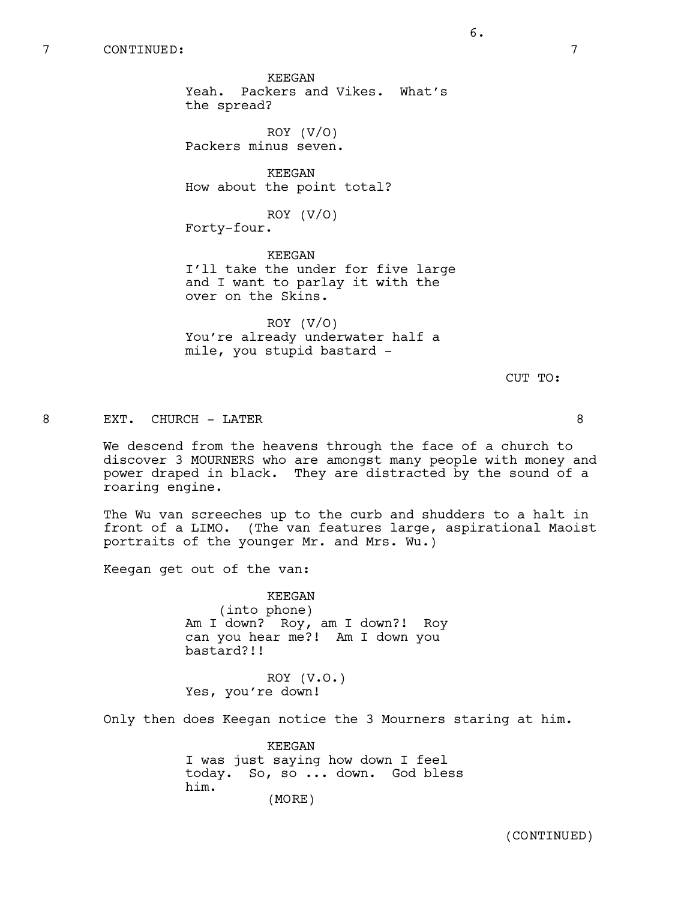KEEGAN Yeah. Packers and Vikes. What's the spread?

ROY (V/O) Packers minus seven.

KEEGAN How about the point total?

ROY (V/O)

Forty-four.

KEEGAN I'll take the under for five large and I want to parlay it with the over on the Skins.

ROY (V/O) You're already underwater half a mile, you stupid bastard -

CUT TO:

8 EXT. CHURCH - LATER 8

We descend from the heavens through the face of a church to discover 3 MOURNERS who are amongst many people with money and power draped in black. They are distracted by the sound of a roaring engine.

The Wu van screeches up to the curb and shudders to a halt in front of a LIMO. (The van features large, aspirational Maoist portraits of the younger Mr. and Mrs. Wu.)

Keegan get out of the van:

KEEGAN (into phone) Am I down? Roy, am I down?! Roy can you hear me?! Am I down you bastard?!!

ROY (V.O.) Yes, you're down!

Only then does Keegan notice the 3 Mourners staring at him.

KEEGAN I was just saying how down I feel today. So, so ... down. God bless him. (MORE)

(CONTINUED)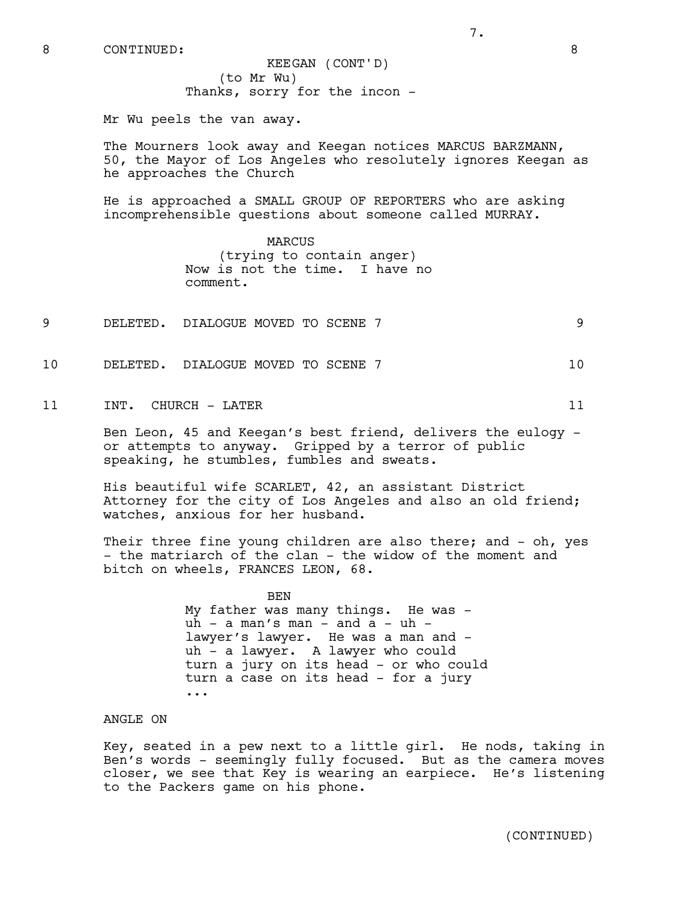(to Mr Wu) Thanks, sorry for the incon - KEEGAN (CONT'D)

Mr Wu peels the van away.

The Mourners look away and Keegan notices MARCUS BARZMANN, 50, the Mayor of Los Angeles who resolutely ignores Keegan as he approaches the Church

7.

He is approached a SMALL GROUP OF REPORTERS who are asking incomprehensible questions about someone called MURRAY.

> MARCUS (trying to contain anger) Now is not the time. I have no comment.

- 9 DELETED. DIALOGUE MOVED TO SCENE 7 9
- 10 DELETED. DIALOGUE MOVED TO SCENE 7 10 10

11 INT. CHURCH – LATER 11

Ben Leon, 45 and Keegan's best friend, delivers the eulogy or attempts to anyway. Gripped by a terror of public speaking, he stumbles, fumbles and sweats.

His beautiful wife SCARLET, 42, an assistant District Attorney for the city of Los Angeles and also an old friend; watches, anxious for her husband.

Their three fine young children are also there; and - oh, yes - the matriarch of the clan - the widow of the moment and bitch on wheels, FRANCES LEON, 68.

> BEN My father was many things. He was  $u \bar{h}$  - a man's man - and a - uh lawyer's lawyer. He was a man and uh - a lawyer. A lawyer who could turn a jury on its head - or who could turn a case on its head - for a jury ...

ANGLE ON

Key, seated in a pew next to a little girl. He nods, taking in Ben's words - seemingly fully focused. But as the camera moves closer, we see that Key is wearing an earpiece. He's listening to the Packers game on his phone.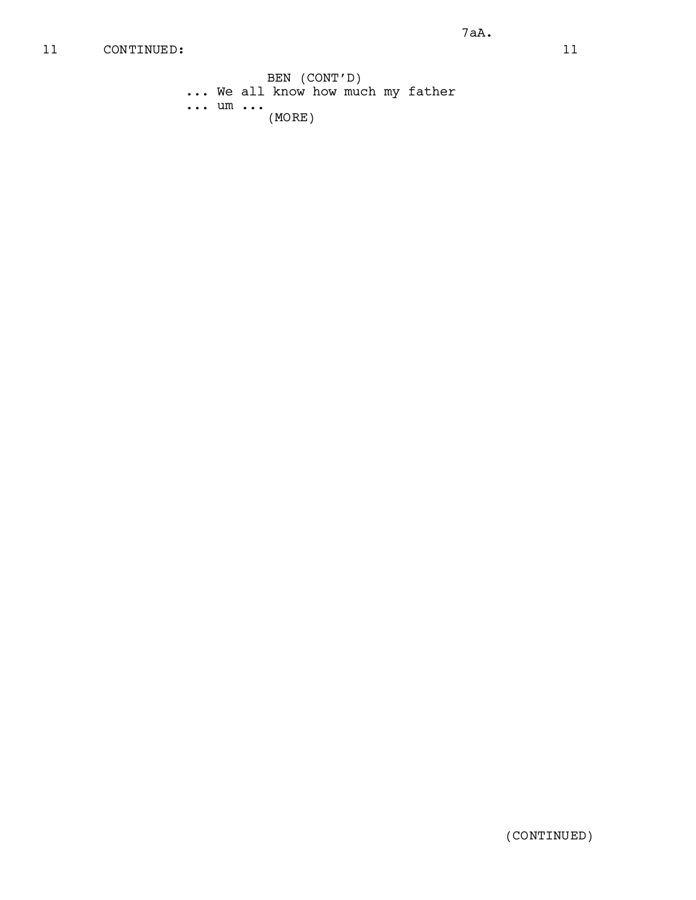BEN (CONT'D) ... We all know how much my father ... um ... (MORE)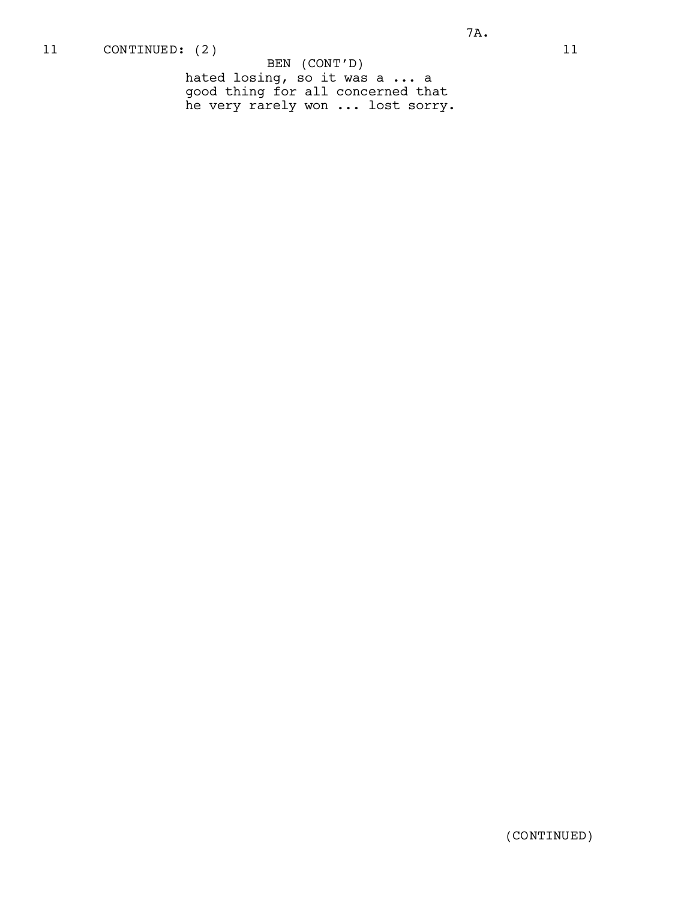BEN (CONT'D)

hated losing, so it was a ... a good thing for all concerned that he very rarely won ... lost sorry.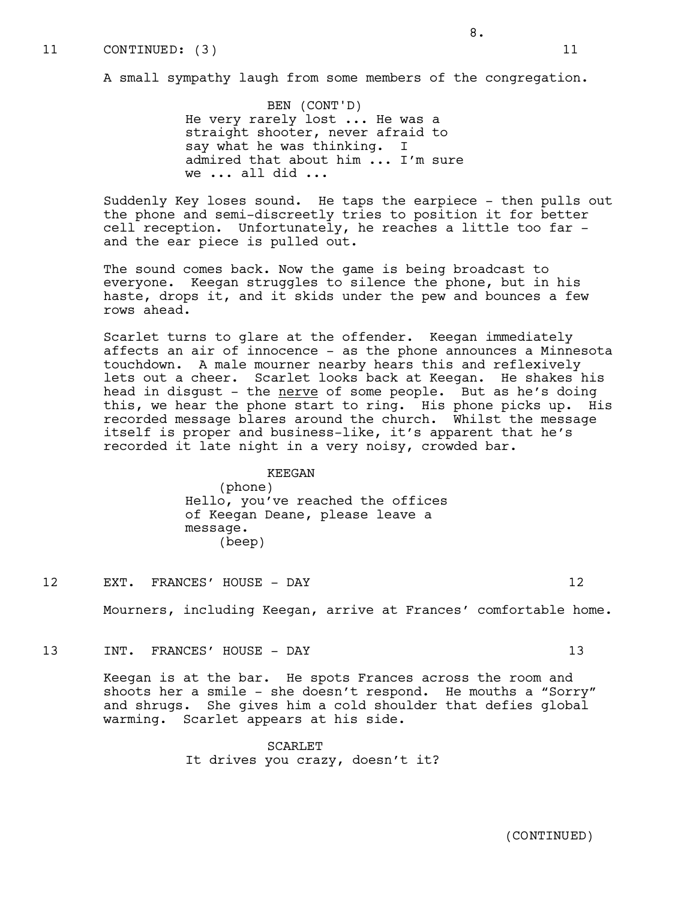# 11 CONTINUED: (3) 11

A small sympathy laugh from some members of the congregation.

BEN (CONT'D) He very rarely lost ... He was a straight shooter, never afraid to say what he was thinking. I admired that about him ... I'm sure we ... all did ...

Suddenly Key loses sound. He taps the earpiece - then pulls out the phone and semi-discreetly tries to position it for better cell reception. Unfortunately, he reaches a little too far and the ear piece is pulled out.

The sound comes back. Now the game is being broadcast to everyone. Keegan struggles to silence the phone, but in his haste, drops it, and it skids under the pew and bounces a few rows ahead.

Scarlet turns to glare at the offender. Keegan immediately affects an air of innocence - as the phone announces a Minnesota touchdown. A male mourner nearby hears this and reflexively lets out a cheer. Scarlet looks back at Keegan. He shakes his head in disgust - the nerve of some people. But as he's doing this, we hear the phone start to ring. His phone picks up. His recorded message blares around the church. Whilst the message itself is proper and business-like, it's apparent that he's recorded it late night in a very noisy, crowded bar.

### KEEGAN

(phone) Hello, you've reached the offices of Keegan Deane, please leave a message. (beep)

12 EXT. FRANCES' HOUSE - DAY 12

Mourners, including Keegan, arrive at Frances' comfortable home.

13 INT. FRANCES' HOUSE - DAY 13

Keegan is at the bar. He spots Frances across the room and shoots her a smile - she doesn't respond. He mouths a "Sorry" and shrugs. She gives him a cold shoulder that defies global warming. Scarlet appears at his side.

> SCARLET It drives you crazy, doesn't it?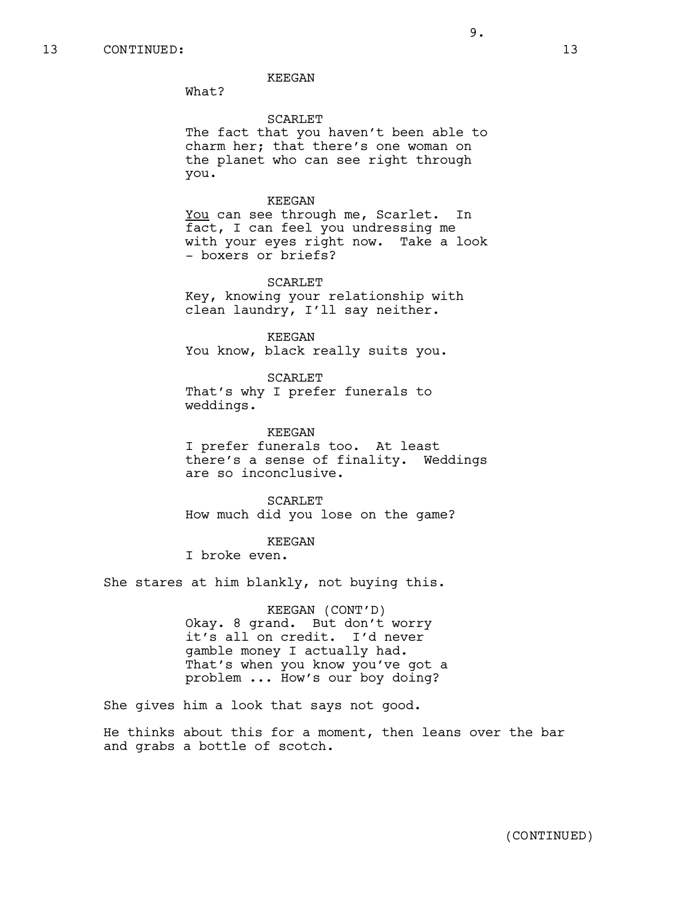#### KEEGAN

What?

### SCARLET

The fact that you haven't been able to charm her; that there's one woman on the planet who can see right through you.

### KEEGAN

You can see through me, Scarlet. In fact, I can feel you undressing me with your eyes right now. Take a look - boxers or briefs?

#### SCARLET

Key, knowing your relationship with clean laundry, I'll say neither.

KEEGAN You know, black really suits you.

SCARLET That's why I prefer funerals to weddings.

KEEGAN I prefer funerals too. At least there's a sense of finality. Weddings are so inconclusive.

SCARLET How much did you lose on the game?

#### KEEGAN

I broke even.

She stares at him blankly, not buying this.

KEEGAN (CONT'D) Okay. 8 grand. But don't worry it's all on credit. I'd never gamble money I actually had. That's when you know you've got a problem ... How's our boy doing?

She gives him a look that says not good.

He thinks about this for a moment, then leans over the bar and grabs a bottle of scotch.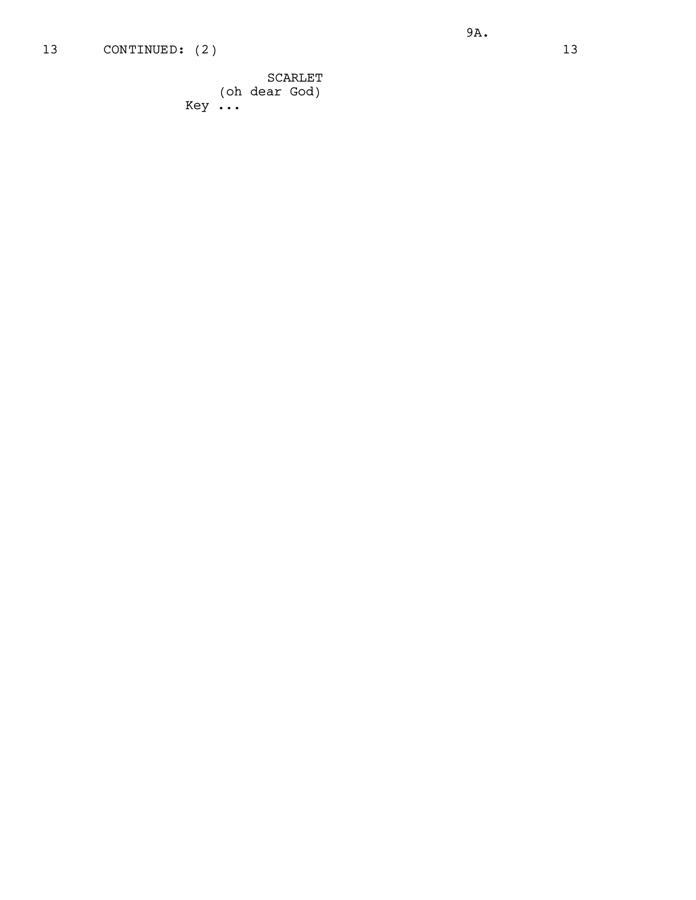# 13 CONTINUED: (2) 13

9A.

SCARLET (oh dear God) Key ...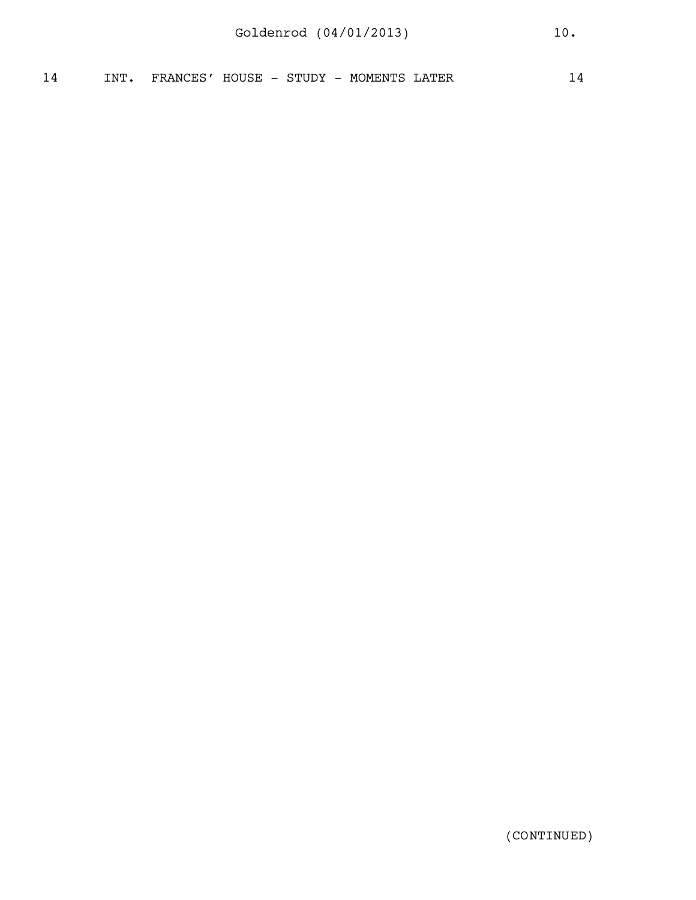| $\sim$<br>$\overline{\mu}$<br><u>. на стр</u> | TNT | FRANCES' | HOUSE<br>$\overline{\phantom{0}}$ | STUDY<br>51 | MOMENTS<br>$\overline{\phantom{0}}$ | LATER | 4 |
|-----------------------------------------------|-----|----------|-----------------------------------|-------------|-------------------------------------|-------|---|
|                                               |     |          |                                   |             |                                     |       |   |

(CONTINUED)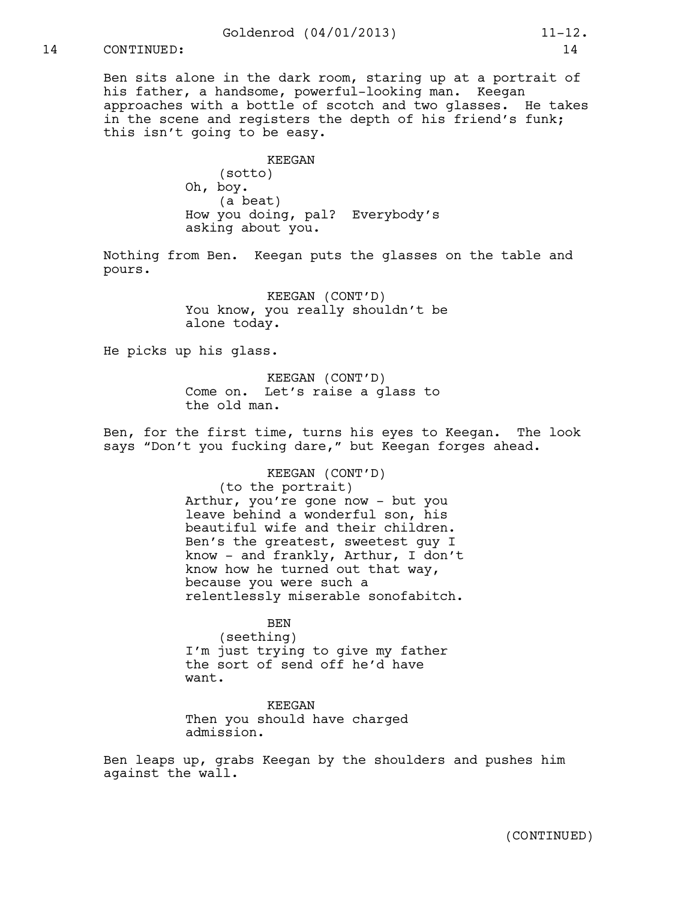Ben sits alone in the dark room, staring up at a portrait of his father, a handsome, powerful-looking man. Keegan approaches with a bottle of scotch and two glasses. He takes in the scene and registers the depth of his friend's funk; this isn't going to be easy.

> KEEGAN (sotto) Oh, boy. (a beat) How you doing, pal? Everybody's asking about you.

Nothing from Ben. Keegan puts the glasses on the table and pours.

> KEEGAN (CONT'D) You know, you really shouldn't be alone today.

He picks up his glass.

KEEGAN (CONT'D) Come on. Let's raise a glass to the old man.

Ben, for the first time, turns his eyes to Keegan. The look says "Don't you fucking dare," but Keegan forges ahead.

> KEEGAN (CONT'D) (to the portrait) Arthur, you're gone now - but you leave behind a wonderful son, his beautiful wife and their children. Ben's the greatest, sweetest guy I know - and frankly, Arthur, I don't know how he turned out that way, because you were such a relentlessly miserable sonofabitch.

BEN (seething) I'm just trying to give my father the sort of send off he'd have want.

KEEGAN Then you should have charged admission.

Ben leaps up, grabs Keegan by the shoulders and pushes him against the wall.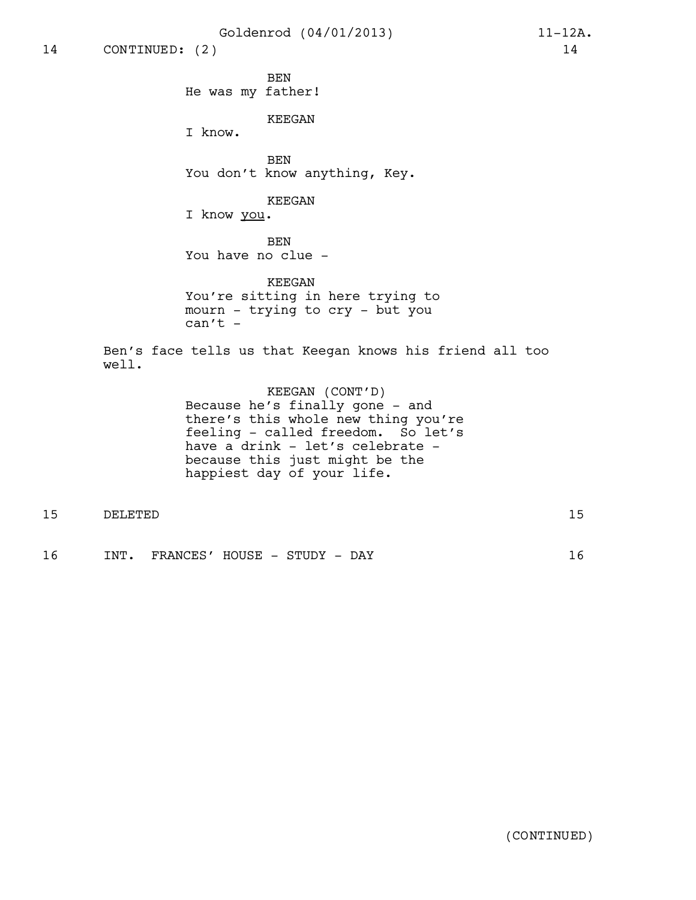Goldenrod (04/01/2013) 11-12A.

BEN He was my father!

KEEGAN

I know.

BEN You don't know anything, Key.

KEEGAN

I know you.

BEN You have no clue -

KEEGAN You're sitting in here trying to mourn - trying to cry - but you  $can't -$ 

Ben's face tells us that Keegan knows his friend all too well.

> KEEGAN (CONT'D) Because he's finally gone - and there's this whole new thing you're feeling - called freedom. So let's have a drink - let's celebrate because this just might be the happiest day of your life.

| $\sim$<br>∽<br>ᅩ | חתידית דתם | $-$<br>-- |
|------------------|------------|-----------|
|                  |            |           |
|                  |            |           |

16 INT. FRANCES' HOUSE - STUDY - DAY 16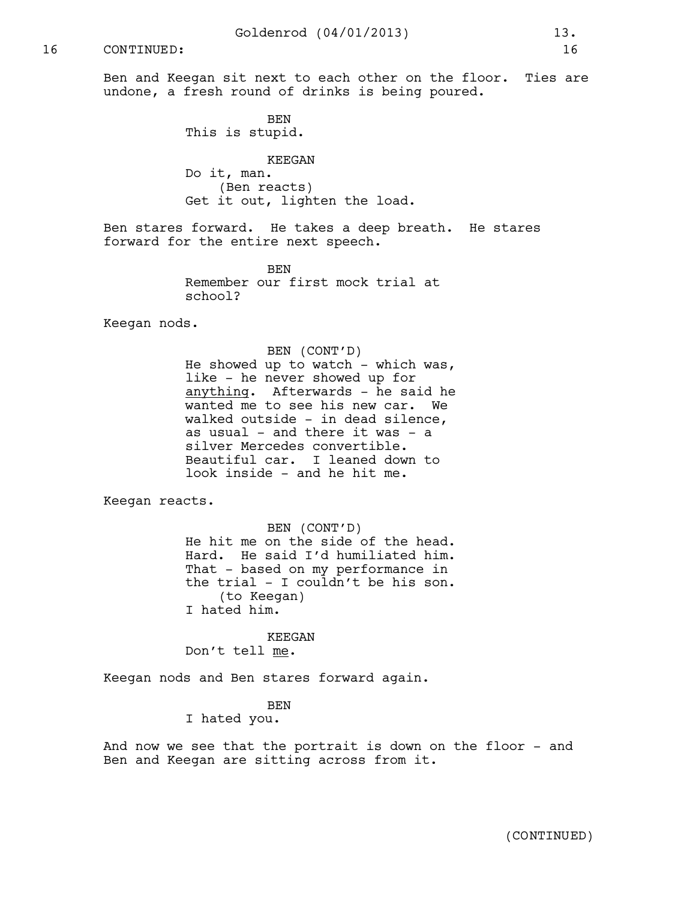Ben and Keegan sit next to each other on the floor. Ties are undone, a fresh round of drinks is being poured.

> BEN This is stupid.

KEEGAN Do it, man. (Ben reacts) Get it out, lighten the load.

Ben stares forward. He takes a deep breath. He stares forward for the entire next speech.

> BEN Remember our first mock trial at school?

Keegan nods.

BEN (CONT'D) He showed up to watch - which was, like - he never showed up for anything. Afterwards - he said he wanted me to see his new car. We walked outside - in dead silence, as usual - and there it was - a silver Mercedes convertible. Beautiful car. I leaned down to look inside - and he hit me.

Keegan reacts.

BEN (CONT'D) He hit me on the side of the head. Hard. He said I'd humiliated him. That - based on my performance in the trial - I couldn't be his son. (to Keegan) I hated him.

KEEGAN Don't tell me.

Keegan nods and Ben stares forward again.

BEN I hated you.

And now we see that the portrait is down on the floor - and Ben and Keegan are sitting across from it.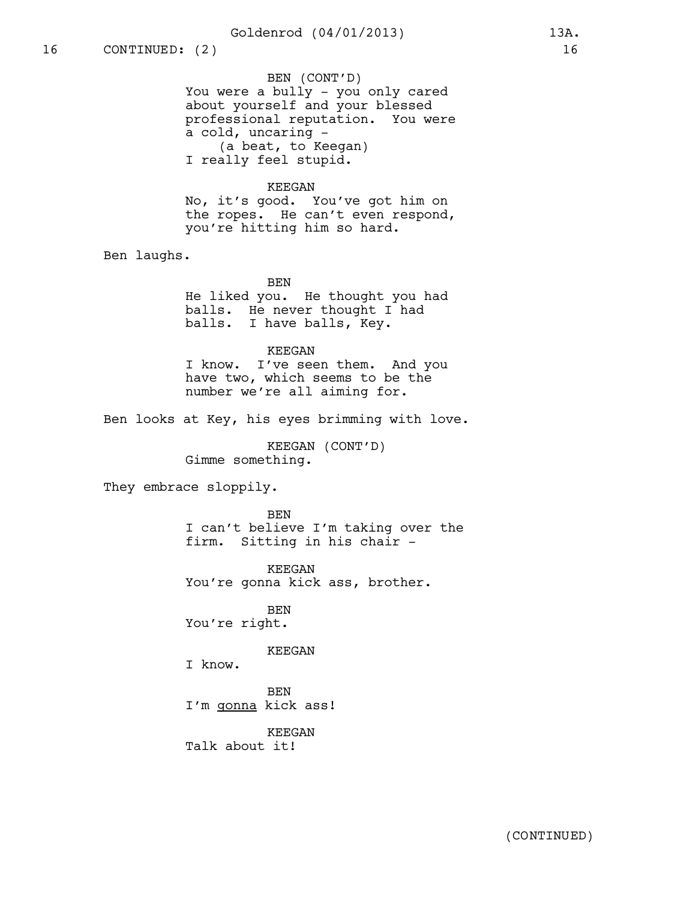# Goldenrod (04/01/2013) 13A.

BEN (CONT'D) You were a bully - you only cared about yourself and your blessed professional reputation. You were a cold, uncaring - (a beat, to Keegan) I really feel stupid.

#### KEEGAN

No, it's good. You've got him on the ropes. He can't even respond, you're hitting him so hard.

Ben laughs.

BEN

He liked you. He thought you had balls. He never thought I had balls. I have balls, Key.

KEEGAN

I know. I've seen them. And you have two, which seems to be the number we're all aiming for.

Ben looks at Key, his eyes brimming with love.

KEEGAN (CONT'D) Gimme something.

They embrace sloppily.

BEN I can't believe I'm taking over the firm. Sitting in his chair -

KEEGAN You're gonna kick ass, brother.

BEN You're right.

### KEEGAN

I know.

BEN I'm gonna kick ass!

KEEGAN Talk about it!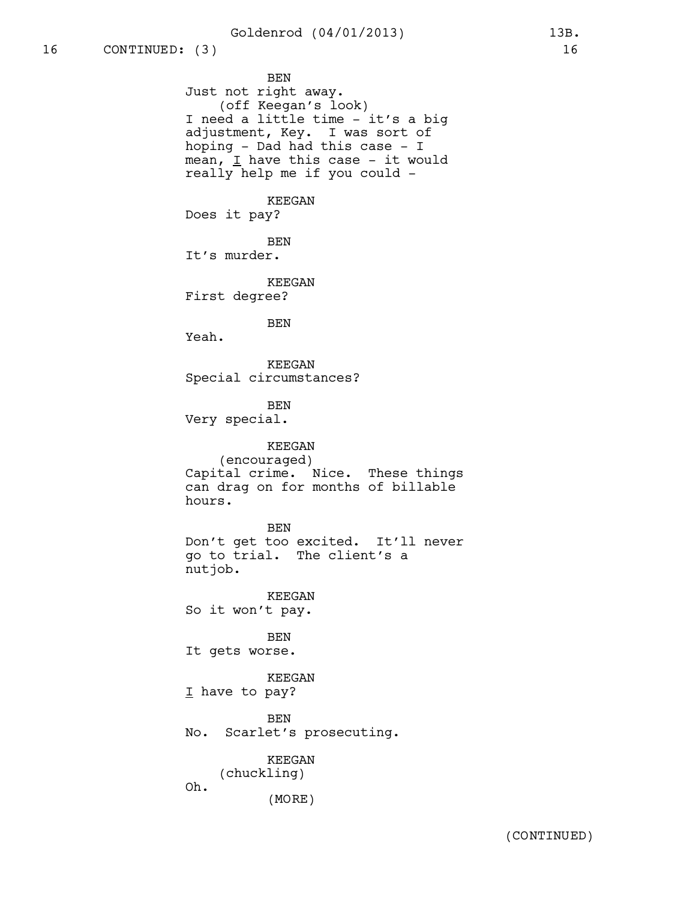BEN Just not right away. (off Keegan's look) I need a little time - it's a big adjustment, Key. I was sort of hoping - Dad had this case - I mean,  $I$  have this case - it would really help me if you could - KEEGAN Does it pay? BEN It's murder. KEEGAN First degree? BEN Yeah. KEEGAN Special circumstances? BEN Very special. KEEGAN (encouraged) Capital crime. Nice. These things can drag on for months of billable hours. BEN Don't get too excited. It'll never go to trial. The client's a nutjob. KEEGAN So it won't pay. BEN It gets worse. KEEGAN I have to pay? BEN No. Scarlet's prosecuting. KEEGAN (chuckling) Oh. (MORE)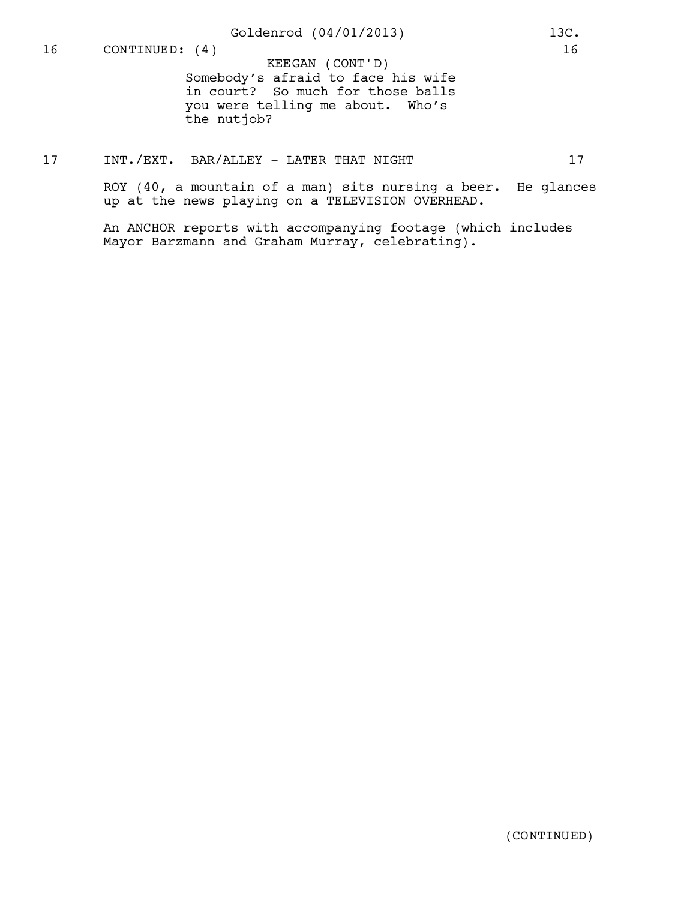Somebody's afraid to face his wife in court? So much for those balls you were telling me about. Who's the nutjob? KEEGAN (CONT'D)

# 17 INT./EXT. BAR/ALLEY - LATER THAT NIGHT 17

ROY (40, a mountain of a man) sits nursing a beer. He glances up at the news playing on a TELEVISION OVERHEAD.

An ANCHOR reports with accompanying footage (which includes Mayor Barzmann and Graham Murray, celebrating).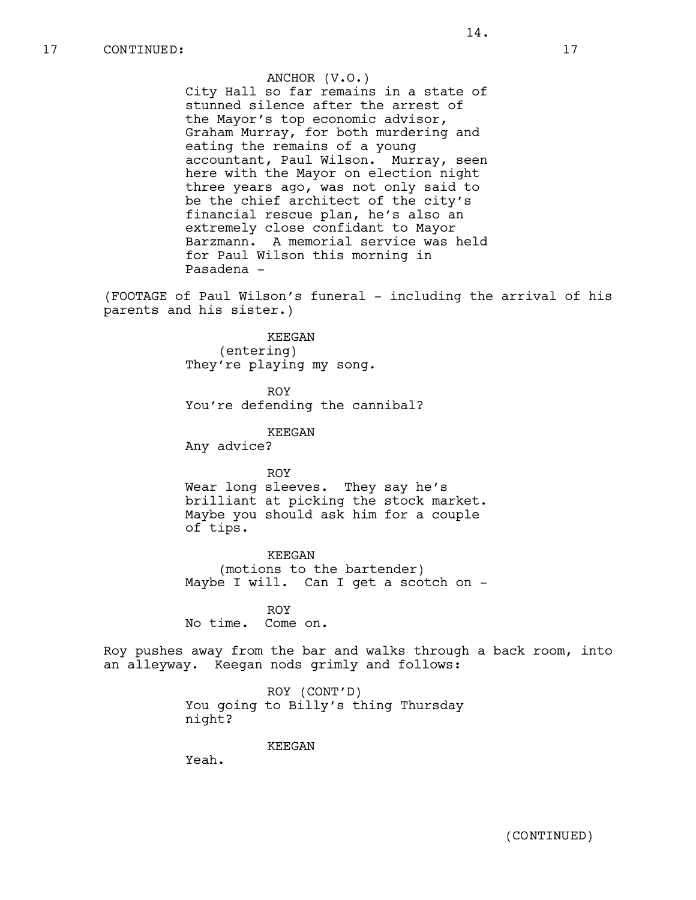ANCHOR (V.O.) City Hall so far remains in a state of stunned silence after the arrest of the Mayor's top economic advisor, Graham Murray, for both murdering and eating the remains of a young accountant, Paul Wilson. Murray, seen here with the Mayor on election night three years ago, was not only said to be the chief architect of the city's financial rescue plan, he's also an extremely close confidant to Mayor Barzmann. A memorial service was held for Paul Wilson this morning in Pasadena -

(FOOTAGE of Paul Wilson's funeral - including the arrival of his parents and his sister.)

> KEEGAN (entering) They're playing my song.

ROY You're defending the cannibal?

KEEGAN

Any advice?

ROY Wear long sleeves. They say he's brilliant at picking the stock market. Maybe you should ask him for a couple of tips.

KEEGAN (motions to the bartender) Maybe I will. Can I get a scotch on -

ROY No time. Come on.

Roy pushes away from the bar and walks through a back room, into an alleyway. Keegan nods grimly and follows:

> ROY (CONT'D) You going to Billy's thing Thursday night?

> > KEEGAN

Yeah.

(CONTINUED)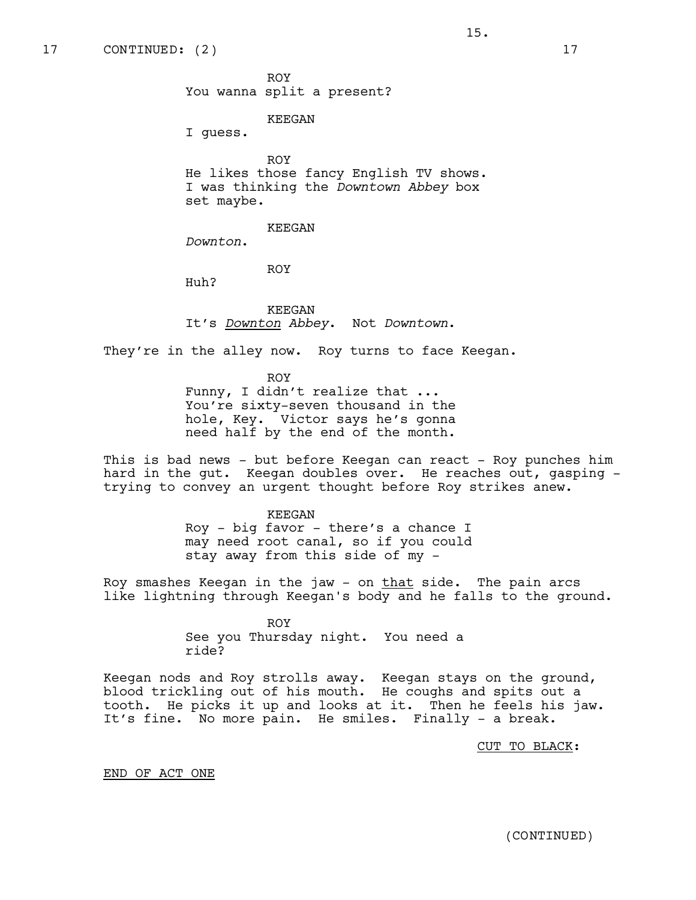ROY You wanna split a present?

KEEGAN

I guess.

ROY He likes those fancy English TV shows. I was thinking the *Downtown Abbey* box set maybe.

15.

KEEGAN

*Downton*.

ROY

Huh?

KEEGAN It's *Downton Abbey*. Not *Downtown*.

They're in the alley now. Roy turns to face Keegan.

ROY Funny, I didn't realize that ... You're sixty-seven thousand in the hole, Key. Victor says he's gonna need half by the end of the month.

This is bad news - but before Keegan can react - Roy punches him hard in the gut. Keegan doubles over. He reaches out, gasping trying to convey an urgent thought before Roy strikes anew.

> KEEGAN Roy - big favor - there's a chance I may need root canal, so if you could stay away from this side of my -

Roy smashes Keegan in the jaw - on that side. The pain arcs like lightning through Keegan's body and he falls to the ground.

> ROY See you Thursday night. You need a ride?

Keegan nods and Roy strolls away. Keegan stays on the ground, blood trickling out of his mouth. He coughs and spits out a tooth. He picks it up and looks at it. Then he feels his jaw. It's fine. No more pain. He smiles. Finally - a break.

CUT TO BLACK:

END OF ACT ONE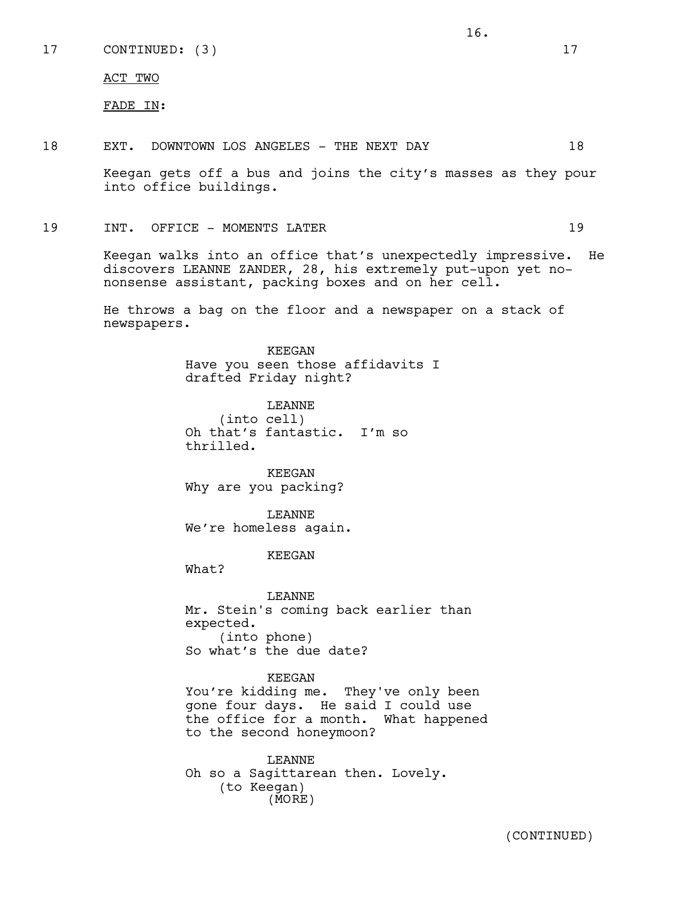17 CONTINUED: (3) 17

ACT TWO

FADE IN:

18 EXT. DOWNTOWN LOS ANGELES - THE NEXT DAY 18

Keegan gets off a bus and joins the city's masses as they pour into office buildings.

16.

19 INT. OFFICE – MOMENTS LATER 19

Keegan walks into an office that's unexpectedly impressive. He discovers LEANNE ZANDER, 28, his extremely put-upon yet nononsense assistant, packing boxes and on her cell.

He throws a bag on the floor and a newspaper on a stack of newspapers.

> KEEGAN Have you seen those affidavits I drafted Friday night?

LEANNE (into cell) Oh that's fantastic. I'm so thrilled.

KEEGAN Why are you packing?

LEANNE We're homeless again.

KEEGAN

What?

LEANNE Mr. Stein's coming back earlier than expected. (into phone) So what's the due date?

### KEEGAN

You're kidding me. They've only been gone four days. He said I could use the office for a month. What happened to the second honeymoon?

LEANNE Oh so a Sagittarean then. Lovely. (to Keegan) (MORE)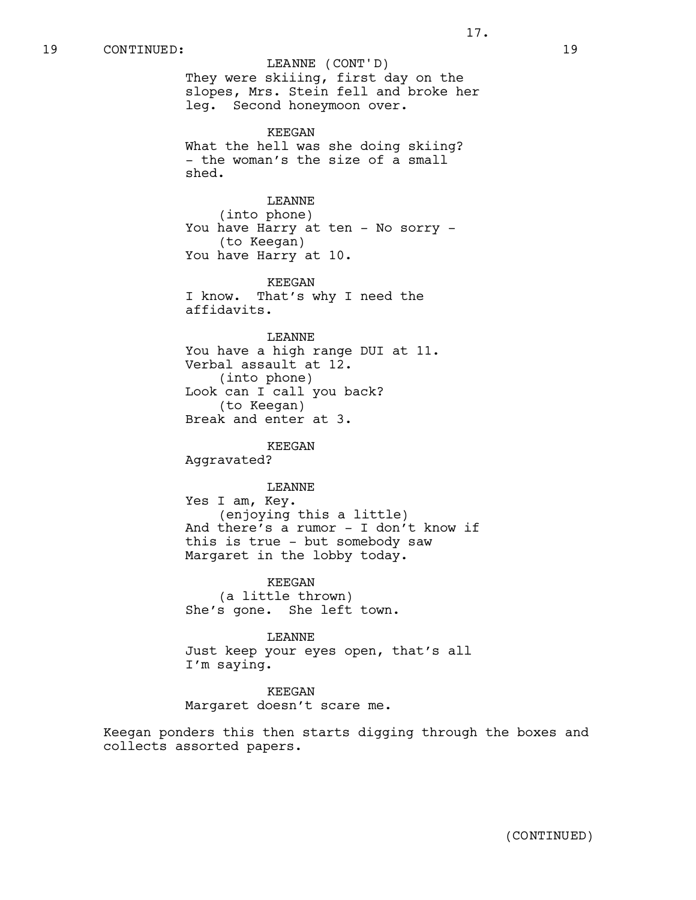LEANNE (CONT'D)

They were skiiing, first day on the slopes, Mrs. Stein fell and broke her leg. Second honeymoon over.

KEEGAN What the hell was she doing skiing? - the woman's the size of a small shed.

LEANNE

(into phone) You have Harry at ten - No sorry -(to Keegan) You have Harry at 10.

KEEGAN I know. That's why I need the affidavits.

LEANNE You have a high range DUI at 11. Verbal assault at 12. (into phone) Look can I call you back? (to Keegan) Break and enter at 3.

KEEGAN Aggravated?

LEANNE Yes I am, Key. (enjoying this a little) And there's a rumor - I don't know if this is true - but somebody saw Margaret in the lobby today.

KEEGAN (a little thrown) She's gone. She left town.

LEANNE Just keep your eyes open, that's all I'm saying.

KEEGAN Margaret doesn't scare me.

Keegan ponders this then starts digging through the boxes and collects assorted papers.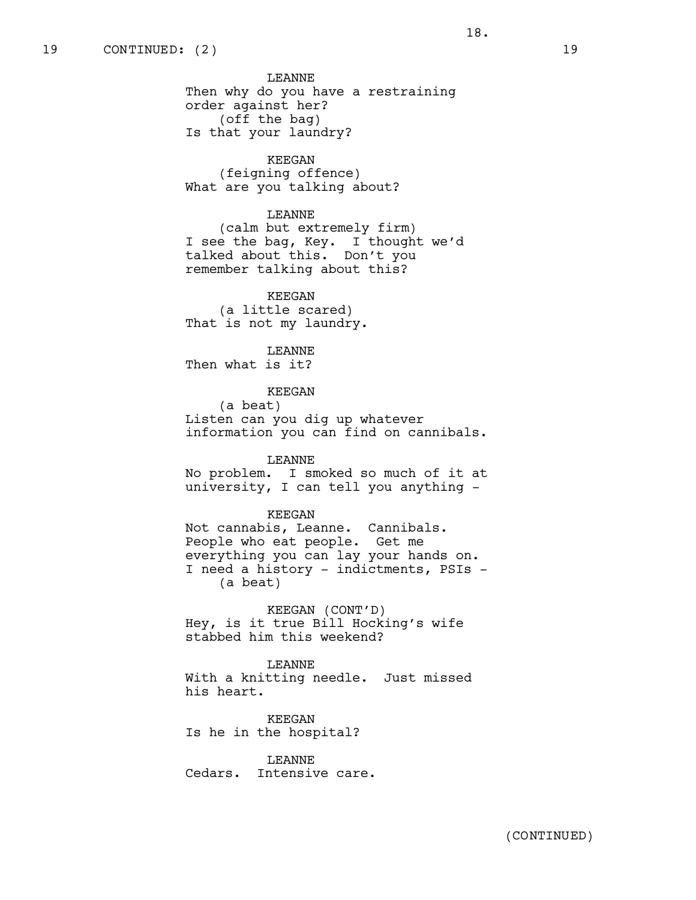LEANNE Then why do you have a restraining order against her? (off the bag) Is that your laundry?

KEEGAN (feigning offence) What are you talking about?

## LEANNE

(calm but extremely firm) I see the bag, Key. I thought we'd talked about this. Don't you remember talking about this?

KEEGAN (a little scared) That is not my laundry.

LEANNE Then what is it?

#### KEEGAN

(a beat) Listen can you dig up whatever information you can find on cannibals.

LEANNE No problem. I smoked so much of it at

university, I can tell you anything -

KEEGAN

Not cannabis, Leanne. Cannibals. People who eat people. Get me everything you can lay your hands on. I need a history - indictments, PSIs - (a beat)

KEEGAN (CONT'D) Hey, is it true Bill Hocking's wife stabbed him this weekend?

LEANNE With a knitting needle. Just missed his heart.

KEEGAN Is he in the hospital?

LEANNE Cedars. Intensive care.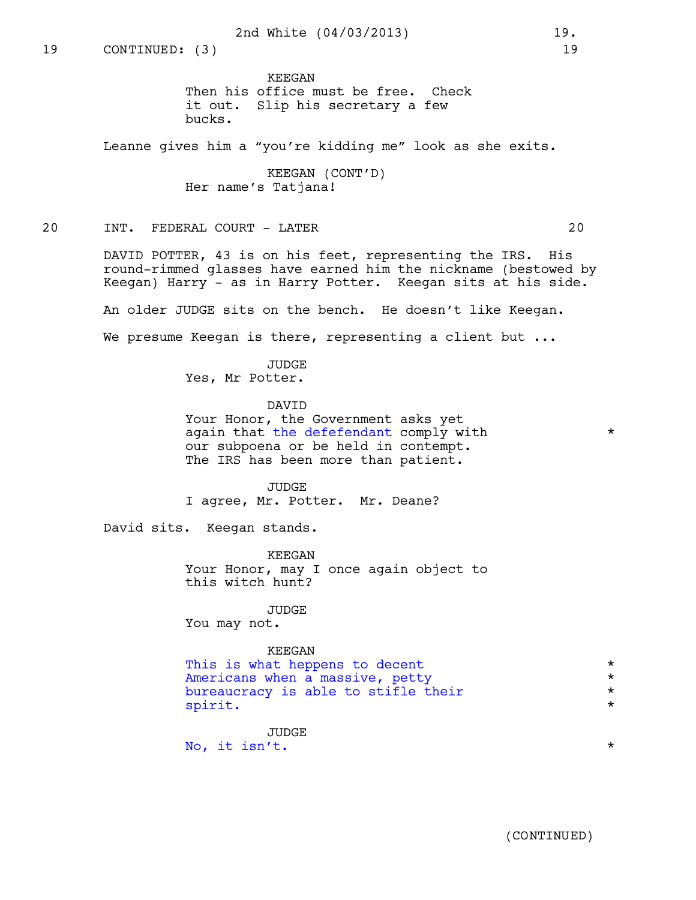KEEGAN Then his office must be free. Check it out. Slip his secretary a few bucks.

Leanne gives him a "you're kidding me" look as she exits.

KEEGAN (CONT'D) Her name's Tatjana!

# 20 INT. FEDERAL COURT - LATER 20

DAVID POTTER, 43 is on his feet, representing the IRS. His round-rimmed glasses have earned him the nickname (bestowed by Keegan) Harry - as in Harry Potter. Keegan sits at his side.

An older JUDGE sits on the bench. He doesn't like Keegan.

We presume Keegan is there, representing a client but ...

JUDGE Yes, Mr Potter.

DAVID Your Honor, the Government asks yet

again that the defefendant comply with  $*$ our subpoena or be held in contempt. The IRS has been more than patient.

JUDGE I agree, Mr. Potter. Mr. Deane?

David sits. Keegan stands.

KEEGAN Your Honor, may I once again object to this witch hunt?

JUDGE You may not.

#### KEEGAN

This is what heppens to decent<br>Americans when a massive, petty \* \* \* \* Americans when a massive, petty<br>
bureaucracy is able to stifle their<br>
\* bureaucracy is able to stifle their  $*$ <br>mirit spirit.

JUDGE No, it isn't.  $\star$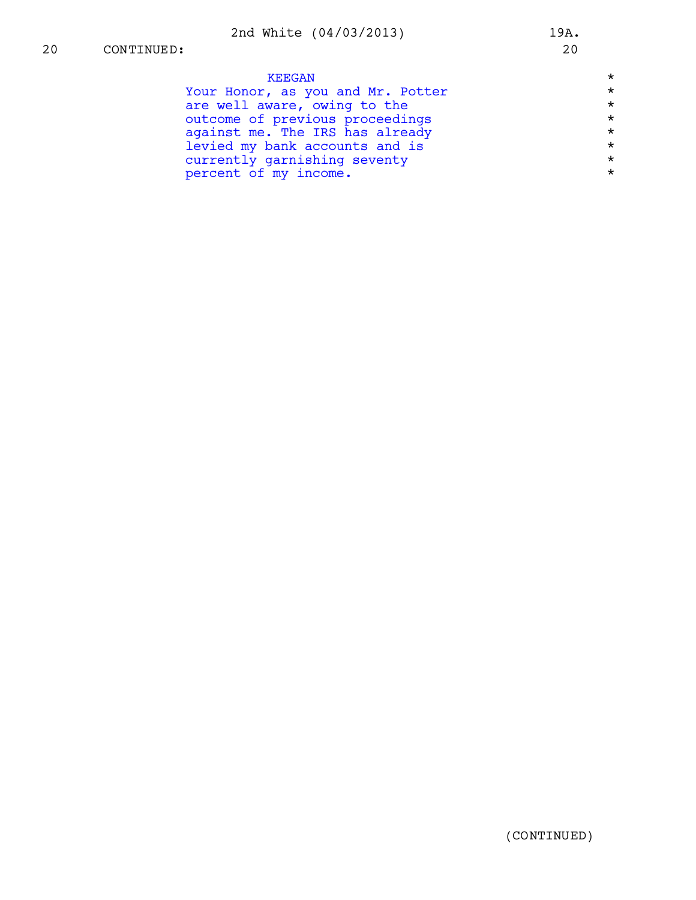| <b>KEEGAN</b>                     | $\star$ |
|-----------------------------------|---------|
| Your Honor, as you and Mr. Potter | $\star$ |
| are well aware, owing to the      | $\star$ |
| outcome of previous proceedings   | $\star$ |
| against me. The IRS has already   | $\star$ |
| levied my bank accounts and is    | $\star$ |
| currently garnishing seventy      | $\star$ |
| percent of my income.             | $\star$ |
|                                   |         |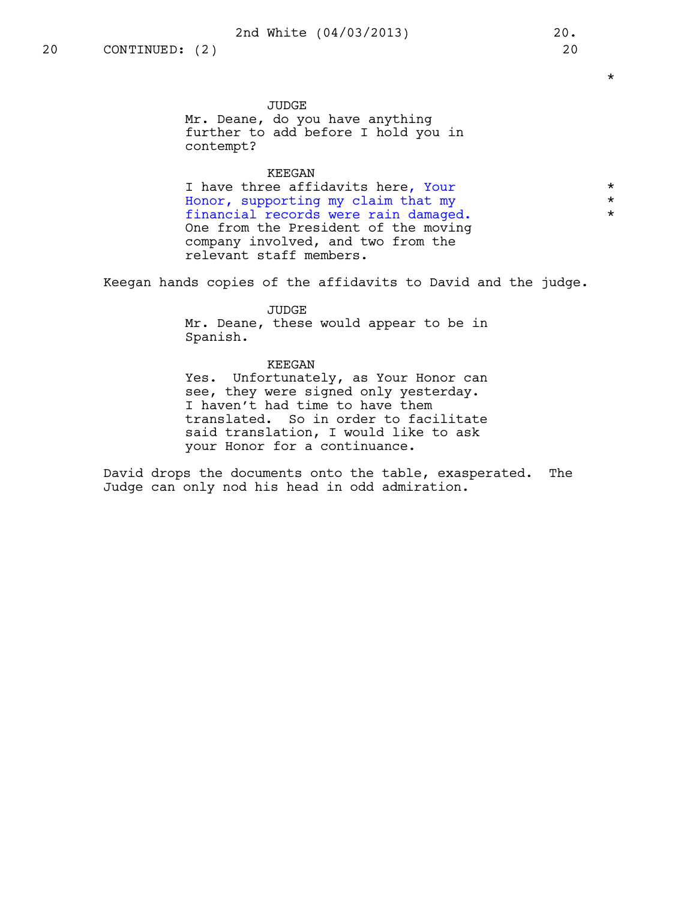\*

JUDGE Mr. Deane, do you have anything further to add before I hold you in contempt?

# KEEGAN

I have three affidavits here, Your \*  $\frac{1}{2}$  Honor, supporting my claim that my  $\star$ <br>financial records were rain damaged financial records were rain damaged. \* One from the President of the moving company involved, and two from the relevant staff members.

Keegan hands copies of the affidavits to David and the judge.

## JUDGE

Mr. Deane, these would appear to be in Spanish.

### KEEGAN

Yes. Unfortunately, as Your Honor can see, they were signed only yesterday. I haven't had time to have them translated. So in order to facilitate said translation, I would like to ask your Honor for a continuance.

David drops the documents onto the table, exasperated. The Judge can only nod his head in odd admiration.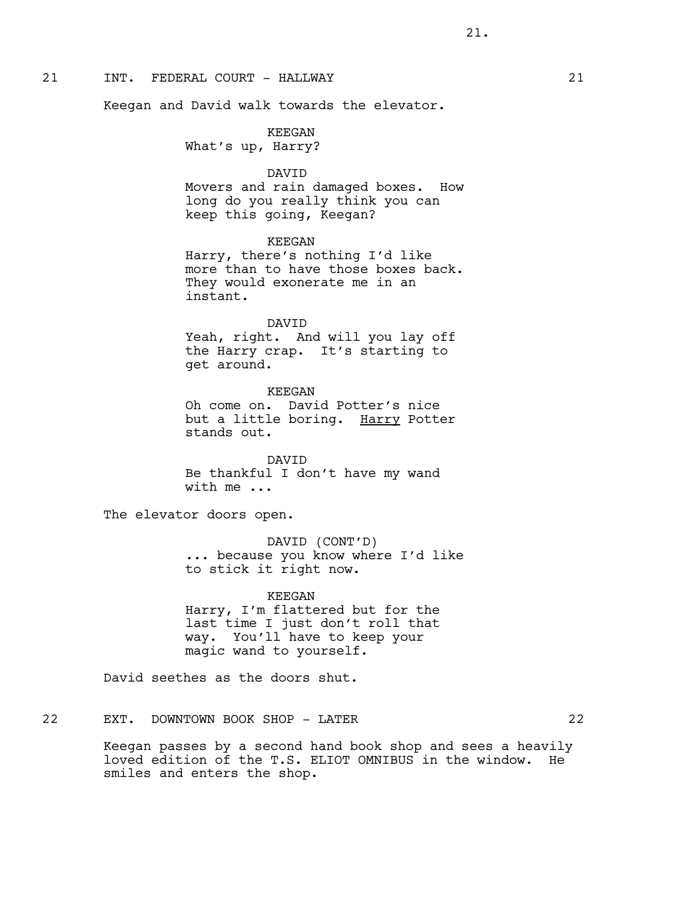# 21 INT. FEDERAL COURT - HALLWAY 21

Keegan and David walk towards the elevator.

KEEGAN What's up, Harry?

DAVID

Movers and rain damaged boxes. How long do you really think you can keep this going, Keegan?

KEEGAN

Harry, there's nothing I'd like more than to have those boxes back. They would exonerate me in an instant.

DAVID

Yeah, right. And will you lay off the Harry crap. It's starting to get around.

KEEGAN Oh come on. David Potter's nice but a little boring. Harry Potter stands out.

DAVID Be thankful I don't have my wand with me ...

The elevator doors open.

DAVID (CONT'D) ... because you know where I'd like to stick it right now.

KEEGAN Harry, I'm flattered but for the last time I just don't roll that way. You'll have to keep your magic wand to yourself.

David seethes as the doors shut.

22 EXT. DOWNTOWN BOOK SHOP - LATER 22

Keegan passes by a second hand book shop and sees a heavily loved edition of the T.S. ELIOT OMNIBUS in the window. He smiles and enters the shop.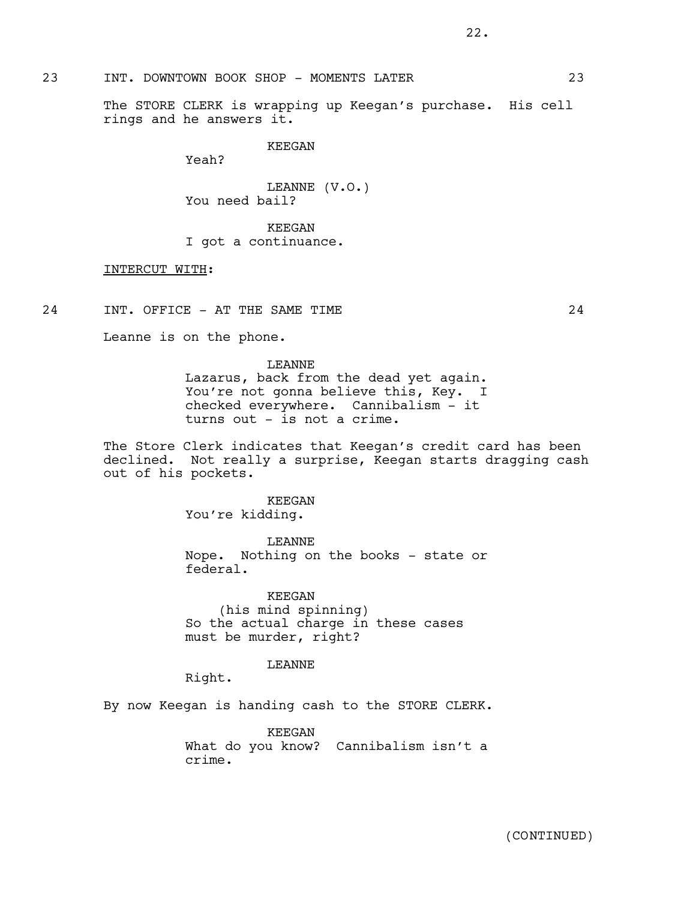# 23 INT. DOWNTOWN BOOK SHOP - MOMENTS LATER 23

The STORE CLERK is wrapping up Keegan's purchase. His cell rings and he answers it.

KEEGAN

Yeah?

LEANNE (V.O.) You need bail?

KEEGAN I got a continuance.

# INTERCUT WITH:

24 INT. OFFICE - AT THE SAME TIME 24

Leanne is on the phone.

LEANNE Lazarus, back from the dead yet again. You're not gonna believe this, Key. I checked everywhere. Cannibalism - it turns out - is not a crime.

The Store Clerk indicates that Keegan's credit card has been declined. Not really a surprise, Keegan starts dragging cash out of his pockets.

> KEEGAN You're kidding.

LEANNE Nope. Nothing on the books - state or federal.

KEEGAN (his mind spinning) So the actual charge in these cases must be murder, right?

### LEANNE

Right.

By now Keegan is handing cash to the STORE CLERK.

KEEGAN What do you know? Cannibalism isn't a crime.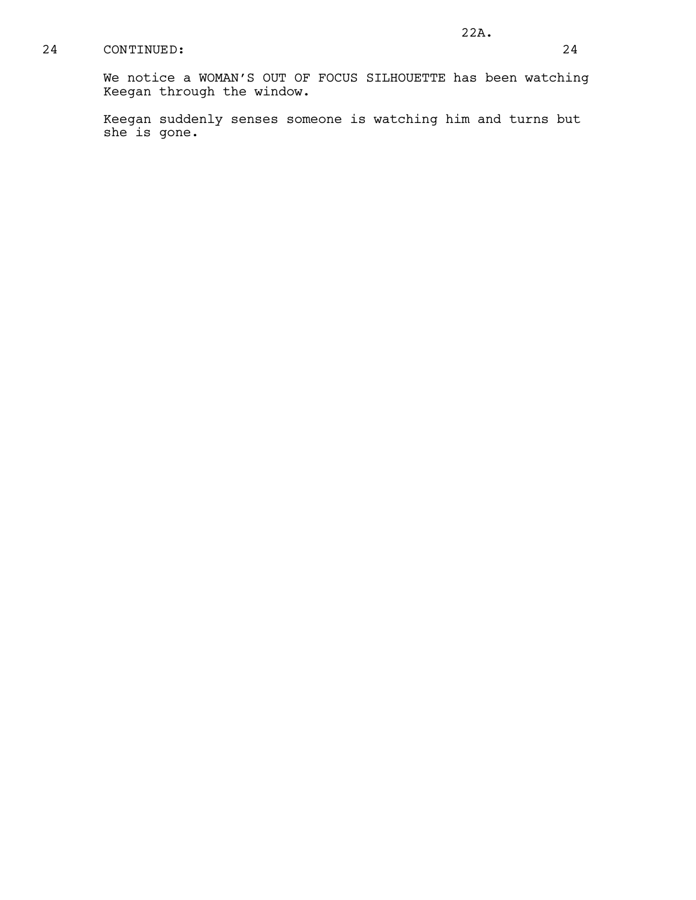We notice a WOMAN'S OUT OF FOCUS SILHOUETTE has been watching Keegan through the window.

Keegan suddenly senses someone is watching him and turns but she is gone.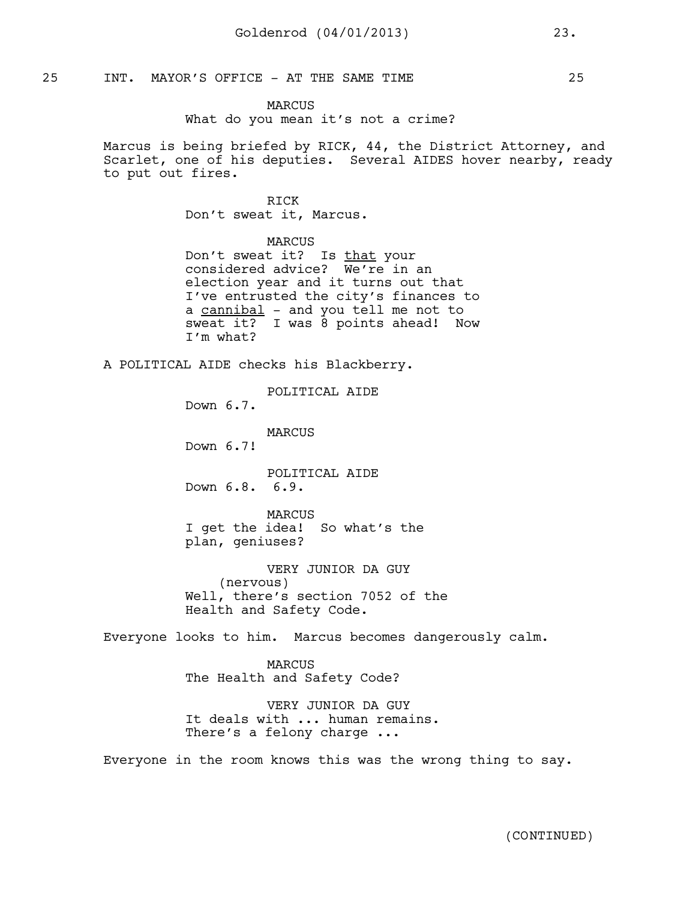## 25 INT. MAYOR'S OFFICE - AT THE SAME TIME 25

MARCUS What do you mean it's not a crime?

Marcus is being briefed by RICK, 44, the District Attorney, and Scarlet, one of his deputies. Several AIDES hover nearby, ready to put out fires.

# RICK

Don't sweat it, Marcus.

### MARCUS

Don't sweat it? Is that your considered advice? We're in an election year and it turns out that I've entrusted the city's finances to a cannibal - and you tell me not to sweat it? I was 8 points ahead! Now I'm what?

A POLITICAL AIDE checks his Blackberry.

POLITICAL AIDE

Down 6.7.

MARCUS

Down 6.7!

POLITICAL AIDE Down 6.8. 6.9.

MARCUS I get the idea! So what's the plan, geniuses?

VERY JUNIOR DA GUY (nervous) Well, there's section 7052 of the Health and Safety Code.

Everyone looks to him. Marcus becomes dangerously calm.

MARCUS The Health and Safety Code?

VERY JUNIOR DA GUY It deals with ... human remains. There's a felony charge ...

Everyone in the room knows this was the wrong thing to say.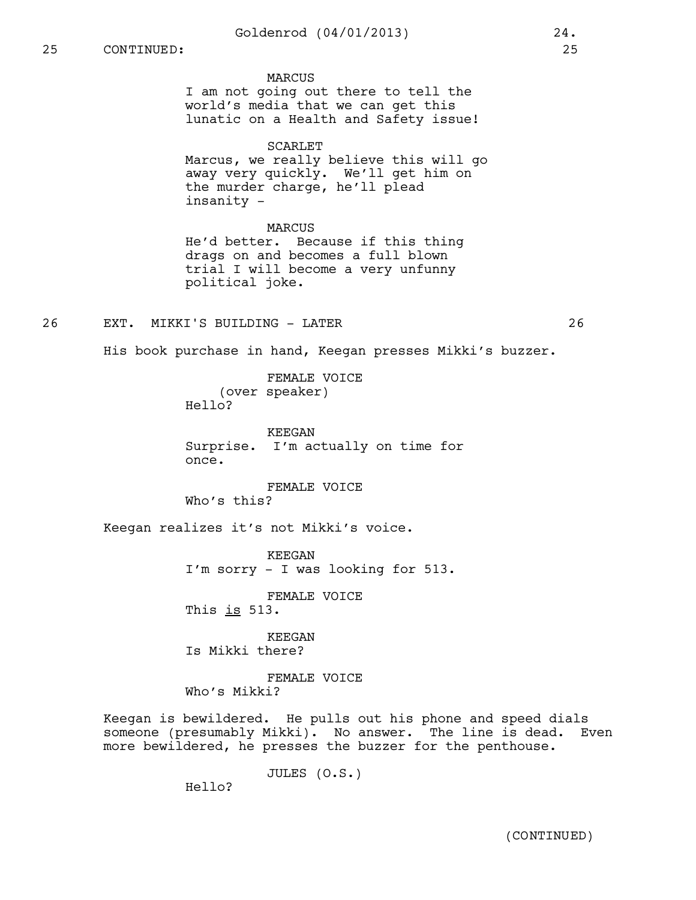# 25 CONTINUED: 25

#### **MARCUS**

I am not going out there to tell the world's media that we can get this lunatic on a Health and Safety issue!

#### SCARLET

Marcus, we really believe this will go away very quickly. We'll get him on the murder charge, he'll plead insanity -

#### MARCUS

He'd better. Because if this thing drags on and becomes a full blown trial I will become a very unfunny political joke.

# 26 EXT. MIKKI'S BUILDING - LATER 26

His book purchase in hand, Keegan presses Mikki's buzzer.

FEMALE VOICE (over speaker) Hello?

KEEGAN Surprise. I'm actually on time for once.

FEMALE VOICE Who's this?

Keegan realizes it's not Mikki's voice.

KEEGAN I'm sorry - I was looking for 513.

FEMALE VOICE

This  $is$  513.

KEEGAN Is Mikki there?

FEMALE VOICE Who's Mikki?

Keegan is bewildered. He pulls out his phone and speed dials someone (presumably Mikki). No answer. The line is dead. Even more bewildered, he presses the buzzer for the penthouse.

JULES (O.S.)

Hello?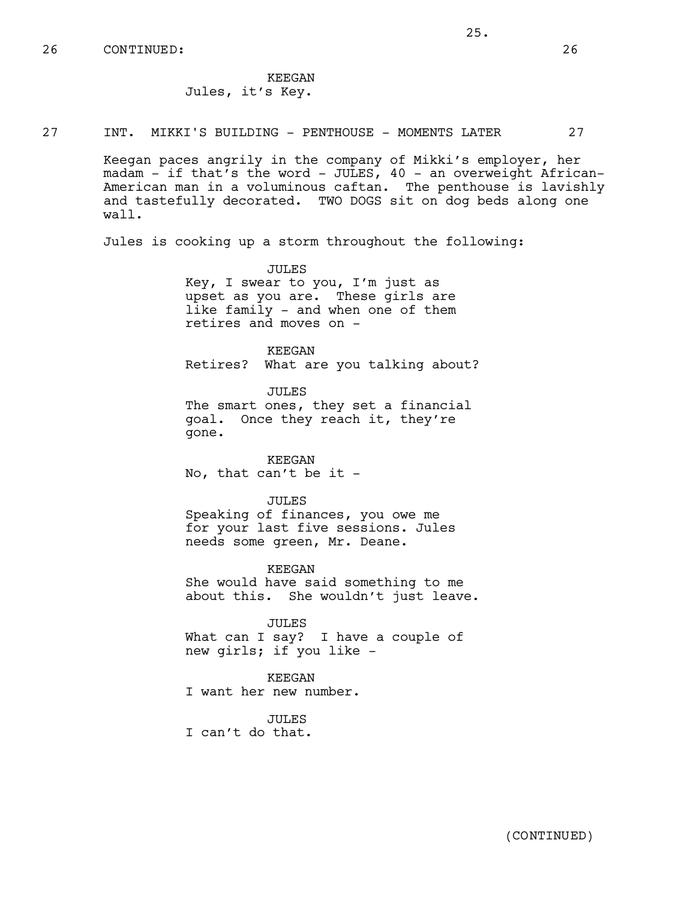26 CONTINUED: 26

KEEGAN Jules, it's Key.

27 INT. MIKKI'S BUILDING - PENTHOUSE - MOMENTS LATER 27

Keegan paces angrily in the company of Mikki's employer, her madam - if that's the word - JULES, 40 - an overweight African-American man in a voluminous caftan. The penthouse is lavishly and tastefully decorated. TWO DOGS sit on dog beds along one wall.

Jules is cooking up a storm throughout the following:

JULES Key, I swear to you, I'm just as upset as you are. These girls are like family - and when one of them retires and moves on -

KEEGAN Retires? What are you talking about?

JULES The smart ones, they set a financial goal. Once they reach it, they're gone.

KEEGAN No, that can't be it -

JULES Speaking of finances, you owe me

for your last five sessions. Jules needs some green, Mr. Deane.

KEEGAN She would have said something to me about this. She wouldn't just leave.

JULES What can I say? I have a couple of new girls; if you like -

KEEGAN I want her new number.

JULES I can't do that.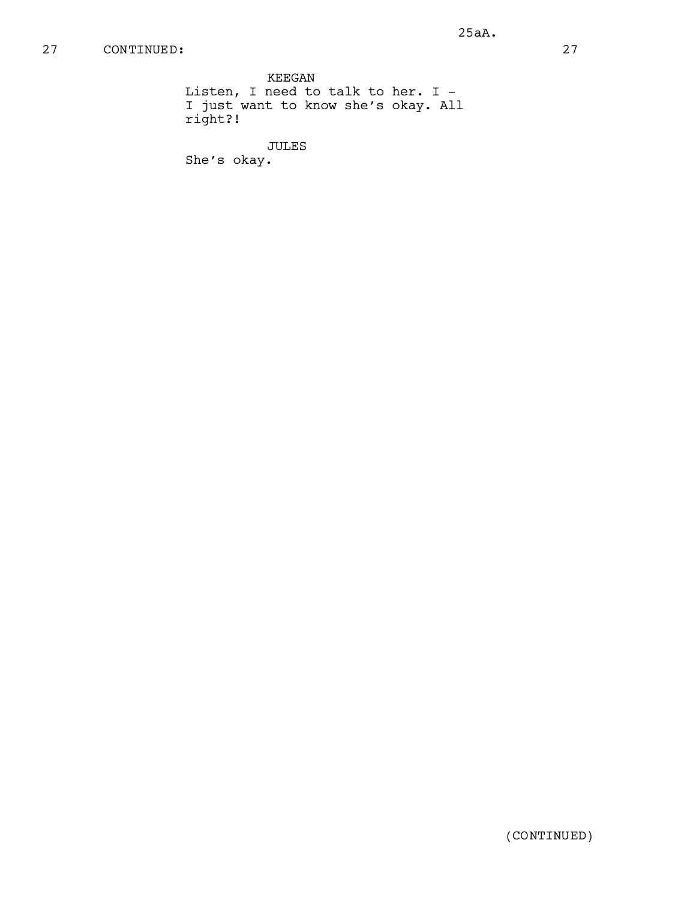KEEGAN Listen, I need to talk to her. I - I just want to know she's okay. All right?!

JULES

She's okay.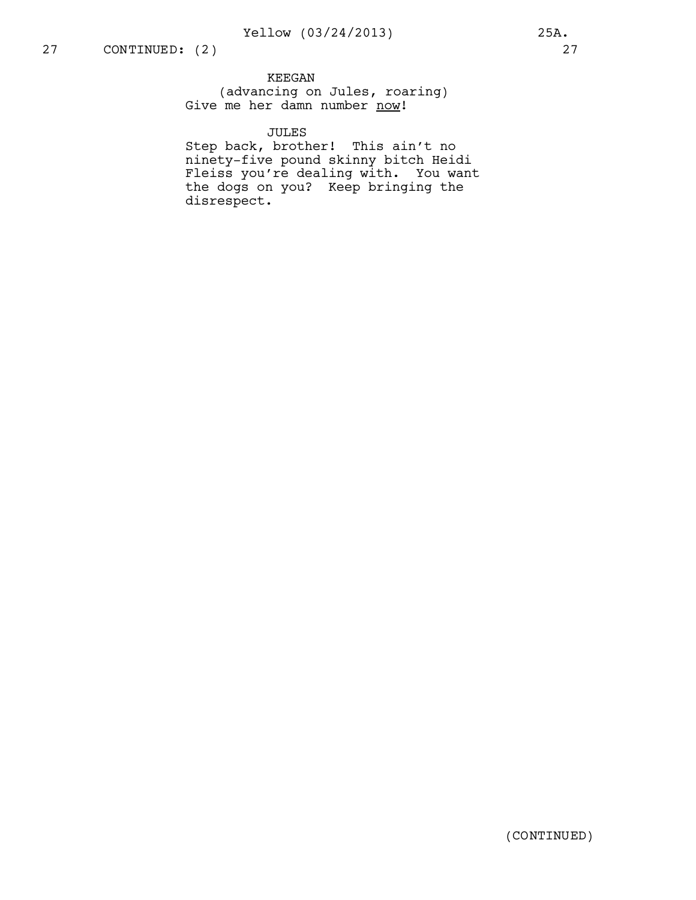KEEGAN (advancing on Jules, roaring) Give me her damn number now!

# JULES

Step back, brother! This ain't no ninety-five pound skinny bitch Heidi Fleiss you're dealing with. You want the dogs on you? Keep bringing the disrespect.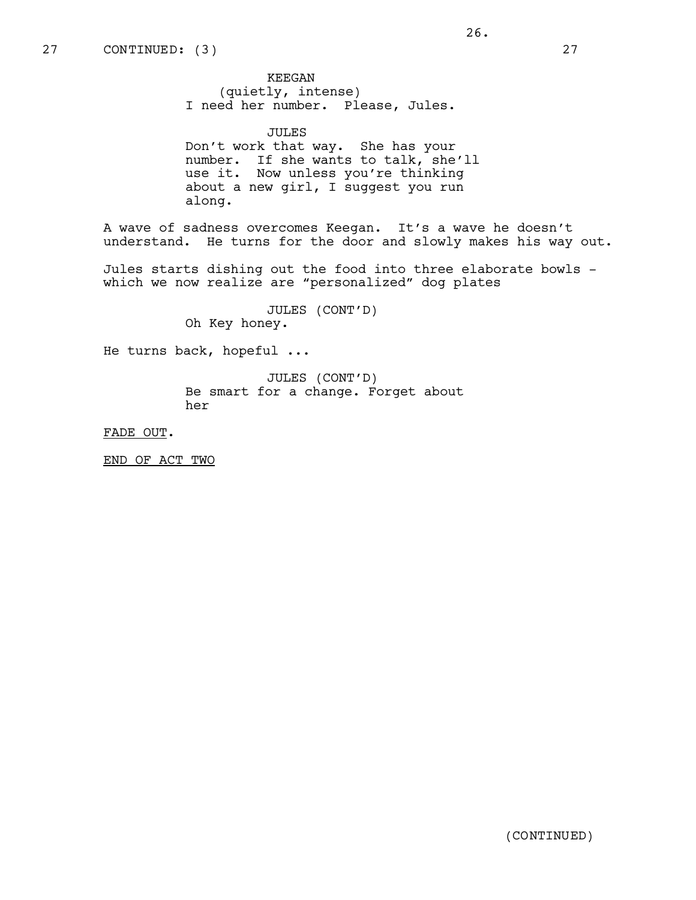KEEGAN (quietly, intense) I need her number. Please, Jules.

JULES Don't work that way. She has your number. If she wants to talk, she'll use it. Now unless you're thinking about a new girl, I suggest you run along.

A wave of sadness overcomes Keegan. It's a wave he doesn't understand. He turns for the door and slowly makes his way out.

Jules starts dishing out the food into three elaborate bowls which we now realize are "personalized" dog plates

> JULES (CONT'D) Oh Key honey.

He turns back, hopeful ...

JULES (CONT'D) Be smart for a change. Forget about her

FADE OUT.

END OF ACT TWO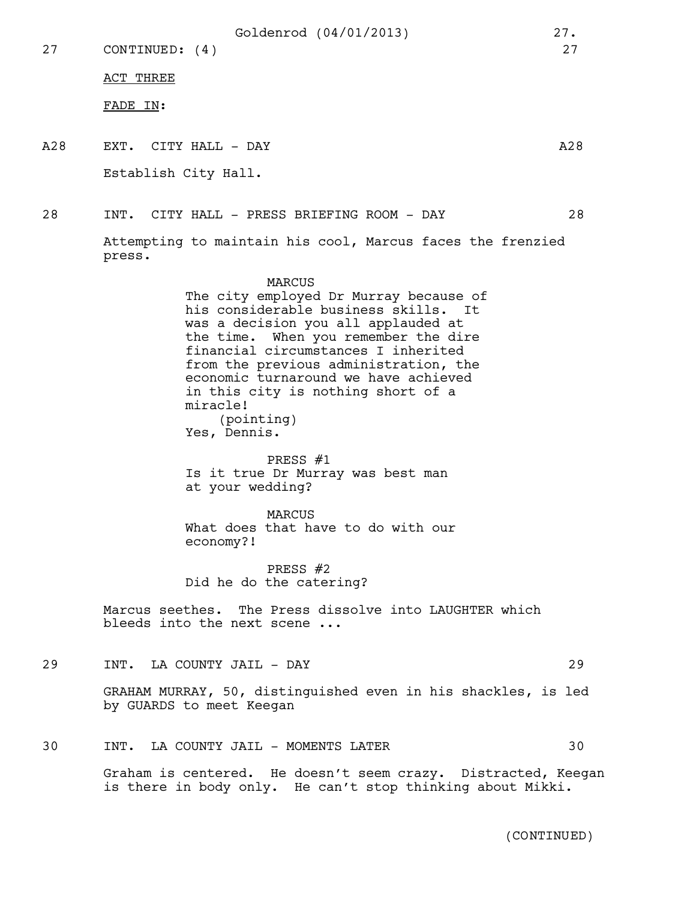27 CONTINUED: (4) 27

ACT THREE

FADE IN:

A28 EXT. CITY HALL – DAY A28

Establish City Hall.

28 INT. CITY HALL - PRESS BRIEFING ROOM - DAY 28

Attempting to maintain his cool, Marcus faces the frenzied press.

# MARCUS

The city employed Dr Murray because of his considerable business skills. It was a decision you all applauded at the time. When you remember the dire financial circumstances I inherited from the previous administration, the economic turnaround we have achieved in this city is nothing short of a miracle! (pointing) Yes, Dennis.

PRESS #1

Is it true Dr Murray was best man at your wedding?

MARCUS

What does that have to do with our economy?!

PRESS #2 Did he do the catering?

Marcus seethes. The Press dissolve into LAUGHTER which bleeds into the next scene ...

29 INT. LA COUNTY JAIL - DAY 29

GRAHAM MURRAY, 50, distinguished even in his shackles, is led by GUARDS to meet Keegan

30 INT. LA COUNTY JAIL - MOMENTS LATER 30

Graham is centered. He doesn't seem crazy. Distracted, Keegan is there in body only. He can't stop thinking about Mikki.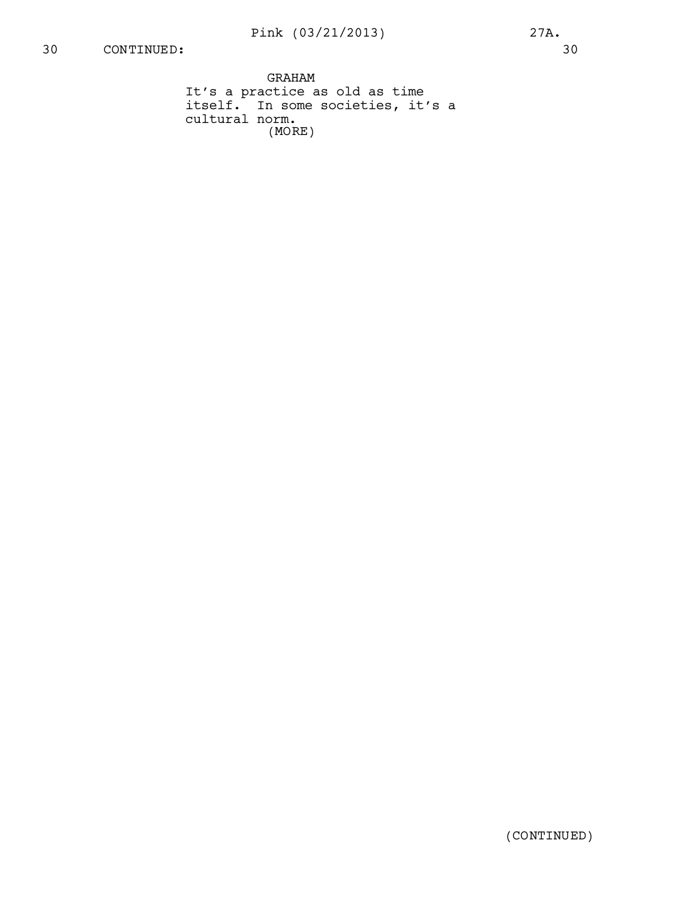GRAHAM It's a practice as old as time itself. In some societies, it's a cultural norm. (MORE)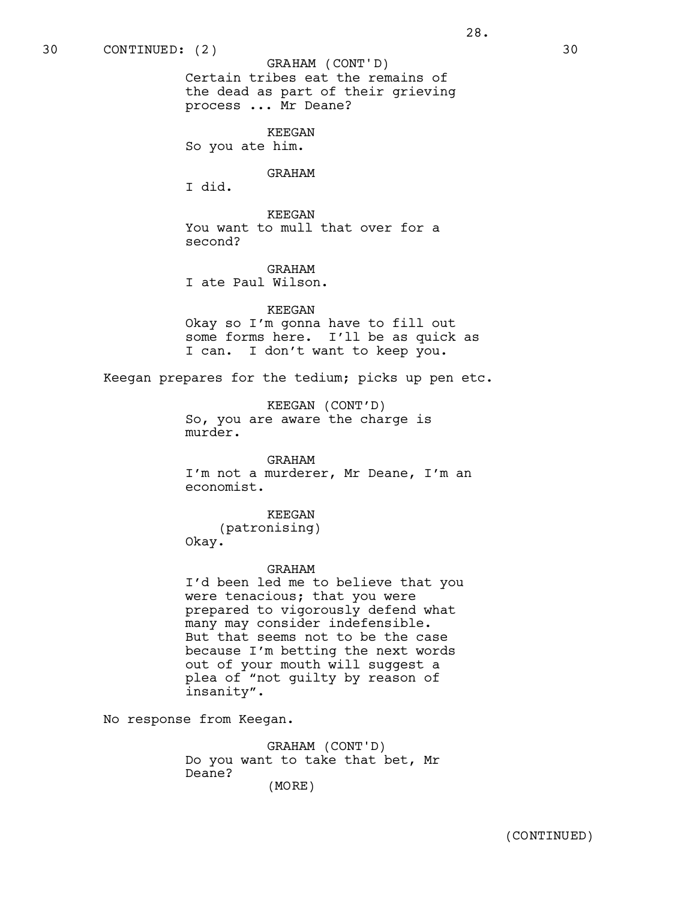Certain tribes eat the remains of the dead as part of their grieving process ... Mr Deane? GRAHAM (CONT'D)

KEEGAN So you ate him.

#### GRAHAM

I did.

KEEGAN You want to mull that over for a second?

GRAHAM I ate Paul Wilson.

KEEGAN

Okay so I'm gonna have to fill out some forms here. I'll be as quick as I can. I don't want to keep you.

Keegan prepares for the tedium; picks up pen etc.

KEEGAN (CONT'D) So, you are aware the charge is murder.

# GRAHAM

I'm not a murderer, Mr Deane, I'm an economist.

KEEGAN

(patronising) Okay.

#### GRAHAM

I'd been led me to believe that you were tenacious; that you were prepared to vigorously defend what many may consider indefensible. But that seems not to be the case because I'm betting the next words out of your mouth will suggest a plea of "not guilty by reason of insanity".

No response from Keegan.

GRAHAM (CONT'D) Do you want to take that bet, Mr Deane? (MORE)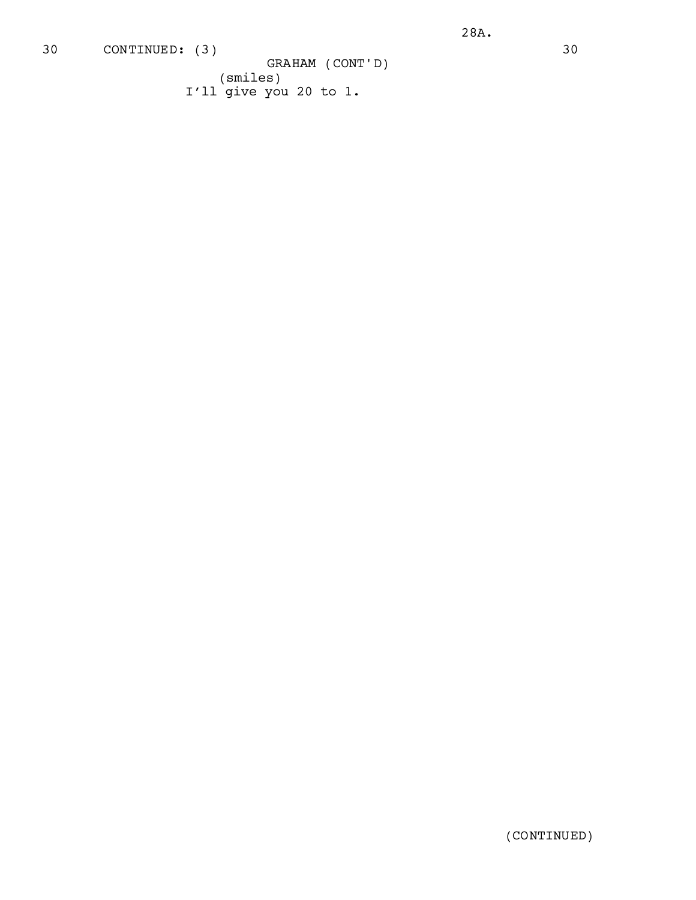(smiles) I'll give you 20 to 1. GRAHAM (CONT'D)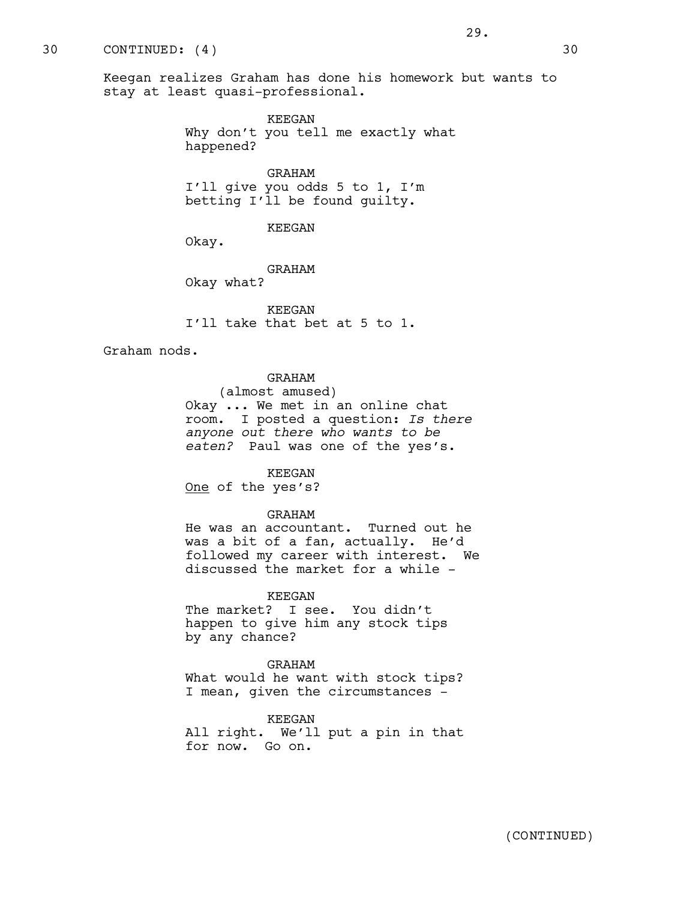KEEGAN Why don't you tell me exactly what happened?

GRAHAM I'll give you odds 5 to 1, I'm betting I'll be found guilty.

KEEGAN

Okay.

GRAHAM

Okay what?

KEEGAN I'll take that bet at 5 to 1.

Graham nods.

# GRAHAM

(almost amused) Okay ... We met in an online chat room. I posted a question: *Is there anyone out there who wants to be eaten?* Paul was one of the yes's.

#### KEEGAN

One of the yes's?

# GRAHAM

He was an accountant. Turned out he was a bit of a fan, actually. He'd followed my career with interest. We discussed the market for a while -

#### KEEGAN

The market? I see. You didn't happen to give him any stock tips by any chance?

GRAHAM What would he want with stock tips? I mean, given the circumstances -

KEEGAN

All right. We'll put a pin in that for now. Go on.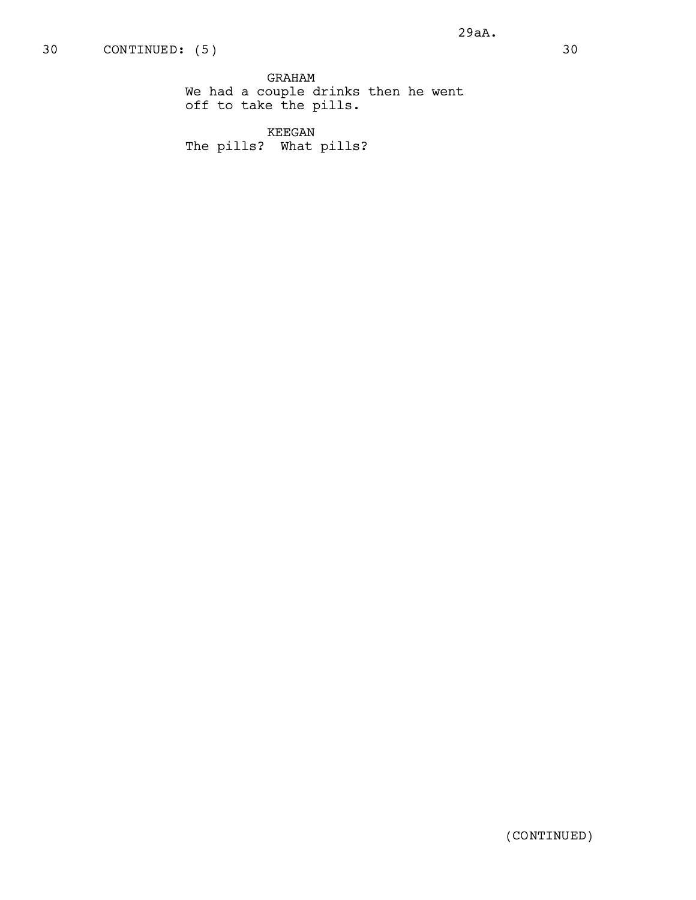GRAHAM We had a couple drinks then he went off to take the pills.

KEEGAN The pills? What pills?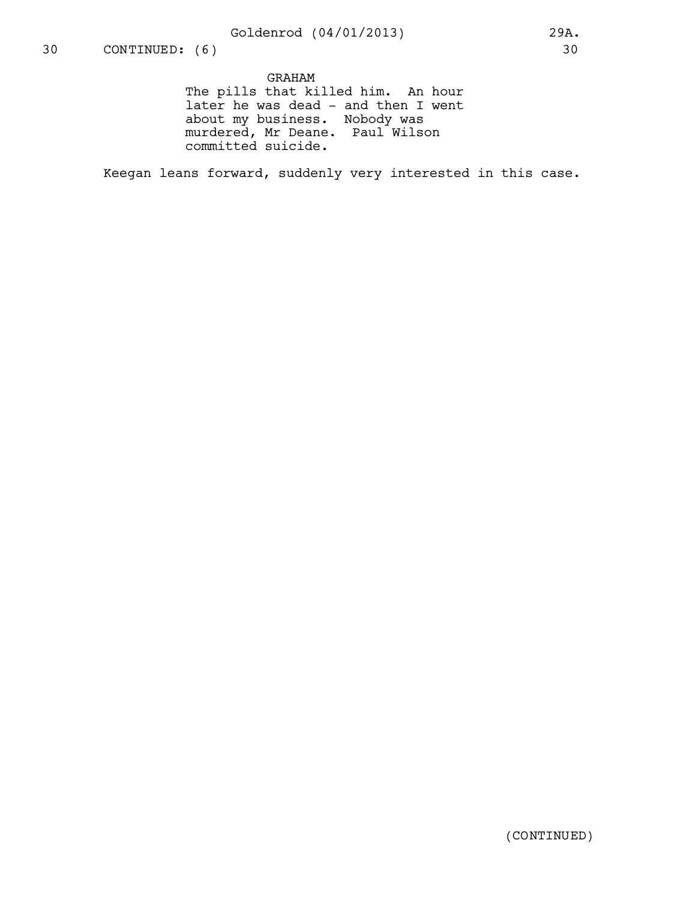# GRAHAM

The pills that killed him. An hour later he was dead - and then I went about my business. Nobody was murdered, Mr Deane. Paul Wilson committed suicide.

Keegan leans forward, suddenly very interested in this case.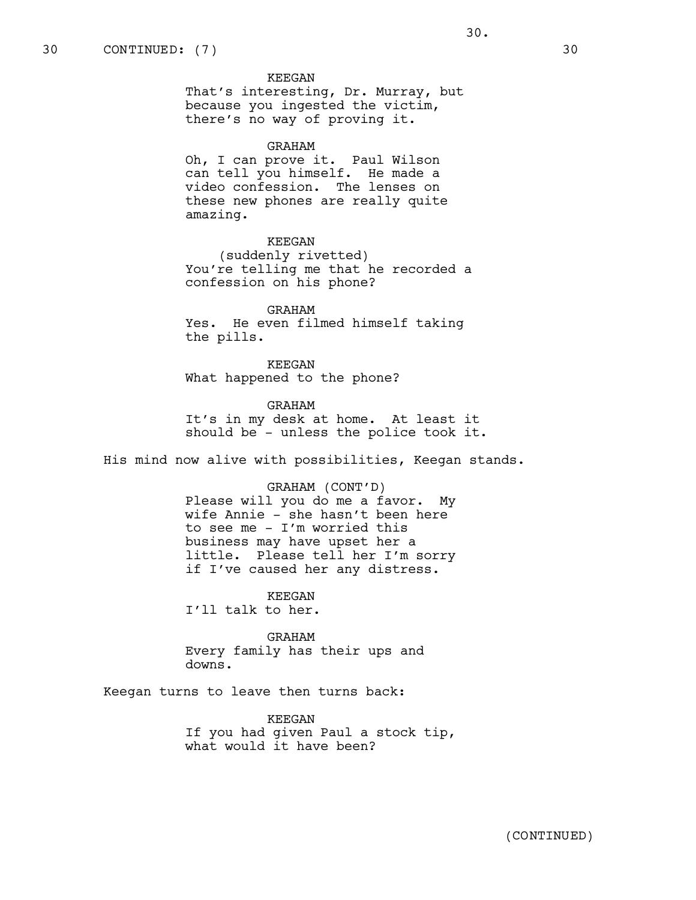That's interesting, Dr. Murray, but because you ingested the victim, there's no way of proving it.

#### GRAHAM

Oh, I can prove it. Paul Wilson can tell you himself. He made a video confession. The lenses on these new phones are really quite amazing.

# KEEGAN

(suddenly rivetted) You're telling me that he recorded a confession on his phone?

GRAHAM Yes. He even filmed himself taking the pills.

KEEGAN What happened to the phone?

GRAHAM It's in my desk at home. At least it should be - unless the police took it.

His mind now alive with possibilities, Keegan stands.

#### GRAHAM (CONT'D)

Please will you do me a favor. My wife Annie - she hasn't been here to see me - I'm worried this business may have upset her a little. Please tell her I'm sorry if I've caused her any distress.

KEEGAN I'll talk to her.

GRAHAM Every family has their ups and downs.

Keegan turns to leave then turns back:

KEEGAN If you had given Paul a stock tip, what would it have been?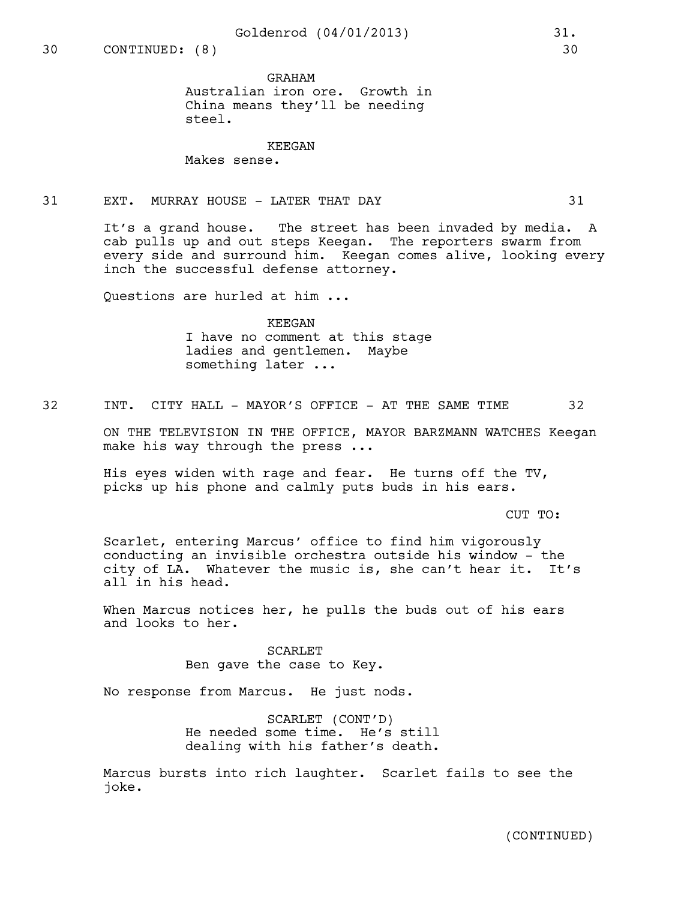#### GRAHAM

Australian iron ore. Growth in China means they'll be needing steel.

# KEEGAN

Makes sense.

# 31 EXT. MURRAY HOUSE - LATER THAT DAY 31

It's a grand house. The street has been invaded by media. A cab pulls up and out steps Keegan. The reporters swarm from every side and surround him. Keegan comes alive, looking every inch the successful defense attorney.

Questions are hurled at him ...

# KEEGAN I have no comment at this stage ladies and gentlemen. Maybe something later ...

32 INT. CITY HALL - MAYOR'S OFFICE - AT THE SAME TIME 32

ON THE TELEVISION IN THE OFFICE, MAYOR BARZMANN WATCHES Keegan make his way through the press ...

His eyes widen with rage and fear. He turns off the TV, picks up his phone and calmly puts buds in his ears.

CUT TO:

Scarlet, entering Marcus' office to find him vigorously conducting an invisible orchestra outside his window - the city of LA. Whatever the music is, she can't hear it. It's all in his head.

When Marcus notices her, he pulls the buds out of his ears and looks to her.

> SCARLET Ben gave the case to Key.

No response from Marcus. He just nods.

SCARLET (CONT'D) He needed some time. He's still dealing with his father's death.

Marcus bursts into rich laughter. Scarlet fails to see the joke.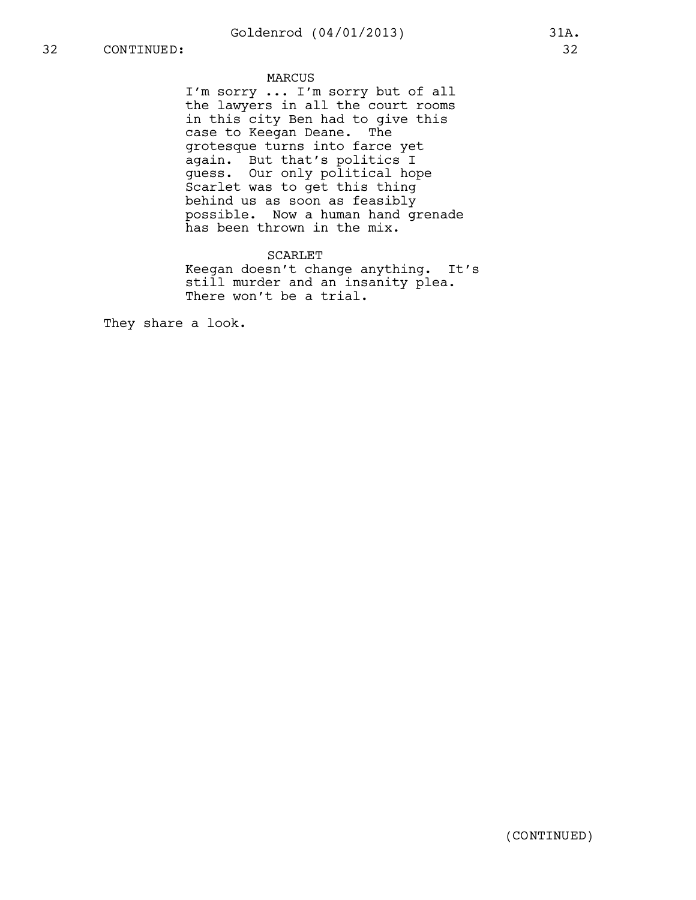# MARCUS

I'm sorry ... I'm sorry but of all the lawyers in all the court rooms in this city Ben had to give this case to Keegan Deane. The grotesque turns into farce yet again. But that's politics I guess. Our only political hope Scarlet was to get this thing behind us as soon as feasibly possible. Now a human hand grenade has been thrown in the mix.

# SCARLET

Keegan doesn't change anything. It's still murder and an insanity plea. There won't be a trial.

They share a look.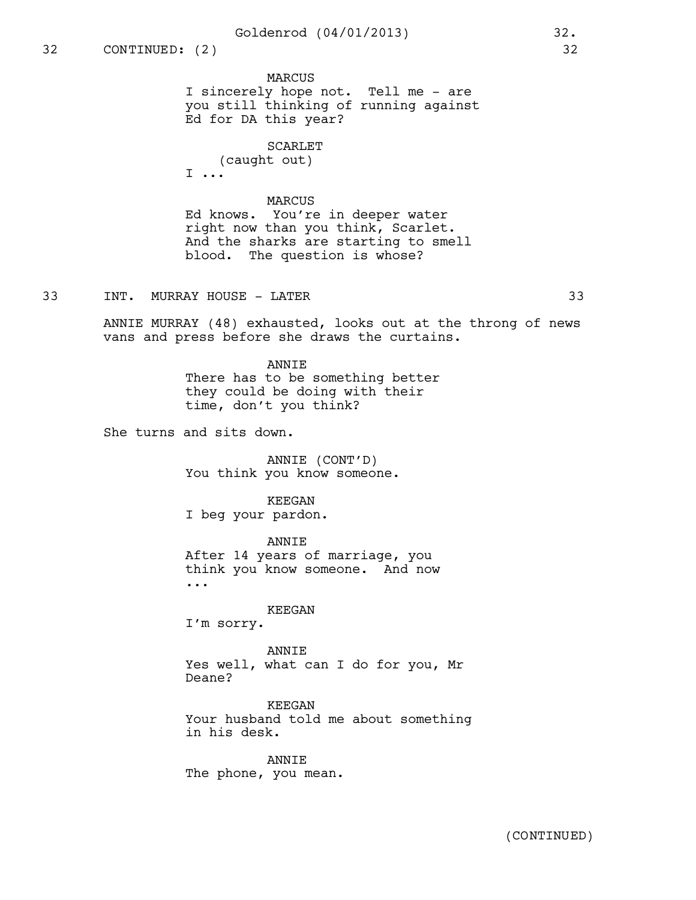MARCUS I sincerely hope not. Tell me - are you still thinking of running against Ed for DA this year?

SCARLET

(caught out) I ...

# MARCUS

Ed knows. You're in deeper water right now than you think, Scarlet. And the sharks are starting to smell blood. The question is whose?

33 INT. MURRAY HOUSE - LATER 33

ANNIE MURRAY (48) exhausted, looks out at the throng of news vans and press before she draws the curtains.

> ANNIE There has to be something better they could be doing with their time, don't you think?

She turns and sits down.

ANNIE (CONT'D) You think you know someone.

# KEEGAN

I beg your pardon.

ANNIE After 14 years of marriage, you think you know someone. And now ...

#### KEEGAN

I'm sorry.

#### ANNIE

Yes well, what can I do for you, Mr Deane?

KEEGAN Your husband told me about something in his desk.

ANNIE The phone, you mean.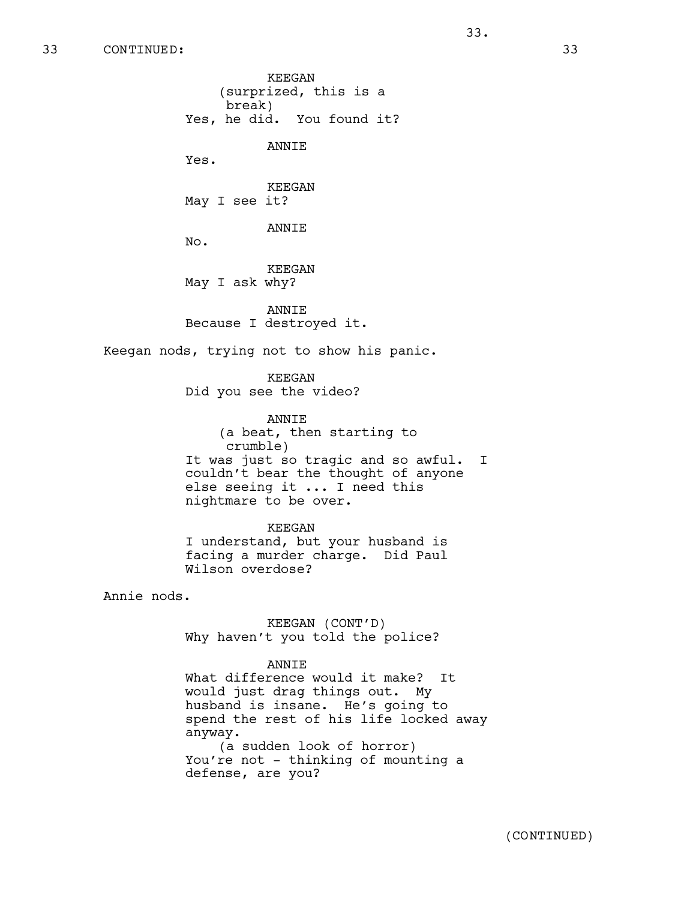33.

KEEGAN (surprized, this is a break) Yes, he did. You found it? ANNIE Yes. KEEGAN May I see it? ANNIE No. KEEGAN May I ask why? ANNIE Because I destroyed it. Keegan nods, trying not to show his panic. KEEGAN Did you see the video? ANNIE (a beat, then starting to crumble) It was just so tragic and so awful. I couldn't bear the thought of anyone else seeing it ... I need this nightmare to be over. KEEGAN I understand, but your husband is facing a murder charge. Did Paul Wilson overdose? Annie nods. KEEGAN (CONT'D) Why haven't you told the police? ANNIE What difference would it make? It would just drag things out. My husband is insane. He's going to spend the rest of his life locked away anyway.

(a sudden look of horror) You're not - thinking of mounting a defense, are you?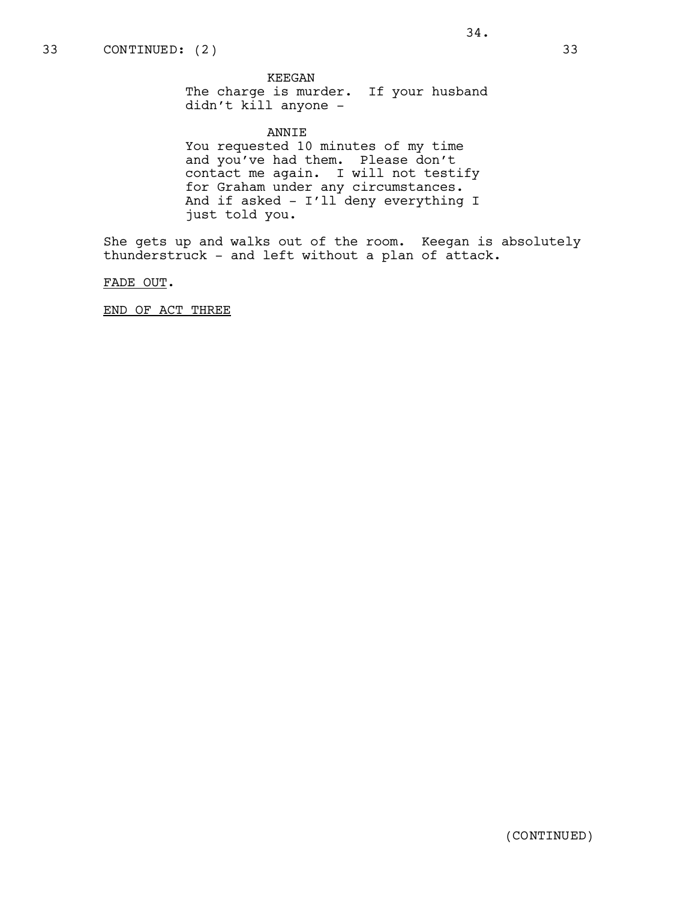# ANNIE

You requested 10 minutes of my time and you've had them. Please don't contact me again. I will not testify for Graham under any circumstances. And if asked - I'll deny everything I just told you.

She gets up and walks out of the room. Keegan is absolutely thunderstruck - and left without a plan of attack.

FADE OUT.

END OF ACT THREE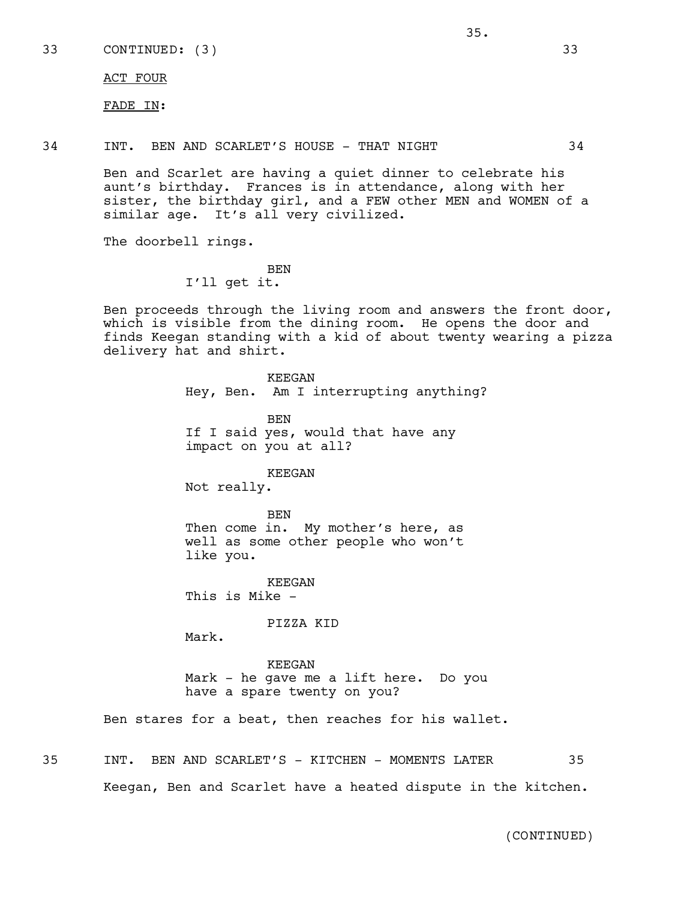ACT FOUR

FADE IN:

34 INT. BEN AND SCARLET'S HOUSE - THAT NIGHT 34

Ben and Scarlet are having a quiet dinner to celebrate his aunt's birthday. Frances is in attendance, along with her sister, the birthday girl, and a FEW other MEN and WOMEN of a similar age. It's all very civilized.

The doorbell rings.

BEN

I'll get it.

Ben proceeds through the living room and answers the front door, which is visible from the dining room. He opens the door and finds Keegan standing with a kid of about twenty wearing a pizza delivery hat and shirt.

> KEEGAN Hey, Ben. Am I interrupting anything? BEN

If I said yes, would that have any impact on you at all?

#### KEEGAN

Not really.

BEN Then come in. My mother's here, as well as some other people who won't like you.

KEEGAN This is Mike -

#### PIZZA KID

Mark.

KEEGAN Mark - he gave me a lift here. Do you have a spare twenty on you?

Ben stares for a beat, then reaches for his wallet.

35 INT. BEN AND SCARLET'S - KITCHEN - MOMENTS LATER 35 Keegan, Ben and Scarlet have a heated dispute in the kitchen.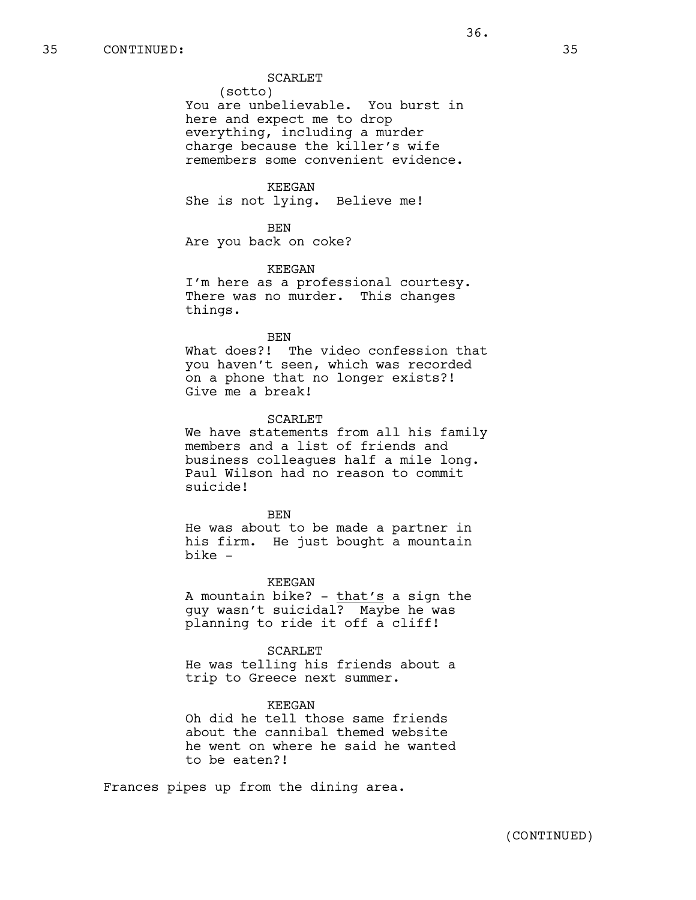(sotto) You are unbelievable. You burst in here and expect me to drop everything, including a murder charge because the killer's wife remembers some convenient evidence.

# KEEGAN

She is not lying. Believe me!

BEN Are you back on coke?

# KEEGAN

I'm here as a professional courtesy. There was no murder. This changes things.

#### BEN

What does?! The video confession that you haven't seen, which was recorded on a phone that no longer exists?! Give me a break!

# SCARLET

We have statements from all his family members and a list of friends and business colleagues half a mile long. Paul Wilson had no reason to commit suicide!

# BEN

He was about to be made a partner in his firm. He just bought a mountain bike -

#### KEEGAN

A mountain bike? - that's a sign the guy wasn't suicidal? Maybe he was planning to ride it off a cliff!

# SCARLET

He was telling his friends about a trip to Greece next summer.

#### KEEGAN

Oh did he tell those same friends about the cannibal themed website he went on where he said he wanted to be eaten?!

Frances pipes up from the dining area.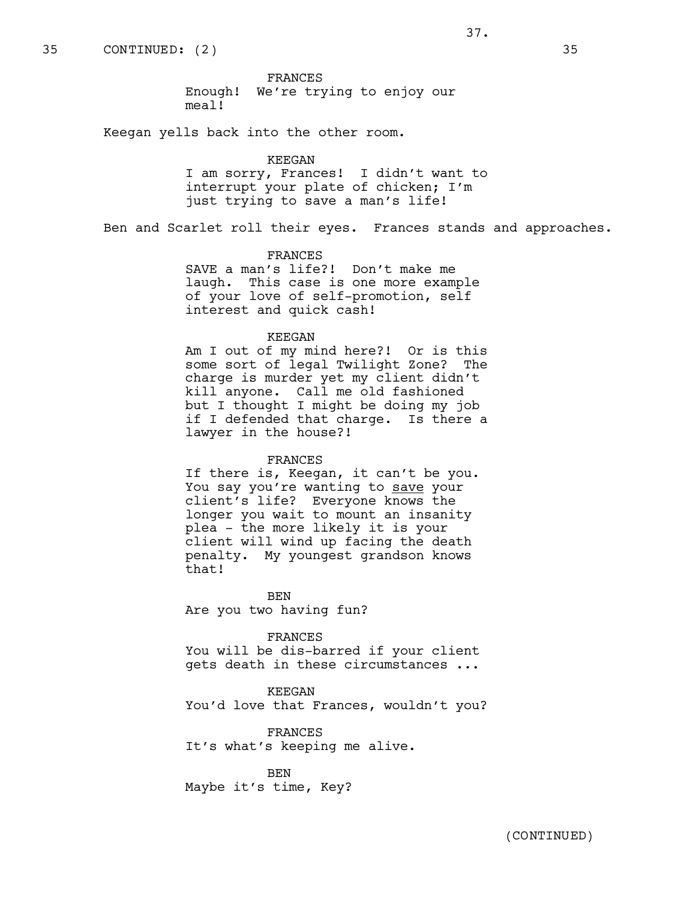FRANCES Enough! We're trying to enjoy our meal!

Keegan yells back into the other room.

#### KEEGAN

I am sorry, Frances! I didn't want to interrupt your plate of chicken; I'm just trying to save a man's life!

Ben and Scarlet roll their eyes. Frances stands and approaches.

# FRANCES

SAVE a man's life?! Don't make me laugh. This case is one more example of your love of self-promotion, self interest and quick cash!

#### KEEGAN

Am I out of my mind here?! Or is this some sort of legal Twilight Zone? The charge is murder yet my client didn't kill anyone. Call me old fashioned but I thought I might be doing my job if I defended that charge. Is there a lawyer in the house?!

#### FRANCES

If there is, Keegan, it can't be you. You say you're wanting to save your client's life? Everyone knows the longer you wait to mount an insanity plea - the more likely it is your client will wind up facing the death penalty. My youngest grandson knows that!

BEN Are you two having fun?

FRANCES

You will be dis-barred if your client gets death in these circumstances ...

#### KEEGAN

You'd love that Frances, wouldn't you?

FRANCES It's what's keeping me alive.

BEN Maybe it's time, Key?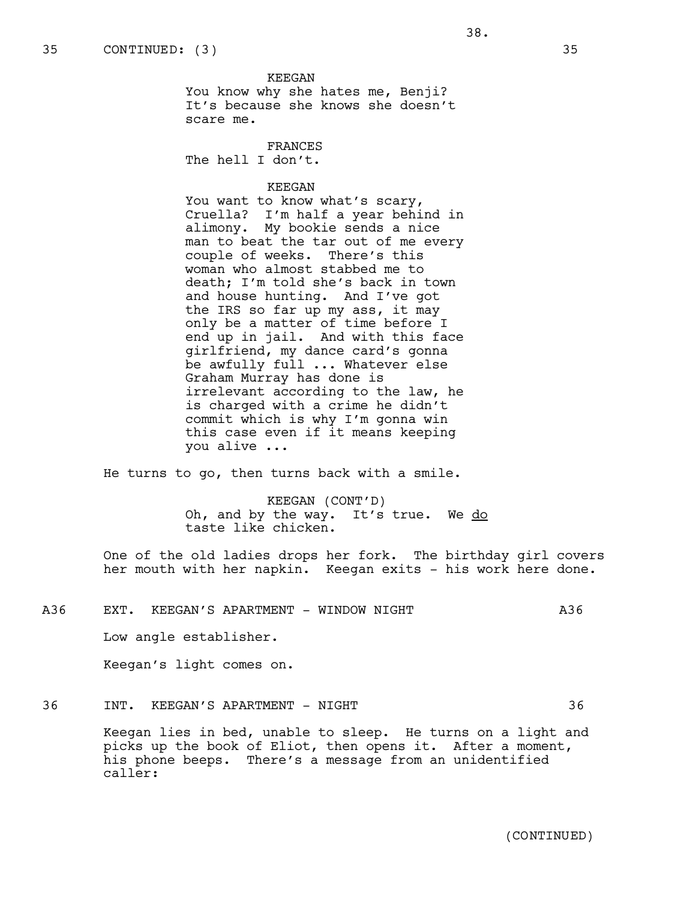KEEGAN You know why she hates me, Benji? It's because she knows she doesn't scare me.

FRANCES The hell I don't.

# KEEGAN

You want to know what's scary, Cruella? I'm half a year behind in alimony. My bookie sends a nice man to beat the tar out of me every couple of weeks. There's this woman who almost stabbed me to death; I'm told she's back in town and house hunting. And I've got the IRS so far up my ass, it may only be a matter of time before I end up in jail. And with this face girlfriend, my dance card's gonna be awfully full ... Whatever else Graham Murray has done is irrelevant according to the law, he is charged with a crime he didn't commit which is why I'm gonna win this case even if it means keeping you alive ...

He turns to go, then turns back with a smile.

KEEGAN (CONT'D) Oh, and by the way. It's true. We do taste like chicken.

One of the old ladies drops her fork. The birthday girl covers her mouth with her napkin. Keegan exits - his work here done.

# A36 EXT. KEEGAN'S APARTMENT - WINDOW NIGHT A36

Low angle establisher.

Keegan's light comes on.

# 36 INT. KEEGAN'S APARTMENT - NIGHT 36

Keegan lies in bed, unable to sleep. He turns on a light and picks up the book of Eliot, then opens it. After a moment, his phone beeps. There's a message from an unidentified caller: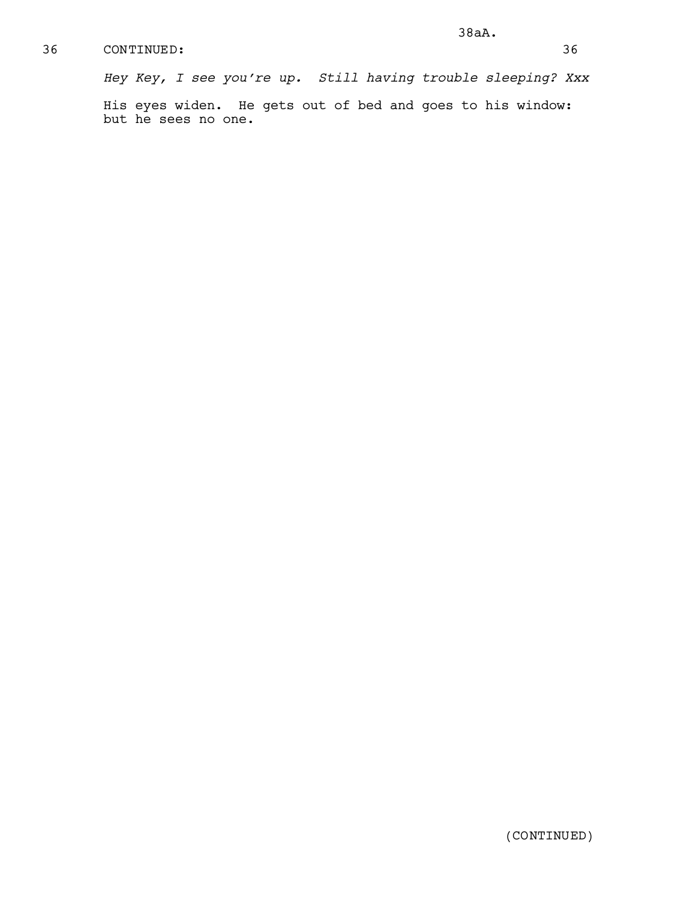# 36 CONTINUED: 36

*Hey Key, I see you're up. Still having trouble sleeping? Xxx*

His eyes widen. He gets out of bed and goes to his window: but he sees no one.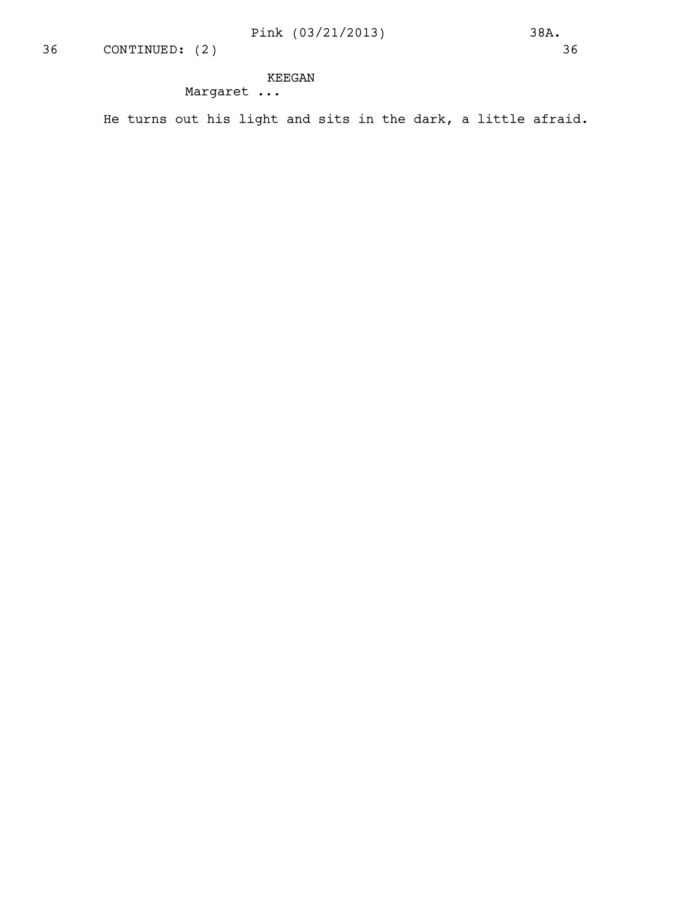# KEEGAN

Margaret ...

He turns out his light and sits in the dark, a little afraid.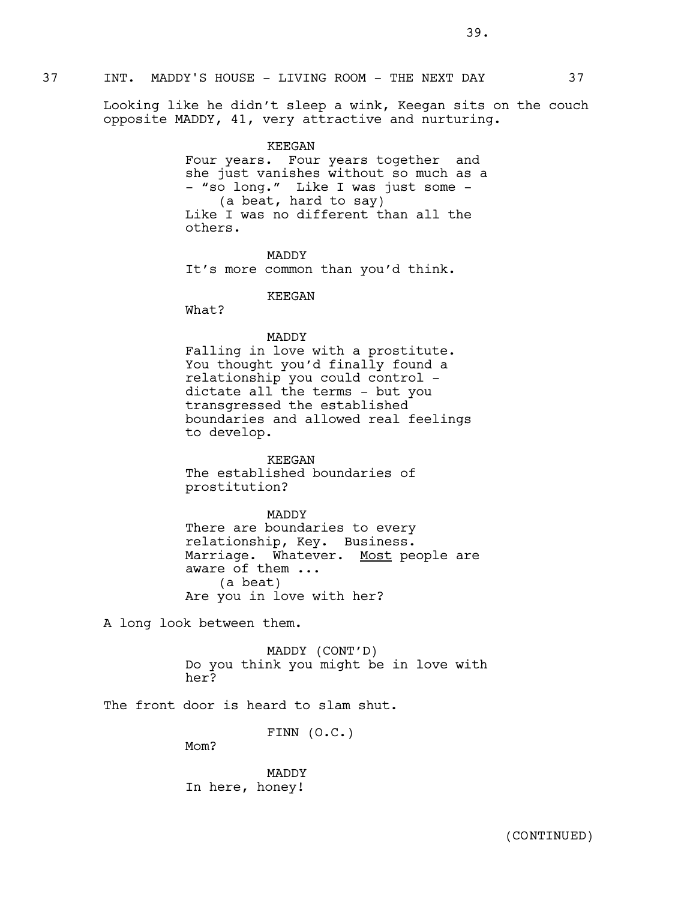Looking like he didn't sleep a wink, Keegan sits on the couch opposite MADDY, 41, very attractive and nurturing.

#### KEEGAN

Four years. Four years together and she just vanishes without so much as a - "so long." Like I was just some -(a beat, hard to say) Like I was no different than all the others.

MADDY It's more common than you'd think.

KEEGAN

What?

# MADDY

Falling in love with a prostitute. You thought you'd finally found a relationship you could control dictate all the terms - but you transgressed the established boundaries and allowed real feelings to develop.

KEEGAN The established boundaries of prostitution?

MADDY There are boundaries to every relationship, Key. Business. Marriage. Whatever. Most people are aware of them ... (a beat) Are you in love with her?

A long look between them.

MADDY (CONT'D) Do you think you might be in love with her?

The front door is heard to slam shut.

FINN (O.C.)

Mom?

MADDY In here, honey!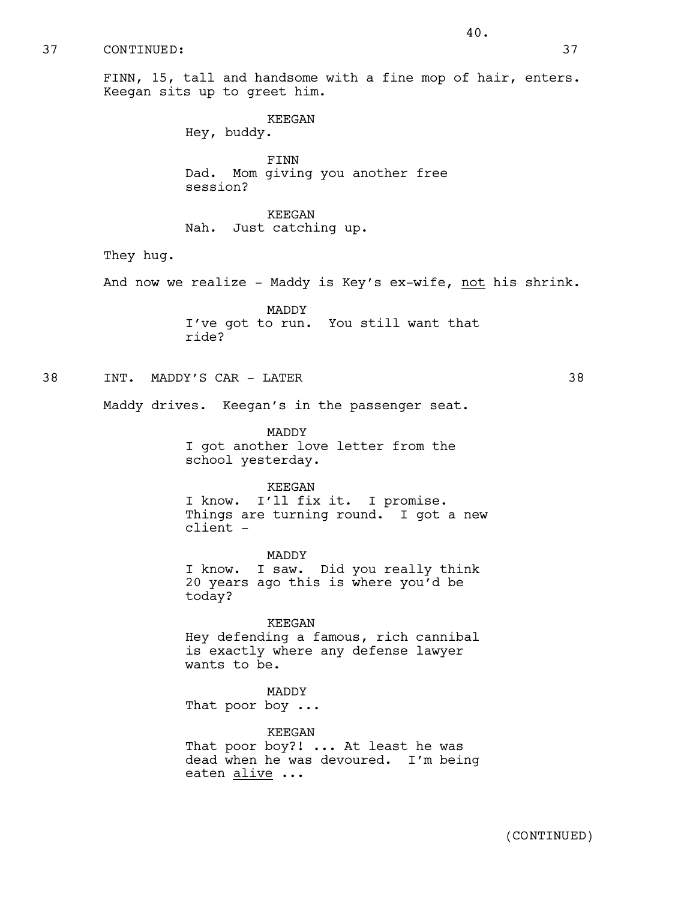37 CONTINUED: 37

FINN, 15, tall and handsome with a fine mop of hair, enters. Keegan sits up to greet him.

KEEGAN

Hey, buddy.

FINN Dad. Mom giving you another free session?

KEEGAN Nah. Just catching up.

They hug.

And now we realize - Maddy is Key's ex-wife, not his shrink.

MADDY I've got to run. You still want that ride?

38 INT. MADDY'S CAR - LATER 38

Maddy drives. Keegan's in the passenger seat.

MADDY I got another love letter from the school yesterday.

# KEEGAN

I know. I'll fix it. I promise. Things are turning round. I got a new client -

MADDY I know. I saw. Did you really think 20 years ago this is where you'd be today?

KEEGAN Hey defending a famous, rich cannibal is exactly where any defense lawyer wants to be.

MADDY

That poor boy ...

KEEGAN That poor boy?! ... At least he was dead when he was devoured. I'm being eaten alive ...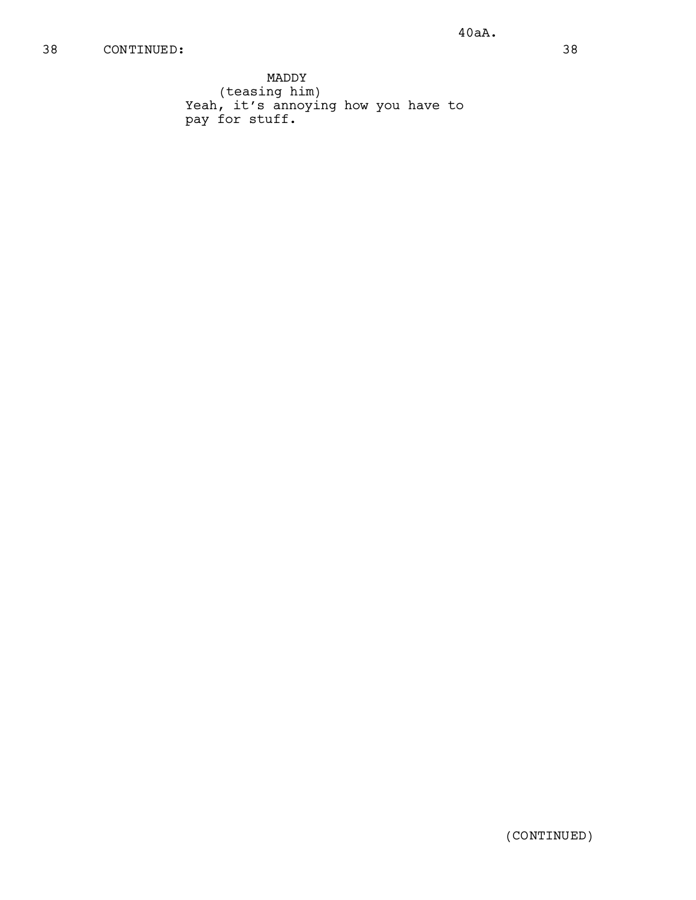# 38 CONTINUED: 38

MADDY (teasing him) Yeah, it's annoying how you have to pay for stuff.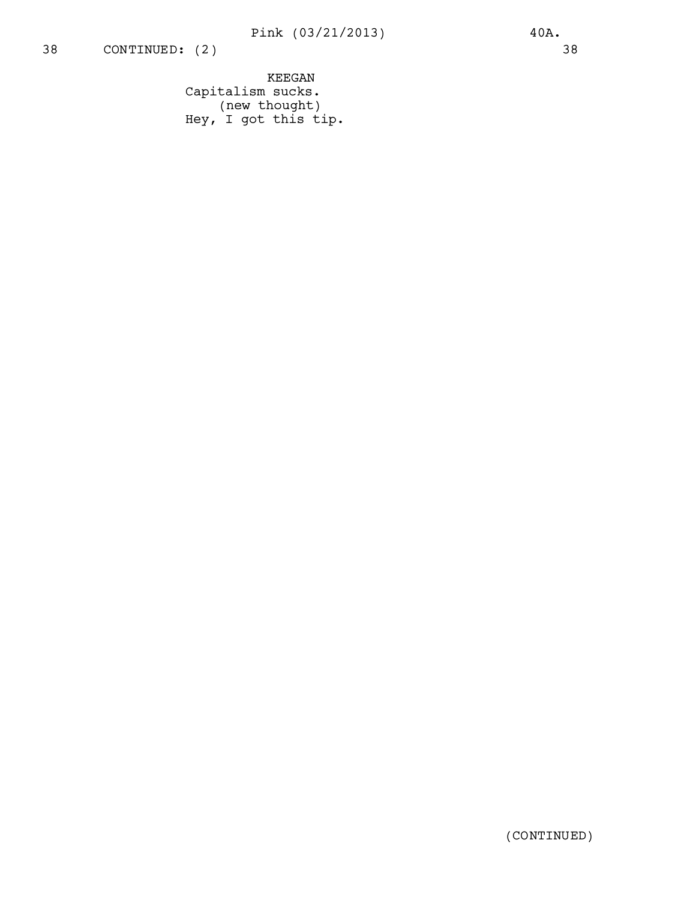KEEGAN Capitalism sucks. (new thought) Hey, I got this tip.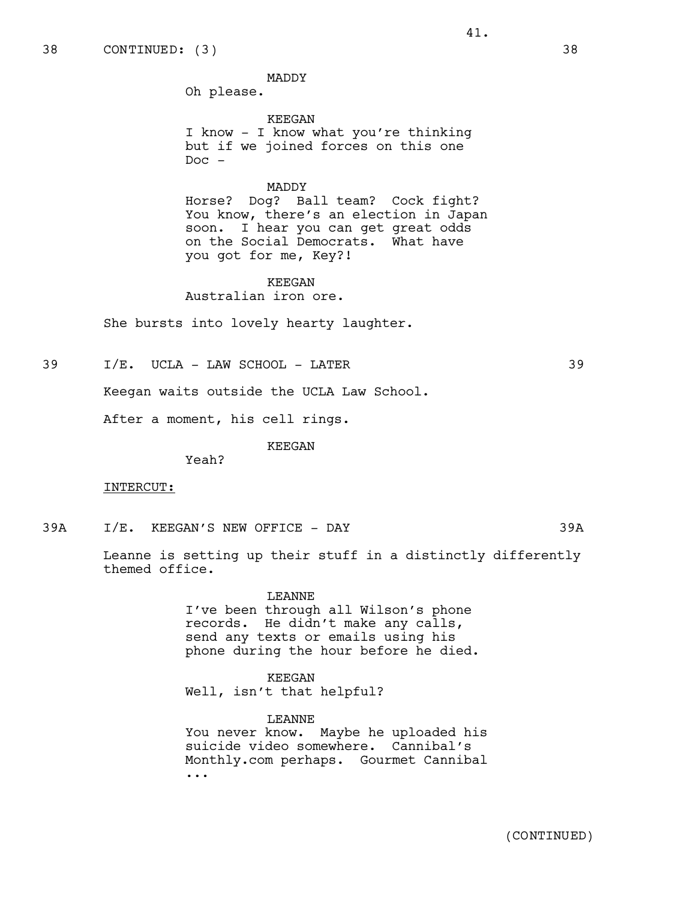MADDY

Oh please.

KEEGAN I know - I know what you're thinking but if we joined forces on this one  $Doc -$ 

41.

# MADDY

Horse? Dog? Ball team? Cock fight? You know, there's an election in Japan soon. I hear you can get great odds on the Social Democrats. What have you got for me, Key?!

KEEGAN Australian iron ore.

She bursts into lovely hearty laughter.

39 I/E. UCLA - LAW SCHOOL - LATER 39

Keegan waits outside the UCLA Law School.

After a moment, his cell rings.

KEEGAN

Yeah?

# INTERCUT:

39A I/E. KEEGAN'S NEW OFFICE - DAY 39A

Leanne is setting up their stuff in a distinctly differently themed office.

LEANNE

I've been through all Wilson's phone records. He didn't make any calls, send any texts or emails using his phone during the hour before he died.

KEEGAN Well, isn't that helpful?

LEANNE You never know. Maybe he uploaded his suicide video somewhere. Cannibal's Monthly.com perhaps. Gourmet Cannibal ...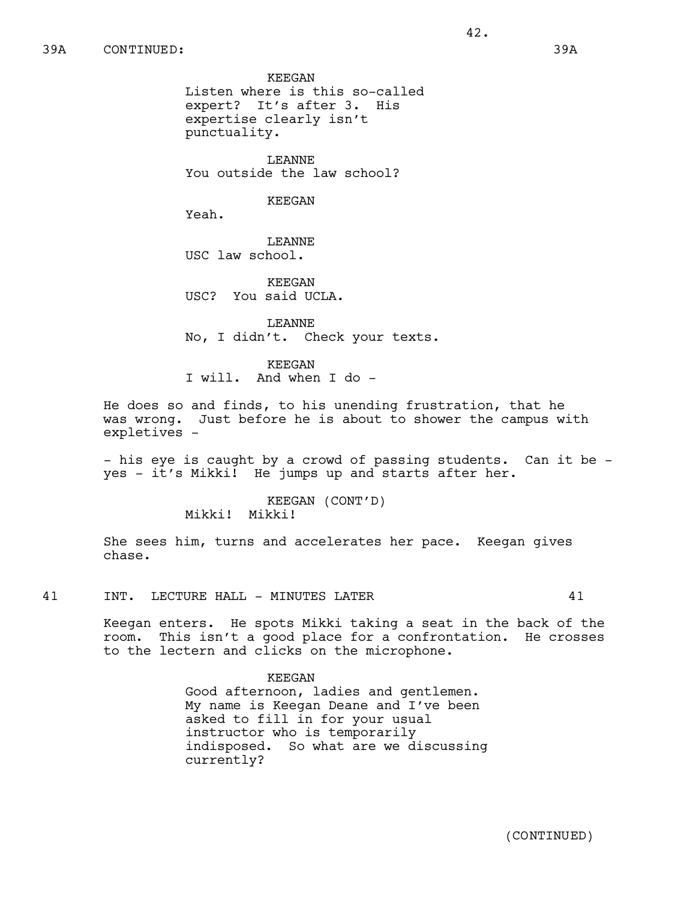KEEGAN Listen where is this so-called expert? It's after 3. His expertise clearly isn't

punctuality.

LEANNE You outside the law school?

# KEEGAN

Yeah.

LEANNE USC law school.

KEEGAN USC? You said UCLA.

LEANNE No, I didn't. Check your texts.

KEEGAN I will. And when I do -

He does so and finds, to his unending frustration, that he was wrong. Just before he is about to shower the campus with expletives -

- his eye is caught by a crowd of passing students. Can it be yes - it's Mikki! He jumps up and starts after her.

> KEEGAN (CONT'D) Mikki! Mikki!

She sees him, turns and accelerates her pace. Keegan gives chase.

41 INT. LECTURE HALL - MINUTES LATER 41

Keegan enters. He spots Mikki taking a seat in the back of the room. This isn't a good place for a confrontation. He crosses to the lectern and clicks on the microphone.

# KEEGAN

Good afternoon, ladies and gentlemen. My name is Keegan Deane and I've been asked to fill in for your usual instructor who is temporarily indisposed. So what are we discussing currently?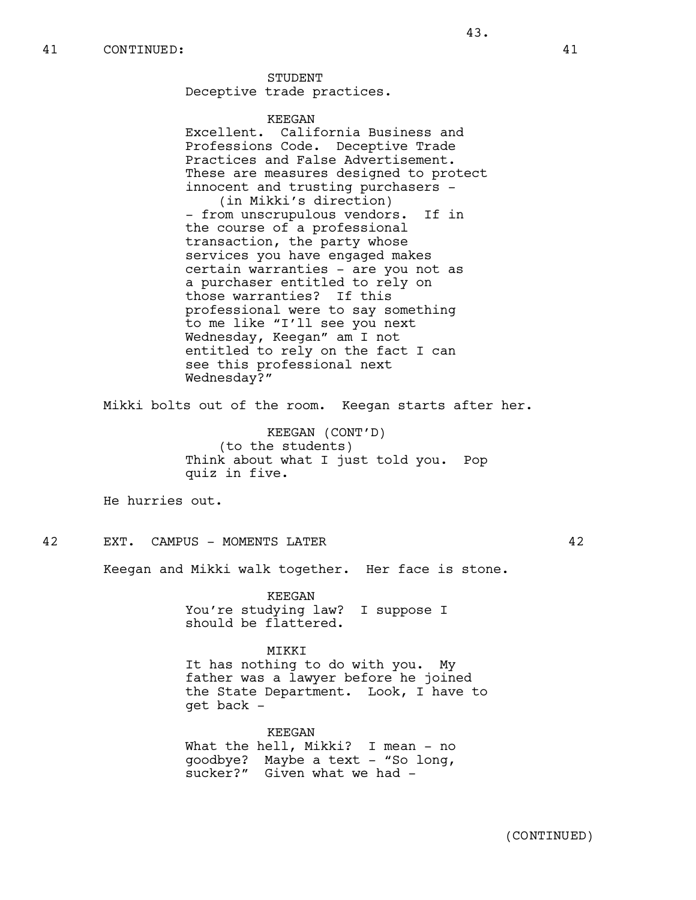**STUDENT** Deceptive trade practices.

# KEEGAN

Excellent. California Business and Professions Code. Deceptive Trade Practices and False Advertisement. These are measures designed to protect innocent and trusting purchasers - (in Mikki's direction) - from unscrupulous vendors. If in the course of a professional transaction, the party whose services you have engaged makes certain warranties - are you not as a purchaser entitled to rely on those warranties? If this professional were to say something to me like "I'll see you next Wednesday, Keegan" am I not entitled to rely on the fact I can see this professional next Wednesday?"

43.

Mikki bolts out of the room. Keegan starts after her.

KEEGAN (CONT'D) (to the students) Think about what I just told you. Pop quiz in five.

He hurries out.

42 EXT. CAMPUS - MOMENTS LATER 42

Keegan and Mikki walk together. Her face is stone.

KEEGAN You're studying law? I suppose I should be flattered.

#### MIKKI

It has nothing to do with you. My father was a lawyer before he joined the State Department. Look, I have to get back -

KEEGAN What the hell, Mikki? I mean - no goodbye? Maybe a text - "So long, sucker?" Given what we had -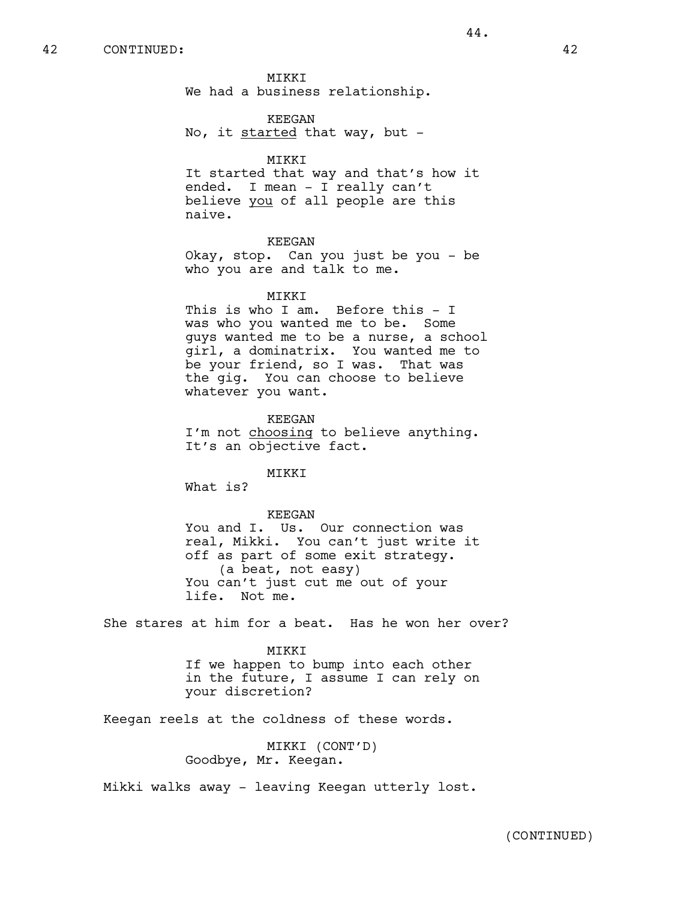MIKKI We had a business relationship.

KEEGAN No, it started that way, but -

#### MIKKI

It started that way and that's how it ended. I mean - I really can't believe you of all people are this naive.

#### KEEGAN

Okay, stop. Can you just be you - be who you are and talk to me.

#### MIKKI

This is who I am. Before this - I was who you wanted me to be. Some guys wanted me to be a nurse, a school girl, a dominatrix. You wanted me to be your friend, so I was. That was the gig. You can choose to believe whatever you want.

KEEGAN I'm not choosing to believe anything. It's an objective fact.

# MIKKI

What is?

# KEEGAN

You and I. Us. Our connection was real, Mikki. You can't just write it off as part of some exit strategy. (a beat, not easy) You can't just cut me out of your life. Not me.

She stares at him for a beat. Has he won her over?

#### MIKKI

If we happen to bump into each other in the future, I assume I can rely on your discretion?

Keegan reels at the coldness of these words.

MIKKI (CONT'D) Goodbye, Mr. Keegan.

Mikki walks away - leaving Keegan utterly lost.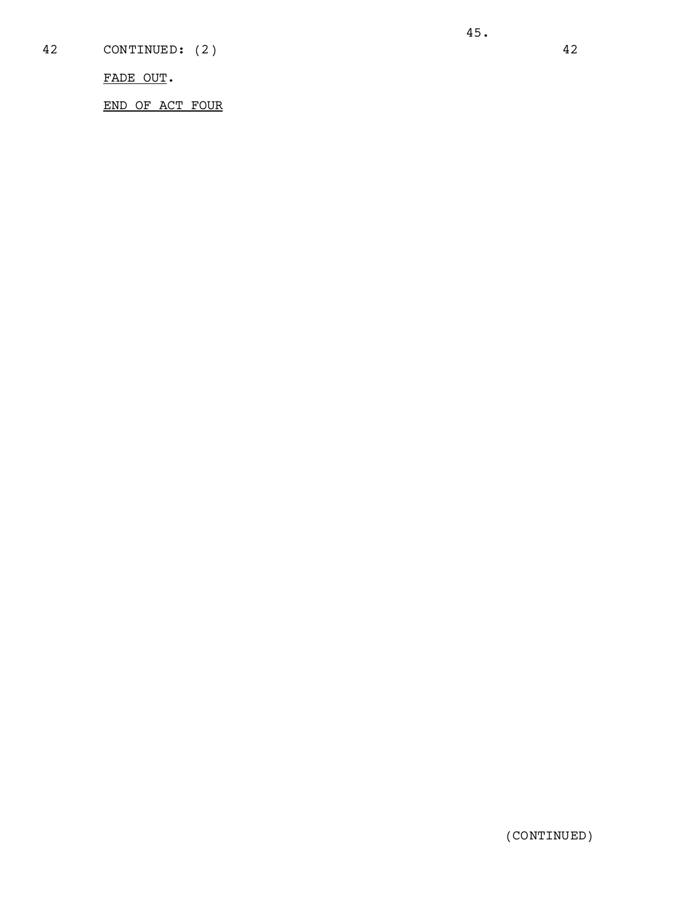FADE OUT.

END OF ACT FOUR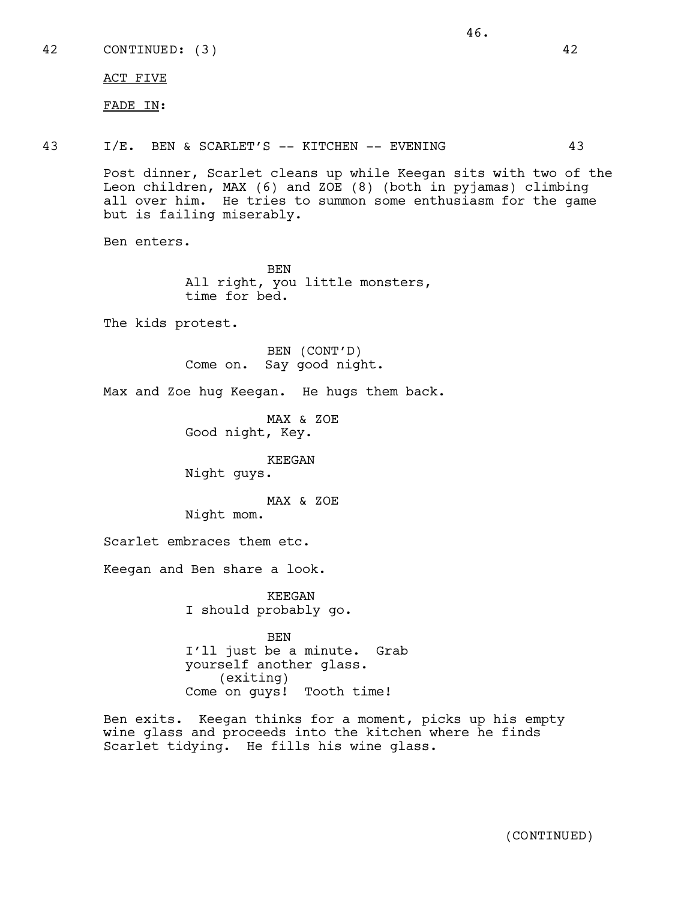42 CONTINUED: (3) 42

ACT FIVE

FADE IN:

43 I/E. BEN & SCARLET'S -- KITCHEN -- EVENING 43

46.

Post dinner, Scarlet cleans up while Keegan sits with two of the Leon children, MAX (6) and ZOE (8) (both in pyjamas) climbing all over him. He tries to summon some enthusiasm for the game but is failing miserably.

Ben enters.

BEN All right, you little monsters, time for bed.

The kids protest.

BEN (CONT'D) Come on. Say good night.

Max and Zoe hug Keegan. He hugs them back.

MAX & ZOE Good night, Key.

KEEGAN Night guys.

MAX & ZOE

Night mom.

Scarlet embraces them etc.

Keegan and Ben share a look.

KEEGAN I should probably go.

BEN I'll just be a minute. Grab yourself another glass. (exiting) Come on guys! Tooth time!

Ben exits. Keegan thinks for a moment, picks up his empty wine glass and proceeds into the kitchen where he finds Scarlet tidying. He fills his wine glass.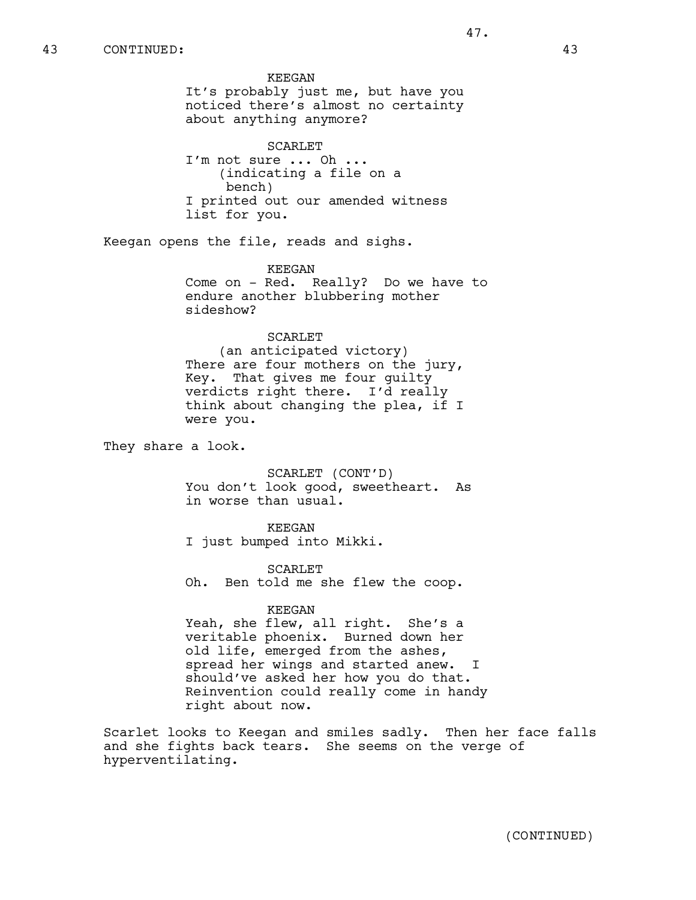KEEGAN It's probably just me, but have you noticed there's almost no certainty about anything anymore? SCARLET I'm not sure ... Oh ... (indicating a file on a bench) I printed out our amended witness list for you. Keegan opens the file, reads and sighs. KEEGAN Come on - Red. Really? Do we have to endure another blubbering mother sideshow? SCARLET (an anticipated victory) There are four mothers on the jury, Key. That gives me four guilty verdicts right there. I'd really think about changing the plea, if I were you. They share a look. SCARLET (CONT'D) You don't look good, sweetheart. As in worse than usual. KEEGAN I just bumped into Mikki. SCARLET Oh. Ben told me she flew the coop. KEEGAN Yeah, she flew, all right. She's a veritable phoenix. Burned down her old life, emerged from the ashes, 43 CONTINUED: 43

spread her wings and started anew. I should've asked her how you do that. Reinvention could really come in handy right about now.

Scarlet looks to Keegan and smiles sadly. Then her face falls and she fights back tears. She seems on the verge of hyperventilating.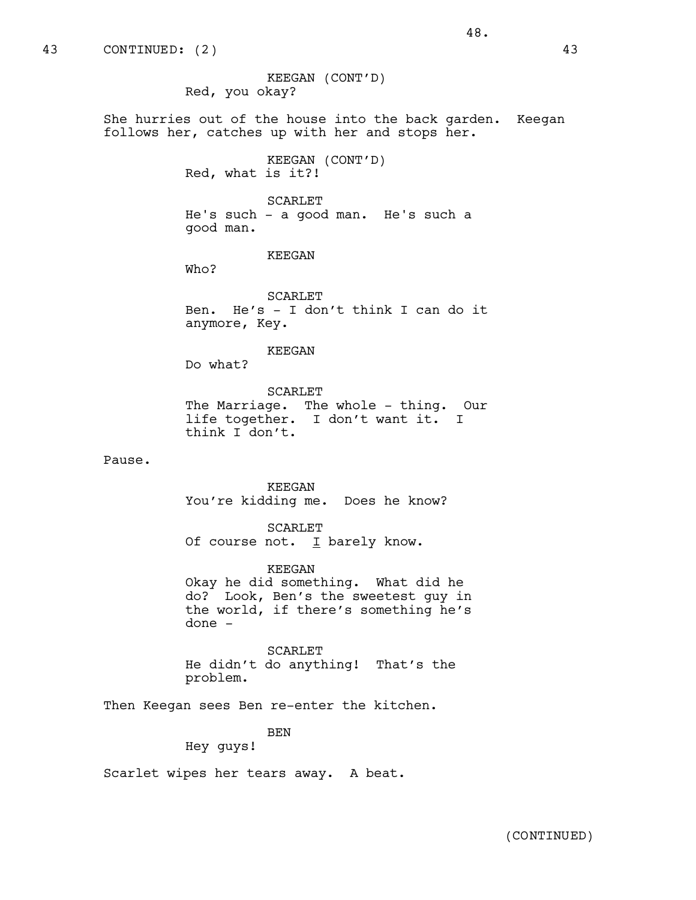She hurries out of the house into the back garden. Keegan follows her, catches up with her and stops her.

48.

KEEGAN (CONT'D) Red, what is it?!

SCARLET

He's such - a good man. He's such a good man.

KEEGAN

Who?

SCARLET Ben. He's - I don't think I can do it anymore, Key.

KEEGAN

Do what?

SCARLET The Marriage. The whole - thing. Our life together. I don't want it. I think I don't.

Pause.

KEEGAN You're kidding me. Does he know?

SCARLET Of course not.  $I$  barely know.

KEEGAN Okay he did something. What did he do? Look, Ben's the sweetest guy in the world, if there's something he's done -

SCARLET He didn't do anything! That's the problem.

Then Keegan sees Ben re-enter the kitchen.

BEN

Hey guys!

Scarlet wipes her tears away. A beat.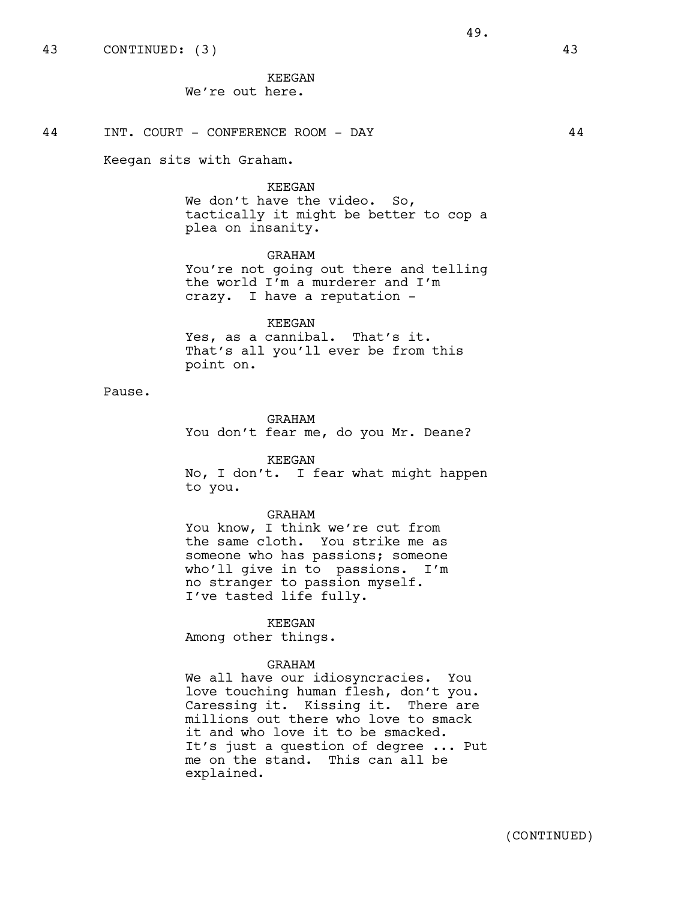Keegan sits with Graham.

### KEEGAN

We don't have the video. So, tactically it might be better to cop a plea on insanity.

# GRAHAM

You're not going out there and telling the world I'm a murderer and I'm crazy. I have a reputation -

# KEEGAN

Yes, as a cannibal. That's it. That's all you'll ever be from this point on.

# Pause.

GRAHAM

You don't fear me, do you Mr. Deane?

### KEEGAN

No, I don't. I fear what might happen to you.

### GRAHAM

You know, I think we're cut from the same cloth. You strike me as someone who has passions; someone who'll give in to passions. I'm no stranger to passion myself. I've tasted life fully.

#### KEEGAN

Among other things.

# GRAHAM

We all have our idiosyncracies. You love touching human flesh, don't you. Caressing it. Kissing it. There are millions out there who love to smack it and who love it to be smacked. It's just a question of degree ... Put me on the stand. This can all be explained.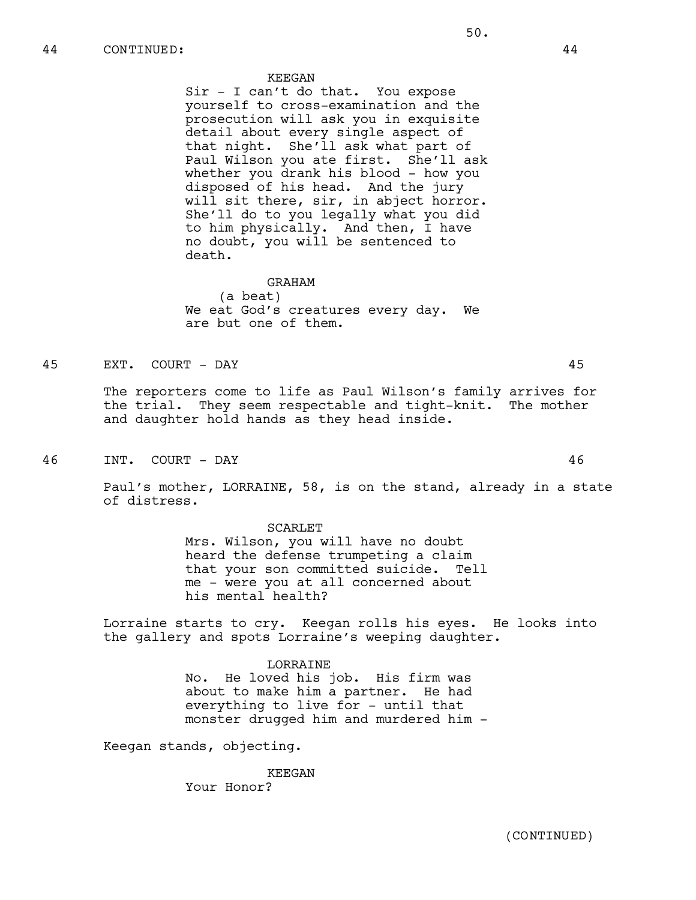#### KEEGAN

Sir - I can't do that. You expose yourself to cross-examination and the prosecution will ask you in exquisite detail about every single aspect of that night. She'll ask what part of Paul Wilson you ate first. She'll ask whether you drank his blood - how you disposed of his head. And the jury will sit there, sir, in abject horror. She'll do to you legally what you did to him physically. And then, I have no doubt, you will be sentenced to death.

# GRAHAM

(a beat) We eat God's creatures every day. We are but one of them.

# 45 EXT. COURT - DAY 45

The reporters come to life as Paul Wilson's family arrives for the trial. They seem respectable and tight-knit. The mother and daughter hold hands as they head inside.

46 INT. COURT - DAY 46

Paul's mother, LORRAINE, 58, is on the stand, already in a state of distress.

#### SCARLET

Mrs. Wilson, you will have no doubt heard the defense trumpeting a claim that your son committed suicide. Tell me - were you at all concerned about his mental health?

Lorraine starts to cry. Keegan rolls his eyes. He looks into the gallery and spots Lorraine's weeping daughter.

> LORRAINE No. He loved his job. His firm was about to make him a partner. He had everything to live for - until that monster drugged him and murdered him -

Keegan stands, objecting.

KEEGAN Your Honor?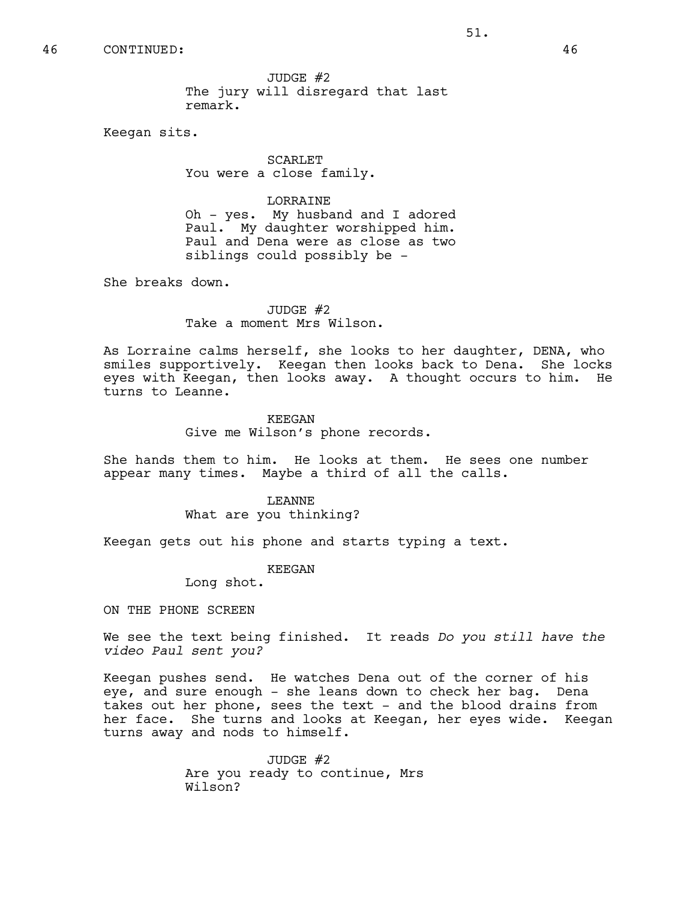# 46 CONTINUED: 46

JUDGE #2 The jury will disregard that last remark.

Keegan sits.

SCARLET You were a close family.

# LORRAINE

Oh - yes. My husband and I adored Paul. My daughter worshipped him. Paul and Dena were as close as two siblings could possibly be -

She breaks down.

# JUDGE  $#2$ Take a moment Mrs Wilson.

As Lorraine calms herself, she looks to her daughter, DENA, who smiles supportively. Keegan then looks back to Dena. She locks eyes with Keegan, then looks away. A thought occurs to him. He turns to Leanne.

# KEEGAN

Give me Wilson's phone records.

She hands them to him. He looks at them. He sees one number appear many times. Maybe a third of all the calls.

> LEANNE What are you thinking?

Keegan gets out his phone and starts typing a text.

#### KEEGAN

Long shot.

ON THE PHONE SCREEN

We see the text being finished. It reads *Do you still have the video Paul sent you?* 

Keegan pushes send. He watches Dena out of the corner of his eye, and sure enough - she leans down to check her bag. Dena takes out her phone, sees the text - and the blood drains from her face. She turns and looks at Keegan, her eyes wide. Keegan turns away and nods to himself.

> JUDGE #2 Are you ready to continue, Mrs Wilson?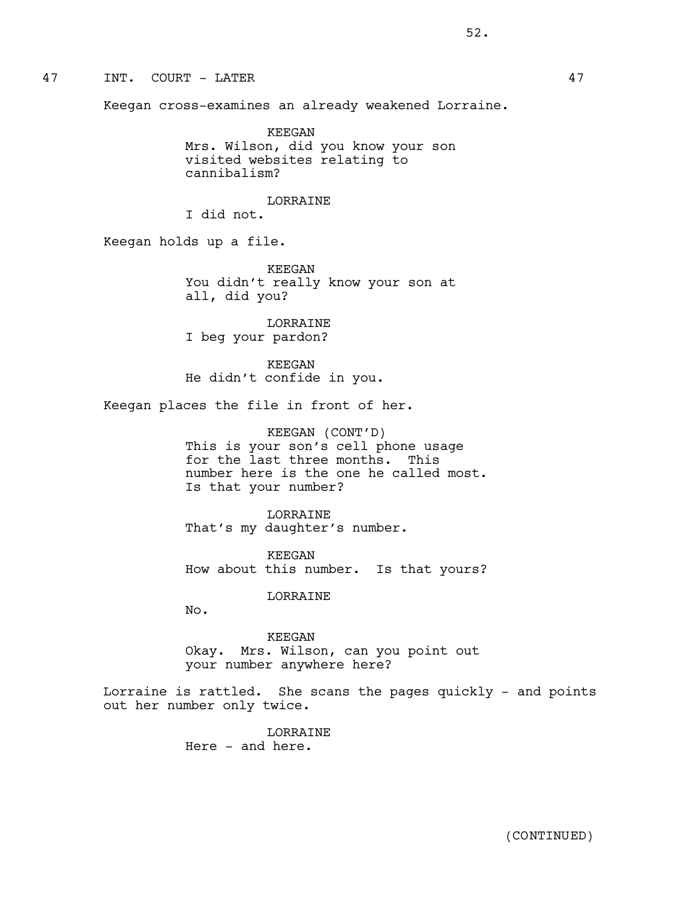47 INT. COURT - LATER 47

Keegan cross-examines an already weakened Lorraine.

KEEGAN Mrs. Wilson, did you know your son visited websites relating to cannibalism?

# LORRAINE

I did not.

Keegan holds up a file.

KEEGAN You didn't really know your son at all, did you?

LORRAINE I beg your pardon?

KEEGAN He didn't confide in you.

Keegan places the file in front of her.

KEEGAN (CONT'D) This is your son's cell phone usage for the last three months. This number here is the one he called most. Is that your number?

LORRAINE That's my daughter's number.

KEEGAN How about this number. Is that yours?

LORRAINE

 $N<sub>0</sub>$ .

KEEGAN Okay. Mrs. Wilson, can you point out your number anywhere here?

Lorraine is rattled. She scans the pages quickly - and points out her number only twice.

> LORRAINE Here - and here.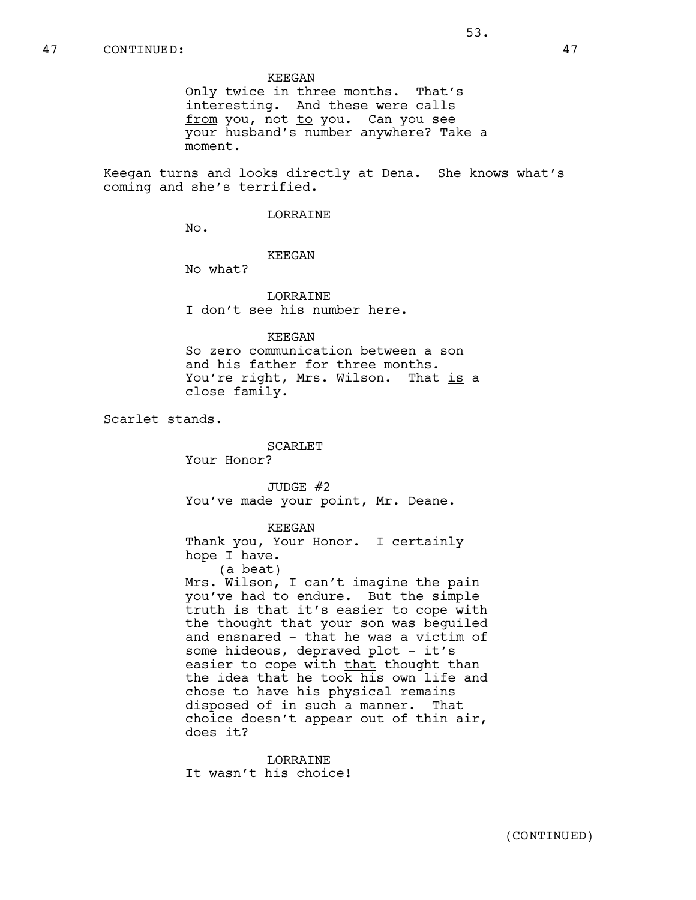#### KEEGAN

Only twice in three months. That's interesting. And these were calls from you, not to you. Can you see your husband's number anywhere? Take a moment.

Keegan turns and looks directly at Dena. She knows what's coming and she's terrified.

#### LORRAINE

 $No.$ 

# KEEGAN

No what?

LORRAINE I don't see his number here.

# KEEGAN

So zero communication between a son and his father for three months. You're right, Mrs. Wilson. That is a close family.

Scarlet stands.

SCARLET

Your Honor?

JUDGE #2 You've made your point, Mr. Deane.

# KEEGAN

Thank you, Your Honor. I certainly hope I have. (a beat) Mrs. Wilson, I can't imagine the pain you've had to endure. But the simple

truth is that it's easier to cope with the thought that your son was beguiled and ensnared - that he was a victim of some hideous, depraved plot - it's easier to cope with that thought than the idea that he took his own life and chose to have his physical remains disposed of in such a manner. That choice doesn't appear out of thin air, does it?

**LORRAINE** It wasn't his choice!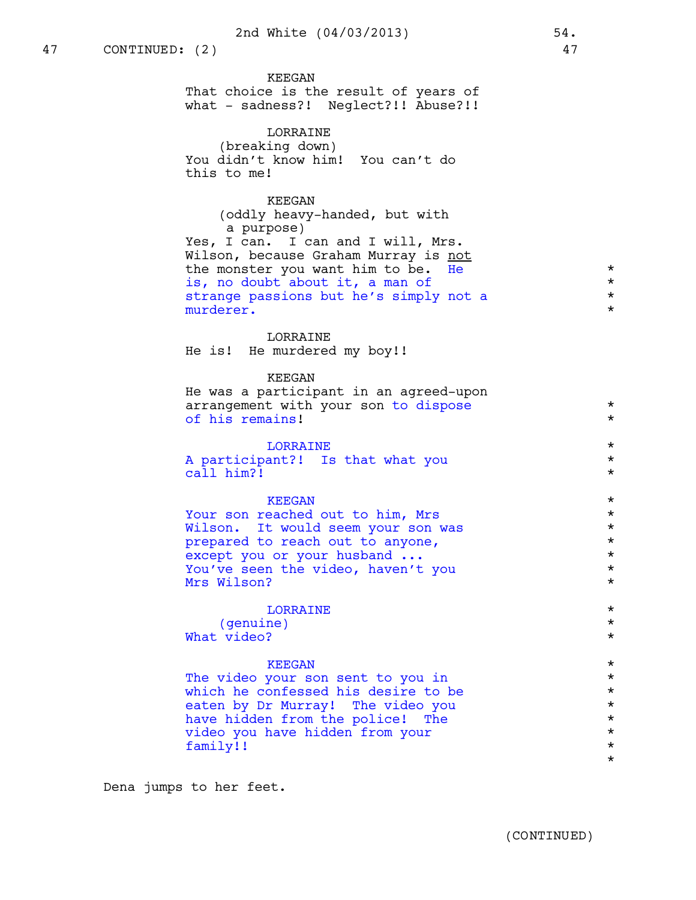KEEGAN That choice is the result of years of what - sadness?! Neglect?!! Abuse?!!

LORRAINE (breaking down) You didn't know him! You can't do this to me!

# KEEGAN

(oddly heavy-handed, but with a purpose) Yes, I can. I can and I will, Mrs. Wilson, because Graham Murray is not the monster you want him to be. He  $*$ is, no doubt about it, a man of  $*$ strange passions but he's simply not a \* \* \* \* \* \* \* \* \* \* murderer.

# LORRAINE

He is! He murdered my boy!!

# KEEGAN

He was a participant in an agreed-upon arrangement with your son to dispose  $*$ of his remains!

| <b>LORRATNE</b> |                                  |  |  |  |  |  |  |
|-----------------|----------------------------------|--|--|--|--|--|--|
|                 | A participant?! Is that what you |  |  |  |  |  |  |
|                 | call him?!                       |  |  |  |  |  |  |

 $KEEGAN$ <br>reached out to him. Mrs  $\star$ Your son reached out to him, Mrs \* Wilson. It would seem your son was  $*$ <br>prepared to reach out to anyone. prepared to reach out to anyone, \*  $\begin{array}{ccc}\n \text{except you or your husband} & \dots & \ast \\
\text{You've seen the video, haven't you\n} & \star\n\end{array}$ You've seen the video, haven't you \* Mrs Wilson?

# LORRAINE \*

(genuine) \* What video?

 $KEEGAN$ <br>  $\star$ <br>  $\star$ <br>  $\star$ <br>  $\star$ <br>  $\star$ The video your son sent to you in  $*$ <br>which he confessed his desire to be  $*$ which he confessed his desire to be  $*$ <br>eaten by Dr Murray! The video you eaten by Dr Murray! The video you  $*$ <br>have hidden from the police! The  $*$ have hidden from the police! The  $\star$ <br>video you have hidden from your video you have hidden from your \* family!! \* \*

Dena jumps to her feet.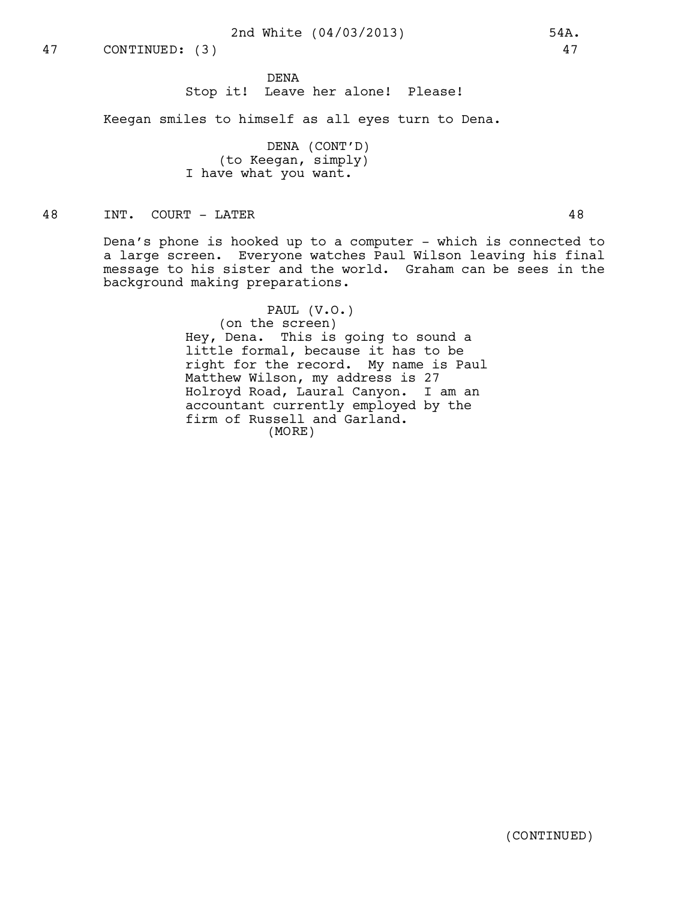# 2nd White (04/03/2013) 54A.

DENA Stop it! Leave her alone! Please!

Keegan smiles to himself as all eyes turn to Dena.

DENA (CONT'D) (to Keegan, simply) I have what you want.

48 INT. COURT - LATER 48

Dena's phone is hooked up to a computer - which is connected to a large screen. Everyone watches Paul Wilson leaving his final message to his sister and the world. Graham can be sees in the background making preparations.

> PAUL (V.O.) (on the screen) Hey, Dena. This is going to sound a little formal, because it has to be right for the record. My name is Paul Matthew Wilson, my address is 27 Holroyd Road, Laural Canyon. I am an accountant currently employed by the firm of Russell and Garland. (MORE)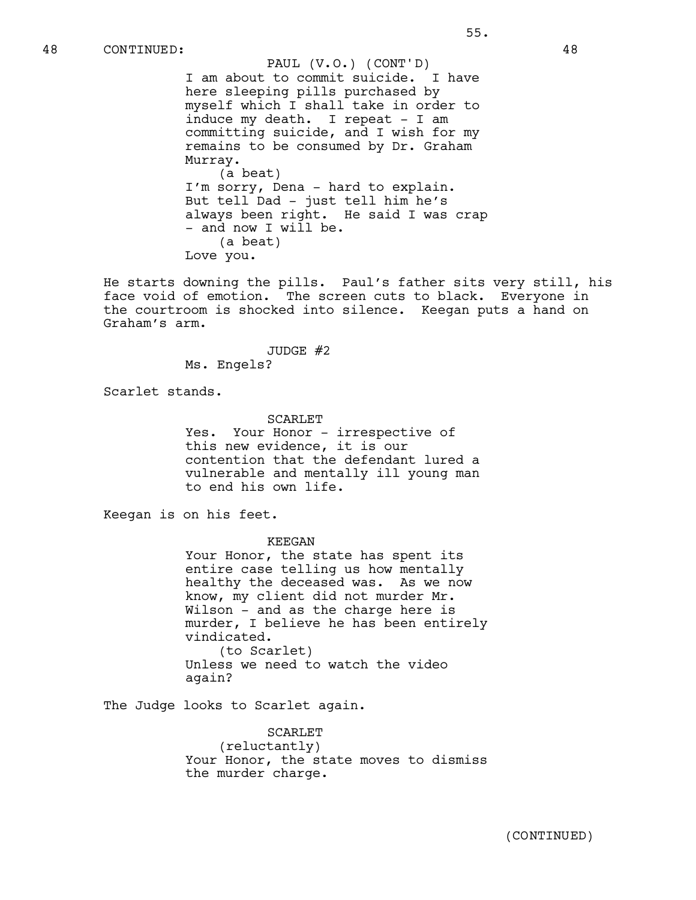I am about to commit suicide. I have here sleeping pills purchased by myself which I shall take in order to induce my death. I repeat - I am committing suicide, and I wish for my remains to be consumed by Dr. Graham Murray. (a beat) I'm sorry, Dena - hard to explain. But tell Dad - just tell him he's always been right. He said I was crap - and now I will be. (a beat) PAUL (V.O.) (CONT'D)

Love you.

He starts downing the pills. Paul's father sits very still, his face void of emotion. The screen cuts to black. Everyone in the courtroom is shocked into silence. Keegan puts a hand on Graham's arm.

> JUDGE #2 Ms. Engels?

Scarlet stands.

SCARLET Yes. Your Honor - irrespective of this new evidence, it is our contention that the defendant lured a vulnerable and mentally ill young man to end his own life.

Keegan is on his feet.

KEEGAN

Your Honor, the state has spent its entire case telling us how mentally healthy the deceased was. As we now know, my client did not murder Mr. Wilson - and as the charge here is murder, I believe he has been entirely vindicated. (to Scarlet) Unless we need to watch the video again?

The Judge looks to Scarlet again.

SCARLET (reluctantly) Your Honor, the state moves to dismiss the murder charge.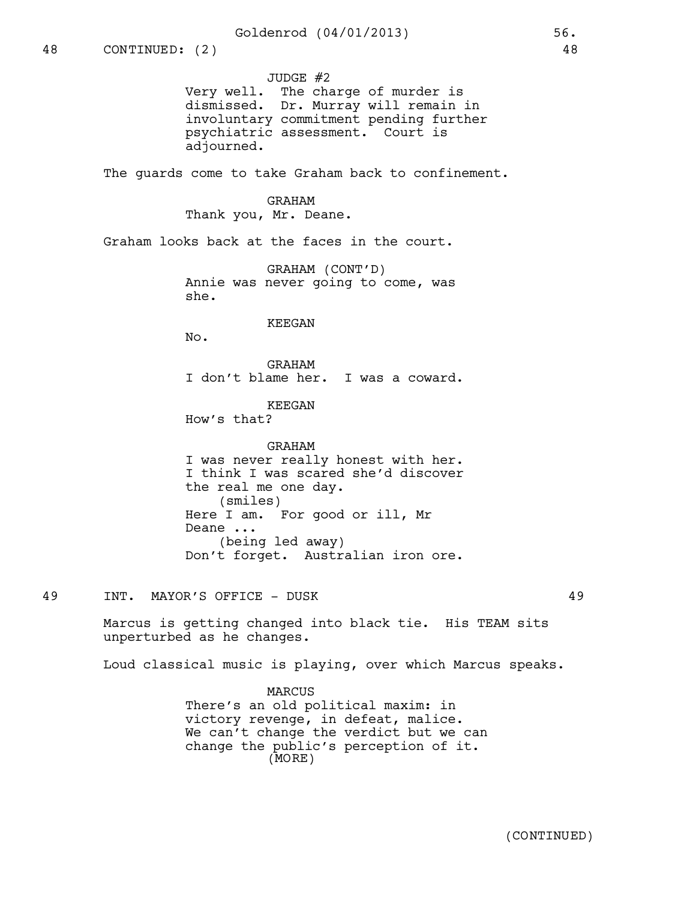JUDGE #2 Very well. The charge of murder is dismissed. Dr. Murray will remain in involuntary commitment pending further psychiatric assessment. Court is adjourned.

The quards come to take Graham back to confinement.

GRAHAM Thank you, Mr. Deane.

Graham looks back at the faces in the court.

GRAHAM (CONT'D) Annie was never going to come, was she.

### KEEGAN

No.

GRAHAM I don't blame her. I was a coward.

KEEGAN

How's that?

GRAHAM I was never really honest with her. I think I was scared she'd discover the real me one day. (smiles) Here I am. For good or ill, Mr Deane ... (being led away) Don't forget. Australian iron ore.

49 INT. MAYOR'S OFFICE - DUSK 49

Marcus is getting changed into black tie. His TEAM sits unperturbed as he changes.

Loud classical music is playing, over which Marcus speaks.

**MARCUS** There's an old political maxim: in victory revenge, in defeat, malice. We can't change the verdict but we can change the public's perception of it. (MORE)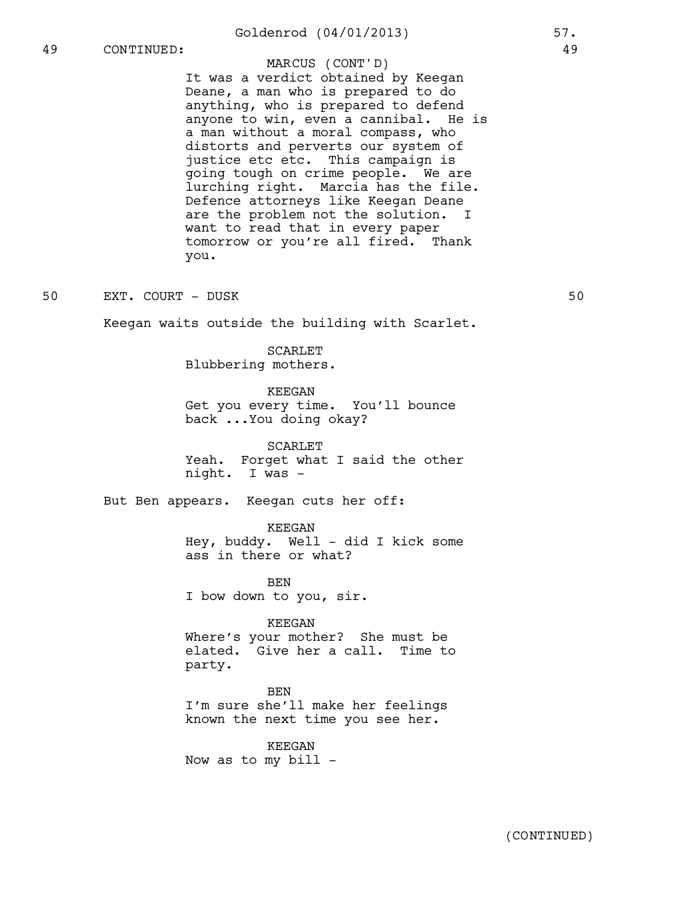# Goldenrod (04/01/2013) 57.

# 49 CONTINUED: 49

# MARCUS (CONT'D)

It was a verdict obtained by Keegan Deane, a man who is prepared to do anything, who is prepared to defend anyone to win, even a cannibal. He is a man without a moral compass, who distorts and perverts our system of justice etc etc. This campaign is going tough on crime people. We are lurching right. Marcia has the file. Defence attorneys like Keegan Deane are the problem not the solution. I want to read that in every paper tomorrow or you're all fired. Thank you.

50 EXT. COURT – DUSK 50

Keegan waits outside the building with Scarlet.

SCARLET Blubbering mothers.

KEEGAN Get you every time. You'll bounce back ...You doing okay?

SCARLET Yeah. Forget what I said the other night. I was -

But Ben appears. Keegan cuts her off:

KEEGAN Hey, buddy. Well - did I kick some ass in there or what?

BEN I bow down to you, sir.

#### KEEGAN

Where's your mother? She must be elated. Give her a call. Time to party.

**BEN** I'm sure she'll make her feelings known the next time you see her.

KEEGAN Now as to my bill -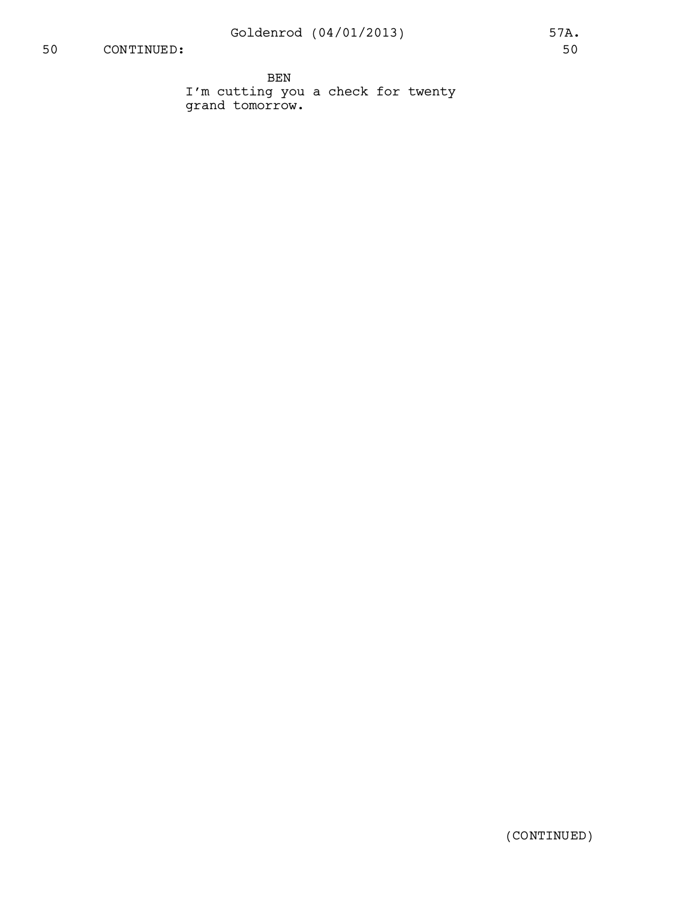# 50 CONTINUED: 50

BEN I'm cutting you a check for twenty grand tomorrow.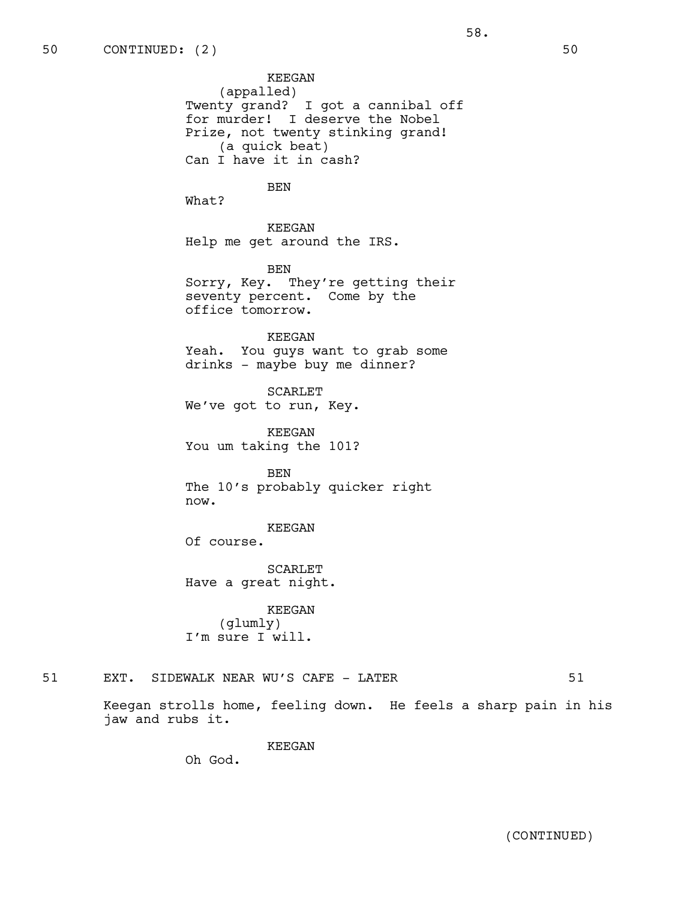KEEGAN (appalled) Twenty grand? I got a cannibal off for murder! I deserve the Nobel Prize, not twenty stinking grand! (a quick beat) Can I have it in cash?

58.

# BEN

What?

KEEGAN Help me get around the IRS.

BEN Sorry, Key. They're getting their seventy percent. Come by the office tomorrow.

KEEGAN Yeah. You guys want to grab some drinks - maybe buy me dinner?

SCARLET We've got to run, Key.

KEEGAN You um taking the 101?

BEN The 10's probably quicker right now.

### KEEGAN

Of course.

SCARLET Have a great night.

KEEGAN (glumly) I'm sure I will.

# 51 EXT. SIDEWALK NEAR WU'S CAFE - LATER 51

Keegan strolls home, feeling down. He feels a sharp pain in his jaw and rubs it.

KEEGAN

Oh God.